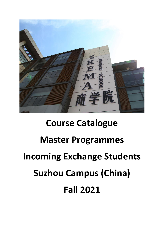

# **Course Catalogue Master Programmes Incoming Exchange Students Suzhou Campus (China) Fall 2021**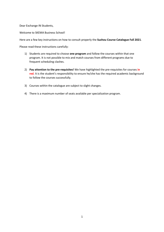Dear Exchange IN Students,

Welcome to SKEMA Business School!

Here are a few key instructions on how to consult properly the **Suzhou Course Catalogue Fall 2021**.

Please read these instructions carefully:

- 1) Students are required to choose **one program** and follow the courses within that one program. It is not possible to mix and match courses from different programs due to frequent scheduling clashes.
- 2) **Pay attention to the pre-requisites!** We have highlighted the pre-requisites for courses **in red**. It is the student's responsibility to ensure he/she has the required academic background to follow the courses successfully.
- 3) Courses within the catalogue are subject to slight changes.
- 4) There is a maximum number of seats available per specialization program.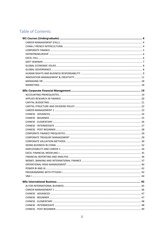# Table of Contents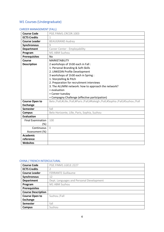# <span id="page-4-0"></span>M1 Courses (Undergraduate)

# <span id="page-4-1"></span>CAREER MANAGEMENT (FALL)

| <b>Course Code</b>       | PGE.FINM1.CRCOR.1003                                                            |
|--------------------------|---------------------------------------------------------------------------------|
| <b>ECTS Credits</b>      | 1                                                                               |
| <b>Course Leader</b>     | <b>BEAUGRAND Audrey</b>                                                         |
| <b>Synchronous</b>       | 9                                                                               |
| <b>Department</b>        | Career Center - Employability                                                   |
| Program                  | M1 ABM Suzhou                                                                   |
| <b>Prerequisites</b>     | <b>No</b>                                                                       |
| Course                   | <b>MARKETABILITY</b>                                                            |
| <b>Description</b>       | 2 workshops of 1h30 each in Fall:                                               |
|                          | 1. Personal Branding & Soft-Skills                                              |
|                          | 2. LINKEDIN Profile Development                                                 |
|                          | 3 workshops of 1h30 each in Spring:                                             |
|                          | 1. Storytelling & Pitch                                                         |
|                          | 2. Preparation for recruitment interviews                                       |
|                          | 3. The ALUMNI network: how to approach the network?                             |
|                          | + evaluation                                                                    |
|                          | + Career tuesday                                                                |
|                          | + Compagny Challenge (effective participation)                                  |
| <b>Course Open to</b>    | Belo /Fall;#Lille /Fall;#Paris /Fall;#Raleigh /Fall;#Sophia /Fall;#Suzhou /Fall |
| <b>Exchange</b>          |                                                                                 |
| <b>Semester</b>          | fall                                                                            |
| <b>Campus</b>            | Belo Horizonte, Lille, Paris, Sophia, Suzhou                                    |
| <b>Evaluation</b>        |                                                                                 |
| <b>Final Examination</b> | 100                                                                             |
| (%)                      |                                                                                 |
| Continuous               | $\bigcap$                                                                       |
| Assessment (%)           |                                                                                 |
| <b>Academic</b>          |                                                                                 |
| reference                |                                                                                 |
| <b>Websites</b>          |                                                                                 |

# <span id="page-4-2"></span>CHINA / FRENCH INTERCULTURAL

| <b>Course Code</b>        | PGE.FINM1.LGELE.2227                     |
|---------------------------|------------------------------------------|
| <b>ECTS Credits</b>       |                                          |
| <b>Course Leader</b>      | <b>FERRANTE Guillaume</b>                |
| Synchronous               | 12                                       |
| <b>Department</b>         | Dept. Languages and Personal Development |
| Program                   | M1 ABM Suzhou                            |
| <b>Prerequisites</b>      |                                          |
| <b>Course Description</b> |                                          |
| <b>Course Open to</b>     | Suzhou /Fall                             |
| <b>Exchange</b>           |                                          |
| <b>Semester</b>           | fall                                     |
| Campus                    | Suzhou                                   |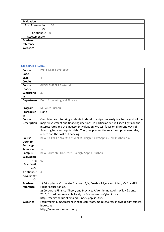| Evaluation               |                |
|--------------------------|----------------|
| <b>Final Examination</b> | 100            |
| (%)                      |                |
| Continuous               | $\overline{0}$ |
| Assessment (%)           |                |
| <b>Academic</b>          |                |
| reference                |                |
| Websites                 |                |

#### <span id="page-5-0"></span>CORPORATE FINANCE

| <b>Course</b>      | PGE.FINM1.FICOR.0503                                                                 |
|--------------------|--------------------------------------------------------------------------------------|
| Code               |                                                                                      |
| <b>ECTS</b>        | 4                                                                                    |
| <b>Credits</b>     |                                                                                      |
| Course             | <b>GROSLAMBERT Bertrand</b>                                                          |
| <b>Leader</b>      |                                                                                      |
| Synchrono          | 30                                                                                   |
| us                 |                                                                                      |
| Departmen          | Dept. Accounting and Finance                                                         |
|                    |                                                                                      |
| Program            | M1 ABM Suzhou                                                                        |
| Prerequisit        | None                                                                                 |
| es                 |                                                                                      |
| <b>Course</b>      | Our objective is to bring students to develop a rigorous analytical framework of the |
| <b>Description</b> | major investment and financing decisions. In particular, we will shed lights on the  |
|                    | interest rates and the investment valuation. We will focus on different ways of      |
|                    | financing between equity, debt. Then, we present the relationship between risk,      |
|                    | return and the cost of financing.                                                    |
| <b>Course</b>      | Belo /Fall;#Lille /Fall;#Paris /Fall;#Raleigh /Fall;#Sophia /Fall;#Suzhou /Fall      |
| Open to            |                                                                                      |
| <b>Exchange</b>    |                                                                                      |
| <b>Semester</b>    | fall                                                                                 |
| <b>Campus</b>      | Belo Horizonte, Lille, Paris, Raleigh, Sophia, Suzhou                                |
| <b>Evaluation</b>  |                                                                                      |
| Final              | 60                                                                                   |
| Examinatio         |                                                                                      |
| n (%)              |                                                                                      |
| Continuous         | 40                                                                                   |
| Assessment         |                                                                                      |
| $(\%)$             |                                                                                      |
| <b>Academic</b>    | 1) Principles of Corporate Finance, 11/e, Brealey, Myers and Allen, McGrawHill       |
| reference          | Higher Education ed.                                                                 |
|                    | 2) Corporate Finance Theory and Practice, P. Vernimmen, John Wiley & Sons,           |
|                    | 2011, 3rd edition Available freely on Scholarvox by Cyberlibris at                   |
|                    | http://mediatheque.skema.edu/index.php?id=408                                        |
| <b>Websites</b>    | Http://skema.lms.crossknowledge.com/data/modules/crossknowledge/interfaces/          |
|                    | index.php                                                                            |
|                    | http://www.vernimmen.com/                                                            |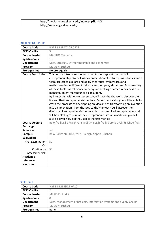|  | http://mediatheque.skema.edu/index.php?id=408 |
|--|-----------------------------------------------|
|  | http://knowledge.skema.edu/                   |

#### <span id="page-6-0"></span>ENTREPRENEURSHIP

| <b>Course Code</b>        | PGE.FINM1.STCOR.0828                                                                                                                                                                                                                                                                                                                                                                                                                                                                                                                                                                                                                                                                                                                                                                                                                                                                                                                                             |
|---------------------------|------------------------------------------------------------------------------------------------------------------------------------------------------------------------------------------------------------------------------------------------------------------------------------------------------------------------------------------------------------------------------------------------------------------------------------------------------------------------------------------------------------------------------------------------------------------------------------------------------------------------------------------------------------------------------------------------------------------------------------------------------------------------------------------------------------------------------------------------------------------------------------------------------------------------------------------------------------------|
| <b>ECTS Credits</b>       | 3                                                                                                                                                                                                                                                                                                                                                                                                                                                                                                                                                                                                                                                                                                                                                                                                                                                                                                                                                                |
| <b>Course Leader</b>      | <b>MARINO Marianna</b>                                                                                                                                                                                                                                                                                                                                                                                                                                                                                                                                                                                                                                                                                                                                                                                                                                                                                                                                           |
| <b>Synchronous</b>        | 18                                                                                                                                                                                                                                                                                                                                                                                                                                                                                                                                                                                                                                                                                                                                                                                                                                                                                                                                                               |
| <b>Department</b>         | Dept. Stratégy, Entrepreneurship and Economics                                                                                                                                                                                                                                                                                                                                                                                                                                                                                                                                                                                                                                                                                                                                                                                                                                                                                                                   |
| Program                   | M1 ABM Suzhou                                                                                                                                                                                                                                                                                                                                                                                                                                                                                                                                                                                                                                                                                                                                                                                                                                                                                                                                                    |
| <b>Prerequisites</b>      | No prerequisit                                                                                                                                                                                                                                                                                                                                                                                                                                                                                                                                                                                                                                                                                                                                                                                                                                                                                                                                                   |
| <b>Course Description</b> | This course introduces the fundamental concepts at the basis of<br>entrepreneurship. We will use a combination of lectures, case studies and a<br>team project to explore and apply theoretical frameworks and<br>methodologies in different industry and company situations. Basic mastery<br>of these tools has relevance to everyone seeking a career in business as a<br>manager, an entrepreneur or a consultant.<br>By interacting with entrepreneurs, you'll have the chance to discover their<br>life and their entrepreneurial venture. More specifically, you will be able to<br>grasp the processs of developping an idea and of transforming an invention<br>into an innovation (from the idea to the market). You'll discover the<br>diversity of entrepreneurial ventures led by commited entrepreneurs and<br>will be able to grasp what the entrepreneurs 'life is. In addition, you will<br>also discover how did they select the first market. |
| <b>Course Open to</b>     | Belo /Fall;#Lille /Fall;#Paris /Fall;#Raleigh /Fall;#Sophia /Fall;#Suzhou /Fall                                                                                                                                                                                                                                                                                                                                                                                                                                                                                                                                                                                                                                                                                                                                                                                                                                                                                  |
| <b>Exchange</b>           |                                                                                                                                                                                                                                                                                                                                                                                                                                                                                                                                                                                                                                                                                                                                                                                                                                                                                                                                                                  |
| <b>Semester</b>           | fall                                                                                                                                                                                                                                                                                                                                                                                                                                                                                                                                                                                                                                                                                                                                                                                                                                                                                                                                                             |
| <b>Campus</b>             | Belo Horizonte, Lille, Paris, Raleigh, Sophia, Suzhou                                                                                                                                                                                                                                                                                                                                                                                                                                                                                                                                                                                                                                                                                                                                                                                                                                                                                                            |
| <b>Evaluation</b>         |                                                                                                                                                                                                                                                                                                                                                                                                                                                                                                                                                                                                                                                                                                                                                                                                                                                                                                                                                                  |
| <b>Final Examination</b>  | 50                                                                                                                                                                                                                                                                                                                                                                                                                                                                                                                                                                                                                                                                                                                                                                                                                                                                                                                                                               |
| $(\%)$                    |                                                                                                                                                                                                                                                                                                                                                                                                                                                                                                                                                                                                                                                                                                                                                                                                                                                                                                                                                                  |
| Continuous                | 50                                                                                                                                                                                                                                                                                                                                                                                                                                                                                                                                                                                                                                                                                                                                                                                                                                                                                                                                                               |
| Assessment (%)            |                                                                                                                                                                                                                                                                                                                                                                                                                                                                                                                                                                                                                                                                                                                                                                                                                                                                                                                                                                  |
| <b>Academic</b>           |                                                                                                                                                                                                                                                                                                                                                                                                                                                                                                                                                                                                                                                                                                                                                                                                                                                                                                                                                                  |
| reference                 |                                                                                                                                                                                                                                                                                                                                                                                                                                                                                                                                                                                                                                                                                                                                                                                                                                                                                                                                                                  |
| Websites                  |                                                                                                                                                                                                                                                                                                                                                                                                                                                                                                                                                                                                                                                                                                                                                                                                                                                                                                                                                                  |

#### <span id="page-6-1"></span>EXCEL FALL

| <b>Course Code</b>   | PGE.FINM1.ISELE.0720                                                |
|----------------------|---------------------------------------------------------------------|
| <b>ECTS Credits</b>  |                                                                     |
| <b>Course Leader</b> | MILLELIRI André                                                     |
| Synchronous          |                                                                     |
| <b>Department</b>    | Dept. Management of projects, Information Systems and Supply Chains |
| Program              | M1 ABM Suzhou                                                       |
| <b>Prerequisites</b> | none                                                                |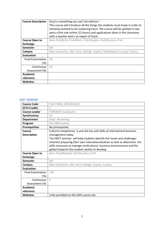| <b>Course Description</b> | Excel is something you can't do without !                                    |
|---------------------------|------------------------------------------------------------------------------|
|                           | This course will introduce all the things the students must know in order to |
|                           | honestly pretend to be mastering Excel. The course will be splitted in two   |
|                           | parts a first one online (12 hours) and applications done in the classroom   |
|                           | with a teacher who's an expert of Excel.                                     |
| <b>Course Open to</b>     | Belo /Fall;#Lille /Fall;#Paris /Fall;#Sophia /Fall;#Suzhou /Fall             |
| <b>Exchange</b>           |                                                                              |
| <b>Semester</b>           | fall                                                                         |
| <b>Campus</b>             | Belo Horizonte, Lille, Paris, Raleigh, Sophia, Stellenbosch-Le Cap, Suzhou   |
| <b>Evaluation</b>         |                                                                              |
| <b>Final Examination</b>  | 50                                                                           |
| (%)                       |                                                                              |
| <b>Continuous</b>         | 50                                                                           |
| Assessment (%)            |                                                                              |
| <b>Academic</b>           |                                                                              |
| reference                 |                                                                              |
| Websites                  |                                                                              |

#### <span id="page-7-0"></span>GKET SEMINAR

| <b>Course Code</b>       | PGE.FINM1.HRCOR.0323                                                       |
|--------------------------|----------------------------------------------------------------------------|
| <b>ECTS Credits</b>      | $\overline{\mathcal{L}}$                                                   |
| <b>Course Leader</b>     | <b>FERRANTE Guillaume</b>                                                  |
| <b>Synchronous</b>       | 12                                                                         |
| <b>Department</b>        | Dept. Marketing                                                            |
| Program                  | M1 ABM Suzhou                                                              |
| <b>Prerequisites</b>     | No prerequisite                                                            |
| Course                   | Cultural competence is one the key soft skills of international business   |
| <b>Description</b>       | management today.                                                          |
|                          | The GKET seminar will help students identify the issues and challenges     |
|                          | inherent preparing their own internationalisation as well as determine the |
|                          | skills necessary to manage multicultural business environments and the     |
|                          | global footprint the student wishes to develop.                            |
| <b>Course Open to</b>    | Belo /Fall;#Raleigh /Fall;#Suzhou /Fall                                    |
| <b>Exchange</b>          |                                                                            |
| <b>Semester</b>          | fall                                                                       |
| <b>Campus</b>            | Belo Horizonte, Lille, Paris, Raleigh, Sophia, Suzhou                      |
| <b>Evaluation</b>        |                                                                            |
| <b>Final Examination</b> | 100                                                                        |
| $(\%)$                   |                                                                            |
| Continuous               | $\bigcap$                                                                  |
| Assessment (%)           |                                                                            |
| <b>Academic</b>          |                                                                            |
| reference                |                                                                            |
| <b>Websites</b>          | Links provided on the LMS course site                                      |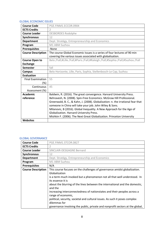#### <span id="page-8-0"></span>GLOBAL ECONOMIC ISSUES

| <b>Course Code</b>        | PGE.FINM1.ECCOR.0904                                                            |
|---------------------------|---------------------------------------------------------------------------------|
| <b>ECTS Credits</b>       | $\overline{2}$                                                                  |
| <b>Course Leader</b>      | <b>DESBORDES Rodolphe</b>                                                       |
| Synchronous               | 12                                                                              |
| <b>Department</b>         | Dept. Stratégy, Entrepreneurship and Economics                                  |
| Program                   | M1 ABM Suzhou                                                                   |
| <b>Prerequisites</b>      | -None                                                                           |
| <b>Course Description</b> | The course Global Economic Issues is a series of four lectures of 90 min        |
|                           | covering the various issues associated with globalisation.                      |
| <b>Course Open to</b>     | Belo /Fall;#Lille /Fall;#Paris /Fall;#Raleigh /Fall;#Sophia /Fall;#Suzhou /Fall |
| <b>Exchange</b>           |                                                                                 |
| <b>Semester</b>           | fall                                                                            |
| <b>Campus</b>             | Belo Horizonte, Lille, Paris, Sophia, Stellenbosch-Le Cap, Suzhou               |
| <b>Evaluation</b>         |                                                                                 |
| <b>Final Examination</b>  | 55                                                                              |
| (%)                       |                                                                                 |
| Continuous                | 45                                                                              |
| Assessment (%)            |                                                                                 |
| <b>Academic</b>           | Baldwin, R. (2016). The great convergence. Harvard University Press.            |
| reference                 | Behravesh, N. (2008). Spin-Free Economics. McGraw Hill Professional.            |
|                           | Greenwald, B. C., & Kahn, J. (2008). Globalization: n. the irrational fear that |
|                           | someone in China will take your job. John Wiley & Sons.                         |
|                           | Milanovic, B (2016). Global Inequality. A New Approach for the Age of           |
|                           | Globalization. Harvard University Press.                                        |
|                           | Mishkin F. (2006). The Next Great Globalization. Princeton University           |
| <b>Websites</b>           |                                                                                 |

## <span id="page-8-1"></span>GLOBAL GOVERNANCE

| <b>Course Code</b>        | PGE.FINM1.STCOR.0827                                                                                                                                                                                                                                                                                                                                                                                                                                                                                                                                                    |
|---------------------------|-------------------------------------------------------------------------------------------------------------------------------------------------------------------------------------------------------------------------------------------------------------------------------------------------------------------------------------------------------------------------------------------------------------------------------------------------------------------------------------------------------------------------------------------------------------------------|
| <b>ECTS Credits</b>       | 2                                                                                                                                                                                                                                                                                                                                                                                                                                                                                                                                                                       |
| <b>Course Leader</b>      | SINCLAIR-DESGAGNE Bernard                                                                                                                                                                                                                                                                                                                                                                                                                                                                                                                                               |
| <b>Synchronous</b>        | 12                                                                                                                                                                                                                                                                                                                                                                                                                                                                                                                                                                      |
| <b>Department</b>         | Dept. Stratégy, Entrepreneurship and Economics                                                                                                                                                                                                                                                                                                                                                                                                                                                                                                                          |
| Program                   | M1 ABM Suzhou                                                                                                                                                                                                                                                                                                                                                                                                                                                                                                                                                           |
| <b>Prerequisites</b>      | N/A                                                                                                                                                                                                                                                                                                                                                                                                                                                                                                                                                                     |
| <b>Course Description</b> | This course focuses on the challenges of governance amidst globalization.<br>Globalization<br>is a term much invoked but a phenomenon not all that well understood. In<br>its essence it is<br>about the blurring of the lines between the international and the domestic,<br>and the<br>increasing interconnectedness of nationstates and their peoples across a<br>range of economic,<br>political, security, societal and cultural issues. As such it poses complex<br>dilemmas for<br>governance involving the public, private and nonprofit sectors at the global, |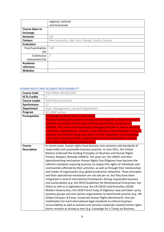|                          | regional, national                                    |
|--------------------------|-------------------------------------------------------|
|                          | and local levels.                                     |
| <b>Course Open to</b>    |                                                       |
| <b>Exchange</b>          |                                                       |
| Semester                 | fall                                                  |
| <b>Campus</b>            | Belo Horizonte, Lille, Paris, Raleigh, Sophia, Suzhou |
| <b>Evaluation</b>        |                                                       |
| <b>Final Examination</b> | 100                                                   |
| (%)                      |                                                       |
| Continuous               | $\Omega$                                              |
| Assessment (%)           |                                                       |
| <b>Academic</b>          |                                                       |
| reference                |                                                       |
| <b>Websites</b>          |                                                       |

#### <span id="page-9-0"></span>HUMAN RIGHTS AND BUSINESS RESPONSABILITY

| <b>Course Code</b>           | PGE.FINM1.HRCOR.0355                                                                                                                                                                                                                                                                                                                                                                                                                                                                                                                                                                                                                                                                                                                                                                                                                                                                                                                                                                                                                                                                                                                                                                                                                                                                                                                                                                                                                         |
|------------------------------|----------------------------------------------------------------------------------------------------------------------------------------------------------------------------------------------------------------------------------------------------------------------------------------------------------------------------------------------------------------------------------------------------------------------------------------------------------------------------------------------------------------------------------------------------------------------------------------------------------------------------------------------------------------------------------------------------------------------------------------------------------------------------------------------------------------------------------------------------------------------------------------------------------------------------------------------------------------------------------------------------------------------------------------------------------------------------------------------------------------------------------------------------------------------------------------------------------------------------------------------------------------------------------------------------------------------------------------------------------------------------------------------------------------------------------------------|
| <b>ECTS Credits</b>          |                                                                                                                                                                                                                                                                                                                                                                                                                                                                                                                                                                                                                                                                                                                                                                                                                                                                                                                                                                                                                                                                                                                                                                                                                                                                                                                                                                                                                                              |
|                              | $\overline{2}$                                                                                                                                                                                                                                                                                                                                                                                                                                                                                                                                                                                                                                                                                                                                                                                                                                                                                                                                                                                                                                                                                                                                                                                                                                                                                                                                                                                                                               |
| <b>Course Leader</b>         | <b>GOETHALS Samentha</b>                                                                                                                                                                                                                                                                                                                                                                                                                                                                                                                                                                                                                                                                                                                                                                                                                                                                                                                                                                                                                                                                                                                                                                                                                                                                                                                                                                                                                     |
| <b>Synchronous</b>           | 12                                                                                                                                                                                                                                                                                                                                                                                                                                                                                                                                                                                                                                                                                                                                                                                                                                                                                                                                                                                                                                                                                                                                                                                                                                                                                                                                                                                                                                           |
| <b>Department</b>            | Dept. Management, Law and Organization                                                                                                                                                                                                                                                                                                                                                                                                                                                                                                                                                                                                                                                                                                                                                                                                                                                                                                                                                                                                                                                                                                                                                                                                                                                                                                                                                                                                       |
| Program                      | M1 ABM Suzhou                                                                                                                                                                                                                                                                                                                                                                                                                                                                                                                                                                                                                                                                                                                                                                                                                                                                                                                                                                                                                                                                                                                                                                                                                                                                                                                                                                                                                                |
| <b>Prerequisites</b>         | An average of 16 for their L3 final result.<br>The course philosophy is that teaching and learning are a collaborative work.<br>Students are authors of their own learning which tutors can guide and<br>facilitate. This course will encourage an engaged attitude as well as curiosity,<br>autonomy, independence, initiative, peer-learning, and participation. As such,<br>students are invited to bring and reflect on their experience and knowledge<br>from other disciplinary fields, preparation work and independent research<br>from which tutors equally stand to learn.                                                                                                                                                                                                                                                                                                                                                                                                                                                                                                                                                                                                                                                                                                                                                                                                                                                         |
| Course<br><b>Description</b> | In recent years, human rights have become core concerns and standards of<br>responsible and sustainable business practice. In June 2011, the United<br>Nations endorsed the Guiding Principles on Business and Human Rights<br>Protect, Respect, Remedy (UNGPs). Ten years on, the UNGPs and their<br>operationalizing mechanism Human Rights Due Diligence have become the<br>referent standards requiring business to respect the rights of individuals and<br>communities affected by their activities, as well as through their relationships<br>and modes of organization (e.g. global production networks). These principles<br>and their operational mechanism are not law per se, but they have been<br>integrated in several international frameworks driving responsible business<br>and sustainability (e.g. the OECD Guidelines for Multinational Enterprises, the<br>SDGs) as well as in legislations (e.g. the UK (2015) and Australian (2018)<br>Modern Slavery Acts; the 2018 French Duty of Vigilance Law) and taken up by<br>business groups and civil society organizations to benchmark practice (e.g. UN<br>Global Compact; B Corps; Corporate Human Rights Benchmark). And yet,<br>mobilisation for hard international legal standards to enforce business<br>accountability as well as prevent and sanction corporate-related human rights<br>harms remains as strong as ever (e.g. Campaign for a Treaty on Business |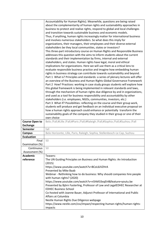|                                    | Accountability for Human Rights). Meanwhile, questions are being raised<br>about the complementarity of human rights and sustainability approaches in<br>business to protect and realise rights, respond to global and local challenges<br>and transition towards sustainable business and economic models.<br>Thus, if anything, human rights increasingly matter for international business<br>and involves numerous stakeholders. So what does this imply for<br>organizations, their managers, their employees and their diverse external<br>stakeholders be they local communities, states or investors?<br>This three-part introductory course on Human Rights and Responsible Business<br>addresses this question with the aims to inform students about the current<br>standards and their implementation by firms, internal and external<br>stakeholders, and states. Human rights have legal, moral and ethical<br>implications for organizations. Here we will use them as a critical lens to<br>evaluate responsible business practice and imagine how embedding human<br>rights in business strategy can contribute towards sustainability and beyond.<br>Part 1 What is? Principles and standards: a series of plenary lectures will offer<br>an overview of the Business and Human Rights Global Governance Framework<br>Part 2 How? Practices: working in case study groups students will explore how<br>this global framework is being implemented in relevant standards and laws,<br>through the mechanism of human rights due diligence by and in organizations,<br>and used as a tool for business responsibility and accountability by other<br>stakeholders (i.e. employees, NGOs, communities, investors, etc.)<br>Part 3 What if? Possibilities: reflecting on the course and their group work,<br>students will produce and get feedback on an individual executive proposal on<br>how a human rights approach could enhance or potentially transform the<br>sustainability goals of the company they studied in their group or one of their |
|------------------------------------|-----------------------------------------------------------------------------------------------------------------------------------------------------------------------------------------------------------------------------------------------------------------------------------------------------------------------------------------------------------------------------------------------------------------------------------------------------------------------------------------------------------------------------------------------------------------------------------------------------------------------------------------------------------------------------------------------------------------------------------------------------------------------------------------------------------------------------------------------------------------------------------------------------------------------------------------------------------------------------------------------------------------------------------------------------------------------------------------------------------------------------------------------------------------------------------------------------------------------------------------------------------------------------------------------------------------------------------------------------------------------------------------------------------------------------------------------------------------------------------------------------------------------------------------------------------------------------------------------------------------------------------------------------------------------------------------------------------------------------------------------------------------------------------------------------------------------------------------------------------------------------------------------------------------------------------------------------------------------------------------------------------------------------------------------------------------------|
| <b>Course Open to</b>              | own choice<br>Belo /Fall;#Lille /Fall;#Paris /Fall;#Raleigh /Fall;#Sophia /Fall;#Suzhou /Fall                                                                                                                                                                                                                                                                                                                                                                                                                                                                                                                                                                                                                                                                                                                                                                                                                                                                                                                                                                                                                                                                                                                                                                                                                                                                                                                                                                                                                                                                                                                                                                                                                                                                                                                                                                                                                                                                                                                                                                         |
| <b>Exchange</b><br><b>Semester</b> | fall                                                                                                                                                                                                                                                                                                                                                                                                                                                                                                                                                                                                                                                                                                                                                                                                                                                                                                                                                                                                                                                                                                                                                                                                                                                                                                                                                                                                                                                                                                                                                                                                                                                                                                                                                                                                                                                                                                                                                                                                                                                                  |
| <b>Campus</b>                      | Belo Horizonte, Lille, Paris, Raleigh, Sophia, Stellenbosch-Le Cap, Suzhou                                                                                                                                                                                                                                                                                                                                                                                                                                                                                                                                                                                                                                                                                                                                                                                                                                                                                                                                                                                                                                                                                                                                                                                                                                                                                                                                                                                                                                                                                                                                                                                                                                                                                                                                                                                                                                                                                                                                                                                            |
| <b>Evaluation</b>                  |                                                                                                                                                                                                                                                                                                                                                                                                                                                                                                                                                                                                                                                                                                                                                                                                                                                                                                                                                                                                                                                                                                                                                                                                                                                                                                                                                                                                                                                                                                                                                                                                                                                                                                                                                                                                                                                                                                                                                                                                                                                                       |
| Final                              | 50                                                                                                                                                                                                                                                                                                                                                                                                                                                                                                                                                                                                                                                                                                                                                                                                                                                                                                                                                                                                                                                                                                                                                                                                                                                                                                                                                                                                                                                                                                                                                                                                                                                                                                                                                                                                                                                                                                                                                                                                                                                                    |
| Examination (%)                    |                                                                                                                                                                                                                                                                                                                                                                                                                                                                                                                                                                                                                                                                                                                                                                                                                                                                                                                                                                                                                                                                                                                                                                                                                                                                                                                                                                                                                                                                                                                                                                                                                                                                                                                                                                                                                                                                                                                                                                                                                                                                       |
| Continuous                         | 50                                                                                                                                                                                                                                                                                                                                                                                                                                                                                                                                                                                                                                                                                                                                                                                                                                                                                                                                                                                                                                                                                                                                                                                                                                                                                                                                                                                                                                                                                                                                                                                                                                                                                                                                                                                                                                                                                                                                                                                                                                                                    |
| Assessment (%)                     |                                                                                                                                                                                                                                                                                                                                                                                                                                                                                                                                                                                                                                                                                                                                                                                                                                                                                                                                                                                                                                                                                                                                                                                                                                                                                                                                                                                                                                                                                                                                                                                                                                                                                                                                                                                                                                                                                                                                                                                                                                                                       |
| <b>Academic</b>                    | Teasers:                                                                                                                                                                                                                                                                                                                                                                                                                                                                                                                                                                                                                                                                                                                                                                                                                                                                                                                                                                                                                                                                                                                                                                                                                                                                                                                                                                                                                                                                                                                                                                                                                                                                                                                                                                                                                                                                                                                                                                                                                                                              |
| reference                          | The UN Guiding Principles on Business and Human Rights: An Introduction                                                                                                                                                                                                                                                                                                                                                                                                                                                                                                                                                                                                                                                                                                                                                                                                                                                                                                                                                                                                                                                                                                                                                                                                                                                                                                                                                                                                                                                                                                                                                                                                                                                                                                                                                                                                                                                                                                                                                                                               |
|                                    | (2015)                                                                                                                                                                                                                                                                                                                                                                                                                                                                                                                                                                                                                                                                                                                                                                                                                                                                                                                                                                                                                                                                                                                                                                                                                                                                                                                                                                                                                                                                                                                                                                                                                                                                                                                                                                                                                                                                                                                                                                                                                                                                |
|                                    | https://www.youtube.com/watch?v=BCoL6JVZHrA                                                                                                                                                                                                                                                                                                                                                                                                                                                                                                                                                                                                                                                                                                                                                                                                                                                                                                                                                                                                                                                                                                                                                                                                                                                                                                                                                                                                                                                                                                                                                                                                                                                                                                                                                                                                                                                                                                                                                                                                                           |
|                                    | Presented by Mike Baab                                                                                                                                                                                                                                                                                                                                                                                                                                                                                                                                                                                                                                                                                                                                                                                                                                                                                                                                                                                                                                                                                                                                                                                                                                                                                                                                                                                                                                                                                                                                                                                                                                                                                                                                                                                                                                                                                                                                                                                                                                                |
|                                    | Webinar - Rethinking how to do business: Why should companies hire people                                                                                                                                                                                                                                                                                                                                                                                                                                                                                                                                                                                                                                                                                                                                                                                                                                                                                                                                                                                                                                                                                                                                                                                                                                                                                                                                                                                                                                                                                                                                                                                                                                                                                                                                                                                                                                                                                                                                                                                             |
|                                    | with human rights? (2020)                                                                                                                                                                                                                                                                                                                                                                                                                                                                                                                                                                                                                                                                                                                                                                                                                                                                                                                                                                                                                                                                                                                                                                                                                                                                                                                                                                                                                                                                                                                                                                                                                                                                                                                                                                                                                                                                                                                                                                                                                                             |
|                                    | https://www.youtube.com/watch?v=n5hM33xqEt4&feature=youtu.be                                                                                                                                                                                                                                                                                                                                                                                                                                                                                                                                                                                                                                                                                                                                                                                                                                                                                                                                                                                                                                                                                                                                                                                                                                                                                                                                                                                                                                                                                                                                                                                                                                                                                                                                                                                                                                                                                                                                                                                                          |
|                                    | Presented by Björn Fasterling, Professor of Law and LegalEDHEC Researcher at                                                                                                                                                                                                                                                                                                                                                                                                                                                                                                                                                                                                                                                                                                                                                                                                                                                                                                                                                                                                                                                                                                                                                                                                                                                                                                                                                                                                                                                                                                                                                                                                                                                                                                                                                                                                                                                                                                                                                                                          |
|                                    | <b>EDHEC Business School</b>                                                                                                                                                                                                                                                                                                                                                                                                                                                                                                                                                                                                                                                                                                                                                                                                                                                                                                                                                                                                                                                                                                                                                                                                                                                                                                                                                                                                                                                                                                                                                                                                                                                                                                                                                                                                                                                                                                                                                                                                                                          |
|                                    | Co-hosted with Joanne Bauer, Adjunct Professor of International and Public                                                                                                                                                                                                                                                                                                                                                                                                                                                                                                                                                                                                                                                                                                                                                                                                                                                                                                                                                                                                                                                                                                                                                                                                                                                                                                                                                                                                                                                                                                                                                                                                                                                                                                                                                                                                                                                                                                                                                                                            |
|                                    | Affairs at Columbia                                                                                                                                                                                                                                                                                                                                                                                                                                                                                                                                                                                                                                                                                                                                                                                                                                                                                                                                                                                                                                                                                                                                                                                                                                                                                                                                                                                                                                                                                                                                                                                                                                                                                                                                                                                                                                                                                                                                                                                                                                                   |
|                                    | Nestle Human Rights Due Diligence webpage                                                                                                                                                                                                                                                                                                                                                                                                                                                                                                                                                                                                                                                                                                                                                                                                                                                                                                                                                                                                                                                                                                                                                                                                                                                                                                                                                                                                                                                                                                                                                                                                                                                                                                                                                                                                                                                                                                                                                                                                                             |
|                                    | https://www.nestle.com/csv/impact/respecting-human-rights/human-rights-<br>impacts                                                                                                                                                                                                                                                                                                                                                                                                                                                                                                                                                                                                                                                                                                                                                                                                                                                                                                                                                                                                                                                                                                                                                                                                                                                                                                                                                                                                                                                                                                                                                                                                                                                                                                                                                                                                                                                                                                                                                                                    |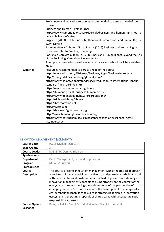|          | Preliminary and indicative resources recommended to peruse ahead of the      |
|----------|------------------------------------------------------------------------------|
|          | course:                                                                      |
|          | <b>Business and Human Rights Journal</b>                                     |
|          | https://www.cambridge.org/core/journals/business-and-human-rights-journal    |
|          | (available from KCentre)                                                     |
|          | Ruggie G. (2013) Just Business: Multinational Corporations and Human Rights, |
|          | W.W. Norton                                                                  |
|          | Baumann-Pauly D. & Nolan J (eds), (2016) Business and Human Rights           |
|          | From Principles to Practice, Routledge                                       |
|          | Rodriguez-Garavito C. (ed), (2017) Business and Human Rights Beyond the End  |
|          | of the Beginning, Cambridge University Press                                 |
|          | A comprehensive selection of academic articles and e-books will be available |
|          | on $K2$ .                                                                    |
| Websites | Resources recommended to peruse ahead of the course:                         |
|          | https://www.ohchr.org/EN/Issues/Business/Pages/BusinessIndex.aspx            |
|          | http://mneguidelines.oecd.org/global-forum/                                  |
|          | https://www.ilo.org/global/standards/introduction-to-international-labour-   |
|          | standards/lang--en/index.htm                                                 |
|          | https://www.business-humanrights.org                                         |
|          | https://humanrights.dk/business-human-rights                                 |
|          | https://www.openglobalrights.org/corporations/                               |
|          | https://rightscolab.org/about/                                               |
|          | https://bcorporation.net                                                     |
|          | https://wfto.com                                                             |
|          | https://businessfightspoverty.org                                            |
|          | http://www.humanrightsandbusiness.org                                        |
|          | https://www.nottingham.ac.uk/research/beacons-of-excellence/rights-          |
|          | lab/index.aspx                                                               |

#### <span id="page-11-0"></span>INNOVATION MANAGEMENT & CREATIVITY

| <b>Course Code</b>    | PGE.FINM1.HRCOR.0344                                                                                                                                                                                                                                                                                                                                                                                                                                                                                                                                                       |
|-----------------------|----------------------------------------------------------------------------------------------------------------------------------------------------------------------------------------------------------------------------------------------------------------------------------------------------------------------------------------------------------------------------------------------------------------------------------------------------------------------------------------------------------------------------------------------------------------------------|
| <b>ECTS Credits</b>   | 3                                                                                                                                                                                                                                                                                                                                                                                                                                                                                                                                                                          |
| <b>Course Leader</b>  | ROSSETTO Dennys Eduardo                                                                                                                                                                                                                                                                                                                                                                                                                                                                                                                                                    |
| <b>Synchronous</b>    | 18                                                                                                                                                                                                                                                                                                                                                                                                                                                                                                                                                                         |
| <b>Department</b>     | Dept. Management, Law and Organization                                                                                                                                                                                                                                                                                                                                                                                                                                                                                                                                     |
| Program               | M1 ABM Suzhou                                                                                                                                                                                                                                                                                                                                                                                                                                                                                                                                                              |
| <b>Prerequisites</b>  |                                                                                                                                                                                                                                                                                                                                                                                                                                                                                                                                                                            |
| <b>Course</b>         | This course presents innovation management with a theoretical approach                                                                                                                                                                                                                                                                                                                                                                                                                                                                                                     |
| <b>Description</b>    | associated with managerial perspectives to undertake in a turbulent world<br>with uncertainties and post-pandemic context. It presents a wide range of<br>innovation management concepts focusing strongly on the context of the<br>ecosystems, also introducing some elements as of the perspective of<br>emerging markets. So, this course aims the development of managerial and<br>entrepreneurial capabilities to exercise strategic leadership in innovation<br>ecosystems, generating proposals of shared value with a corporate social<br>responsibility approach. |
| <b>Course Open to</b> | Belo /Fall;#Lille /Fall;#Paris /Fall;#Sophia /Fall;#Suzhou /Fall                                                                                                                                                                                                                                                                                                                                                                                                                                                                                                           |
| <b>Exchange</b>       |                                                                                                                                                                                                                                                                                                                                                                                                                                                                                                                                                                            |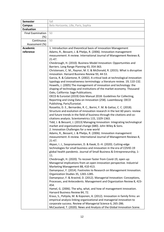| <b>Semester</b>          | fall                                                                                                                                              |
|--------------------------|---------------------------------------------------------------------------------------------------------------------------------------------------|
| <b>Campus</b>            | Belo Horizonte, Lille, Paris, Sophia                                                                                                              |
| <b>Evaluation</b>        |                                                                                                                                                   |
| <b>Final Examination</b> | 50                                                                                                                                                |
| (%)                      |                                                                                                                                                   |
| Continuous               | 50                                                                                                                                                |
| Assessment (%)           |                                                                                                                                                   |
| Academic                 | 1. Introduction and theoretical basis of innovation Management                                                                                    |
| reference                | Adams, R., Bessant, J. & Phelps, R. (2006). Innovation management                                                                                 |
|                          | measurement: A review. International Journal of Management Reviews 8,                                                                             |
|                          | $21 - 47.$                                                                                                                                        |
|                          | Chesbrough, H. (2010). Business Model Innovation: Opportunities and                                                                               |
|                          | Barriers. Long Range Planning 43, 354-363.                                                                                                        |
|                          | Christensen, C. M., Raynor, M. E. & McDonald, R. (2015). What is disruptive                                                                       |
|                          | innovation. Harvard Business Review 93, 44-53.                                                                                                    |
|                          | Garcia, R. & Calantone, R. (2002). A critical look at technological innovation                                                                    |
|                          | typology and innovativeness terminology: a literature review. 19, 110-132.                                                                        |
|                          | Howells, J. (2005) The management of innovation and technology: the                                                                               |
|                          | shaping of technology and institutions of the market economy. Thousand                                                                            |
|                          | Oaks, California: Sage Publications.                                                                                                              |
|                          | OECD & Eurostat (2019) Oslo Manual 2018: Guidelines for Collecting,                                                                               |
|                          | Reporting and Using Data on Innovation (258). Luxembourg: OECD<br>Publishing, Paris/Eurostat.                                                     |
|                          | Rossetto, D. E., Bernardes, R. C., Borini, F. M. & Gattaz, C. C. (2018).                                                                          |
|                          | Structure and evolution of innovation research in the last 60 years: review                                                                       |
|                          | and future trends in the field of business through the citations and co-                                                                          |
|                          | citations analysis. Scientometrics 115, 1329-1363.                                                                                                |
|                          | Tidd, J. & Bessant, J. (2013) Managing Innovation: Integrating technological                                                                      |
|                          | market and organizational change (680). John Wiley & Sons.                                                                                        |
|                          | 2. Innovation Challenges for a new world                                                                                                          |
|                          | Adams, R., Bessant, J. & Phelps, R. (2006). Innovation management                                                                                 |
|                          | measurement: A review. International Journal of Management Reviews 8,                                                                             |
|                          | $21 - 47.$                                                                                                                                        |
|                          | Akpan, I. J., Soopramanien, D. & Kwak, D.-H. (2020). Cutting-edge                                                                                 |
|                          | technologies for small business and innovation in the era of COVID-19                                                                             |
|                          | global health pandemic. Journal of Small Business & Entrepreneurship, 1-                                                                          |
|                          | 11.                                                                                                                                               |
|                          | Chesbrough, H. (2020). To recover faster from Covid-19, open up:                                                                                  |
|                          | Managerial implications from an open innovation perspective. Industrial                                                                           |
|                          | Marketing Management 88, 410-413.                                                                                                                 |
|                          | Damanpour, F. (2014). Footnotes to Research on Management Innovation.                                                                             |
|                          | Organization Studies 35, 1265-1285.                                                                                                               |
|                          | Damanpour, F. & Aravind, D. (2012). Managerial Innovation: Conceptions,<br>Processes, and Antecedents. Management and Organization Review 8, 423- |
|                          | 454.                                                                                                                                              |
|                          | Hamel, G. (2006). The why, what, and how of management innovation.                                                                                |
|                          | Harvard Business Review 84, 72.                                                                                                                   |
|                          | Kraus, S., Pohjola, M. & Koponen, A. (2012). Innovation in family firms: an                                                                       |
|                          | empirical analysis linking organizational and managerial innovation to                                                                            |
|                          | corporate success. Review of Managerial Science 6, 265-286.                                                                                       |
|                          | McCausland, T. (2020). News and Analysis of the Global Innovation Scene.                                                                          |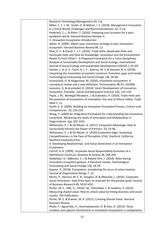| Research-Technology Management 63, 2-8.                                                                                           |
|-----------------------------------------------------------------------------------------------------------------------------------|
| Millar, C. C. J. M., Groth, O. & Mahon, J. F. (2018). Management Innovation                                                       |
| in a VUCA World: Challenges and Recommendations. 61, 5-14.                                                                        |
| Pedersen, C. L. & Ritter, T. (2020). Preparing your business for a post-                                                          |
| pandemic world. Harvard Business Review, 4.                                                                                       |
| 3. Innovation Ecosystems Introduction                                                                                             |
| Adner, R. (2006). Match your innovation strategy to your innovation                                                               |
| ecosystem. Harvard Business Review 84, 12.                                                                                        |
| Elias, G. C. & David, F. J. C. (2010). Triple Helix, Quadruple Helix and                                                          |
| Quintuple Helix and How Do Knowledge, Innovation and the Environment                                                              |
| Relate To Each Other? : A Proposed Framework for a Trans-disciplinary                                                             |
| Analysis of Sustainable Development and Social Ecology. International                                                             |
| Journal of Social Ecology and Sustainable Development (IJSESD) 1, 41-69.                                                          |
| Gomes, L. A. d. V., Facin, A. L. F., Salerno, M. S. & Ikenami, R. K. (2018).                                                      |
| Unpacking the innovation ecosystem construct: Evolution, gaps and trends.                                                         |
| Technological Forecasting and Social Change 136, 30-48.                                                                           |
| Granstrand, O. & Holgersson, M. (2020). Innovation ecosystems: A                                                                  |
| conceptual review and a new definition. Technovation 90-91, 102098.                                                               |
| Juceviius, G. & Grumadait, K. (2014). Smart Development of Innovation                                                             |
| Ecosystem. Procedia - Social and Behavioral Sciences 156, 125-129.                                                                |
| Pique, J. M., Berbegal-Mirabent, J. & Etzkowitz, H. (2018). Triple Helix and                                                      |
| the evolution of ecosystems of innovation: the case of Silicon Valley. Triple                                                     |
| Helix 5, 11.                                                                                                                      |
| Smith, K. R. (2006). Building an Innovation Ecosystem: Process, Culture and                                                       |
| Competencies. 20, 219-224.                                                                                                        |
| Wang, P. (2009) An integrative framework for understanding the innovation                                                         |
| ecosystem. Advancing the Study of Innovation and Globalization in                                                                 |
| Organizations. (pp. 301-314).                                                                                                     |
| Williamson, P. J. & De Meyer, A. (2012). Ecosystem Advantage: How to                                                              |
| Successfully Harness the Power of Partners. 55, 24-46.                                                                            |
| Williamson, P. J. & De Meyer, A. (2020) Ecosystem Edge: Sustaining                                                                |
| Competitiveness in the Face of Disruption (216). Stanford, California:                                                            |
| <b>Stanford University Press.</b>                                                                                                 |
| 4. Developing Relationships and Value Generation in an Innovation                                                                 |
| Ecosystems                                                                                                                        |
| Carroll, A. B. (1999). Corporate Social Responsibility: Evolution of a<br>Definitional Construct. Business & Society 38, 268-295. |
| Dedehayir, O., Mäkinen, S. J. & Roland Ortt, J. (2018). Roles during                                                              |
| innovation ecosystem genesis: A literature review. Technological                                                                  |
| Forecasting and Social Change 136, 18-29.                                                                                         |
| Kapoor, R. (2018). Ecosystems: broadening the locus of value creation.                                                            |
| Journal of Organization Design 7, 12.                                                                                             |
| Mirvis, P., Herrera, M. E. B., Googins, B. & Albareda, L. (2016). Corporate                                                       |
| social innovation: How firms learn to innovate for the greater good. Journal                                                      |
| of Business Research 69, 5014-5021.                                                                                               |
| Porter, M. E., Hills, G., Pfitzer, M., Patscheke, S. & Hawkins, E. (2012)                                                         |
| Measuring shared value: How to unlock value by linking business and social                                                        |
| results. FSG Publication.                                                                                                         |
| Porter, M. E. & Kramer, M. R. (2011). Creating Shared Value. Harvard                                                              |
| <b>Business Review.</b>                                                                                                           |
| Ritala, P., Agouridas, V., Assimakopoulos, D. & Gies, O. (2013). Value                                                            |
| creation and capture mechanisms in innovation ecosystems: a comparative                                                           |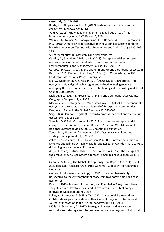| case study. 63, 244-267.                                                                                                             |
|--------------------------------------------------------------------------------------------------------------------------------------|
| Ritala, P. & Almpanopoulou, A. (2017). In defense of eco in innovation                                                               |
| ecosystem. Technovation 60-61                                                                                                        |
| Velu, C. (2015). Knowledge management capabilities of lead firms in                                                                  |
| innovation ecosystems. AMS Review 5, 123-141.                                                                                        |
| Walrave, B., Talmar, M., Podoynitsyna, K. S., Romme, A. G. L. & Verbong, G.                                                          |
| P. J. (2018). A multi-level perspective on innovation ecosystems for path-                                                           |
| breaking innovation. Technological Forecasting and Social Change 136, 103-                                                           |
| 113.                                                                                                                                 |
| 5. Entrepreneurship Ecosystems and New Ventures                                                                                      |
| Cavallo, A., Ghezzi, A. & Balocco, R. (2019). Entrepreneurial ecosystem                                                              |
| research: present debates and future directions. International                                                                       |
| Entrepreneurship and Management Journal 15, 1291-1321.                                                                               |
| Cordova, D. (2014) Creating the environment for entrepreneurial success. In                                                          |
| Bettcher, K. E., Kindle, J. & Stroker, F. (Eds.). (pp. 70). Washington, DC,                                                          |
| Center for International Private Enterprise.                                                                                         |
| Elia, G., Margherita, A. & Passiante, G. (2020). Digital entrepreneurship                                                            |
| ecosystem: How digital technologies and collective intelligence are                                                                  |
| reshaping the entrepreneurial process. Technological Forecasting and Social                                                          |
| Change 150, 119791.                                                                                                                  |
| Malecki, E. J. (2018). Entrepreneurship and entrepreneurial ecosystems.                                                              |
| Geography Compass 12, e12359.                                                                                                        |
| Maroufkhani, P., Wagner, R. & Wan Ismail Wan, K. (2018). Entrepreneurial                                                             |
| ecosystems: a systematic review. Journal of Enterprising Communities:                                                                |
| People and Places in the Global Economy 12, 545-564.<br>Spigel, B. & Harrison, R. (2018). Toward a process theory of entrepreneurial |
| ecosystems. 12, 151-168.                                                                                                             |
| Stangler, D. & Bell-Masterson, J. (2015) Measuring an entrepreneurial                                                                |
| ecosystem. Kauffman Foundation Research Series on City, Metro, and                                                                   |
| Regional Entrepreneurship. (pp. 16). Kauffman Foundation.                                                                            |
| Teece, D. J., Pisano, G. & Shuen, A. (1997). Dynamic capabilities and                                                                |
| strategic management. 18, 509-533.                                                                                                   |
| Zahra, S. A., Sapienza, H. J. & Davidsson, P. (2006). Entrepreneurship and                                                           |
| Dynamic Capabilities: A Review, Model and Research Agenda*. 43, 917-955.                                                             |
| 6. Leading Innovation in an Ecosystem                                                                                                |
| Acs, Z. J., Stam, E., Audretsch, D. B. & OConnor, A. (2017). The lineages of                                                         |
| the entrepreneurial ecosystem approach. Small Business Economics 49, 1-                                                              |
| 10.                                                                                                                                  |
| Genome, S. (2020) The Global Startup Ecosystem Report. (pp. 221). GSER                                                               |
| 2020 edn. San Francisco, CA, Startup Genome - Global Entrepreneurship                                                                |
| Network.                                                                                                                             |
| Godley, A., Morawetz, N. & Soga, L. (2019). The complementarity                                                                      |
| perspective to the entrepreneurial ecosystem taxonomy. Small Business                                                                |
| Economics.                                                                                                                           |
| Katri, V. (2015). Business, Innovation, and Knowledge Ecosystems: How                                                                |
| They Differ and How to Survive and Thrive within Them. Technology                                                                    |
| Innovation Management Review 5.                                                                                                      |
| Lukas, M. P., Andrea, B. & Tina, W. (2020). Conceptual Framework for                                                                 |
| Collaborative Open Innovation With a Startup Ecosystem. International                                                                |
| Journal of Innovation in the Digital Economy (IJIDE) 11, 21-43.                                                                      |
| Möller, K. & Halinen, A. (2017). Managing business and innovation                                                                    |
| networksFrom strategic nets to business fields and ecosystems. Industrial                                                            |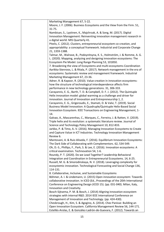| Marketing Management 67, 5-22.                                                |
|-------------------------------------------------------------------------------|
| Moore, J. F. (2006). Business Ecosystems and the View from the Firm. 51,      |
| $31 - 75.$                                                                    |
| Nambisan, S., Lyytinen, K., Majchrzak, A. & Song, M. (2017). Digital          |
| Innovation Management: Reinventing innovation management research in          |
| a digital world. MIS Quarterly 41.                                            |
| Pitelis, C. (2012). Clusters, entrepreneurial ecosystem co-creation, and      |
| appropriability: a conceptual framework. Industrial and Corporate Change      |
| 21, 1359-1388.                                                                |
| Talmar, M., Walrave, B., Podoynitsyna, K. S., Holmström, J. & Romme, A. G.    |
| L. (2020). Mapping, analyzing and designing innovation ecosystems: The        |
| Ecosystem Pie Model. Long Range Planning 53, 101850.                          |
| 7. Broadening the view of Ecosystems and multi-ecosystems Coordination        |
| Aarikka-Stenroos, L. & Ritala, P. (2017). Network management in the era of    |
| ecosystems: Systematic review and management framework. Industrial            |
| Marketing Management 67, 23-36.                                               |
| Adner, R. & Kapoor, R. (2010). Value creation in innovation ecosystems:       |
| how the structure of technological interdependence affects firm               |
| performance in new technology generations. 31, 306-333.                       |
| Carayannis, E. G., Barth, T. D. & Campbell, D. F. J. (2012). The Quintuple    |
| Helix innovation model: global warming as a challenge and driver for          |
| innovation. Journal of Innovation and Entrepreneurship 1, 2.                  |
| Carayannis, E. G., Grigoroudis, E., Stamati, D. & Valvi, T. (2019). Social    |
| Business Model Innovation: A Quadruple/Quintuple Helix-Based Social           |
| Innovation Ecosystem. IEEE Transactions on Engineering Management, 1-         |
| 14.                                                                           |
| Galvao, A., Mascarenhas, C., Marques, C., Ferreira, J. & Ratten, V. (2019).   |
| Triple helix and its evolution: a systematic literature review. Journal of    |
| Science and Technology Policy Management 10, 812-833.                         |
| Jarkko, P. & Timo, A.-V. (2016). Managing Innovation Ecosystems to Create     |
| and Capture Value in ICT Industries. Technology Innovation Management         |
| Review 6.                                                                     |
| Mantovani, A. & Ruiz-Aliseda, F. (2016). Equilibrium Innovation Ecosystems:   |
| The Dark Side of Collaborating with Complementors. 62, 534-549.               |
| Oh, D.-S., Phillips, F., Park, S. & Lee, E. (2016). Innovation ecosystems: A  |
| critical examination. Technovation 54, 1-6.                                   |
| Roundy, P. T. (2020). Do we Lead Together? Leadership Behavioral              |
| Integration and Coordination in Entrepreneurial Ecosystems. 14, 6-25.         |
| Russell, M. G. & Smorodinskaya, N. V. (2018). Leveraging complexity for       |
| ecosystemic innovation. Technological Forecasting and Social Change 136,      |
| 114-131.                                                                      |
| 8. Collaborative, Inclusive, and Sustainable Ecosystems                       |
| Böhmer, A. I. & Lindemann, U. (2015) Open innovation ecosystem: Towards       |
| collaborative innovation. In ICED (Ed., Proceedings of the 20th International |
| Conference on Engineering Design (ICED 15). (pp. 031-040). Milan, Italy,      |
| Innovation and Creativity.                                                    |
| Bosch-Sijtsema, P. M. & Bosch, J. (2014) Aligning innovation ecosystem        |
| strategies with internal R&D. 2014 IEEE International Conference on           |
| Management of Innovation and Technology. (pp. 424-430).                       |
| Chesbrough, H., Kim, S. & Agogino, A. (2014). Chez Panisse: Building an       |
| Open Innovation Ecosystem. California Management Review 56, 144-171.          |
| Estellés-Arolas, E. & González-Ladrón-de-Guevara, F. (2012). Towards an       |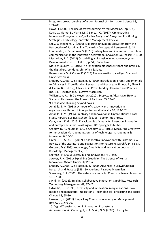| integrated crowdsourcing definition. Journal of Information Science 38,        |
|--------------------------------------------------------------------------------|
| 189-200.                                                                       |
| Howe, J. (2006) The rise of crowdsourcing. Wired Magazine. (pp. 1-4).          |
| Katri, V., Marko, S., Maria, M. & Simo, J.-O. (2017). Orchestrating            |
| Innovation Ecosystems: A Qualitative Analysis of Ecosystem Positioning         |
| Strategies. Technology Innovation Management Review.                           |
| Liu, Z. & Stephens, V. (2019). Exploring Innovation Ecosystem from the         |
| Perspective of Sustainability: Towards a Conceptual Framework. 5, 48.          |
| Luoma-aho, V. & Halonen, S. (2010). Intangibles and innovation: the role of    |
| communication in the innovation ecosystem. Innovation Journalism 7, 1-20.      |
| Mashelkar, R. A. (2012) On building an inclusive innovation ecosystem. In      |
| Development, C. o. I. f. I. (Ed. (pp. 54). Cape Town.                          |
| Mercier-Laurent, E. (2015) The innovation biosphere: Planet and brains in      |
| the digital era. London: John Wiley & Sons.                                    |
| Ramaswamy, V. & Ozcan, K. (2014) The co-creation paradigm. Stanford            |
| University Press.                                                              |
| Shneor, R., Zhao, L. & Flåten, B.-T. (2020) Introduction: From Fundamentals    |
| to Advances in Crowdfunding Research and Practice. In Shneor, R., Zhao, L.     |
| & Flåten, B.-T. (Eds.), Advances in Crowdfunding: Research and Practice.       |
| (pp. 543). Switzerland, Palgrave Macmillan.                                    |
| Williamson, P. J. & De Meyer, A. (2012). Ecosystem Advantage: How to           |
| Successfully Harness the Power of Partners. 55, 24-46.                         |
| 9. Creativity: Thinking beyond boxes                                           |
| Amabile, T. M. (1988). A model of creativity and innovation in                 |
| organizations. Research in organizational behavior 10, 123-167.                |
| Amabile, T. M. (1996) Creativity and Innovation in Organizations: A case       |
| study. Harvard Business School. (pp. 15). Boston, HBS Press.                   |
| Carayannis, E. G. (2013) Encyclopedia of creativity, invention, innovation     |
| and entrepreneurship. Washington, DC: Springer Publisher.                      |
| Cropley, D. H., Kaufman, J. C. & Cropley, A. J. (2011). Measuring Creativity   |
| for Innovation Management. Journal of technology management &                  |
| innovation 6, 13-30.                                                           |
| Greer, C. R. & Lei, D. (2012). Collaborative Innovation with Customers: A      |
| Review of the Literature and Suggestions for Future Research*. 14, 63-84.      |
| Gurteen, D. (1998). Knowledge, Creativity and Innovation. Journal of           |
| Knowledge Management 2, 5-13.                                                  |
| Legrenzi, P. (2005) Creativity and innovation (75). Icon.                      |
| Sawyer, R. K. (2011) Explaining Creativity: The Science of Human               |
| Innovation. Oxford University Press.                                           |
| Shneor, R., Zhao, L. & Flåten, B.-T. (2020) Advances in Crowdfunding:          |
| Research and Practice (543). Switzerland: Palgrave Macmillan.                  |
| Sternberg, R. J. (2006). The nature of creativity. Creativity Research Journal |
| 18, 87-98.                                                                     |
| Swink, M. (2006). Building Collaborative Innovation Capability. Research-      |
| Technology Management 49, 37-47.                                               |
| Udwadia, F. E. (1990). Creativity and innovation in organizations: Two         |
| models and managerial implications. Technological Forecasting and Social       |
| Change 38, 65-80.                                                              |
| Unsworth, K. (2001). Unpacking Creativity. Academy of Management               |
| Review 26, 289-297.                                                            |
| 10. Digital Transformation in Innovation Ecosystems                            |
| Andal-Ancion, A., Cartwright, P. A. & Yip, G. S. (2003). The digital           |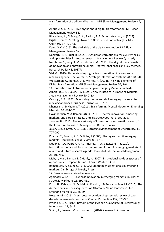| transformation of traditional business. MIT Sloan Management Review 44,                                                                           |
|---------------------------------------------------------------------------------------------------------------------------------------------------|
| 10.                                                                                                                                               |
| Andriole, S. J. (2017). Five myths about digital transformation. MIT Sloan<br>Management Review 58.                                               |
| Bharadwaj, A., El Sawy, O. A., Pavlou, P. A. & Venkatraman, N. (2013).                                                                            |
| Digital Business Strategy: Toward a Next Generation of Insights. MIS                                                                              |
| Quarterly 37, 471-482.                                                                                                                            |
| Kane, G. C. (2016). The dark side of the digital revolution. MIT Sloan                                                                            |
| Management Review 57.                                                                                                                             |
| Nadkarni, S. & Prügl, R. (2020). Digital transformation: a review, synthesis                                                                      |
| and opportunities for future research. Management Review Quarterly.                                                                               |
| Nambisan, S., Wright, M. & Feldman, M. (2019). The digital transformation                                                                         |
| of innovation and entrepreneurship: Progress, challenges and key themes.                                                                          |
| Research Policy 48, 103773.                                                                                                                       |
| Vial, G. (2019). Understanding digital transformation: A review and a                                                                             |
| research agenda. The Journal of Strategic Information Systems 28, 118-144.                                                                        |
| Westerman, G., Bonnet, D. & McAfee, A. (2014). The Nine Elements of                                                                               |
| Digital Transformation. MIT Sloan Management Review 55, 1-6.                                                                                      |
| 11. Innovation and Entrepreneurship in Emerging Markets Contexts                                                                                  |
| Arnold, D. J. & Quelch, J. A. (1998). New Strategies in Emerging Markets.                                                                         |
| Sloan Management Review 40, 7-20.                                                                                                                 |
| Cavusgil, S. T. (1997). Measuring the potential of emerging markets: An                                                                           |
| indexing approach. Business Horizons 40, 87-91.                                                                                                   |
| Dhanaraj, C. & Khanna, T. (2011). Transforming Mental Models on Emerging                                                                          |
| Markets. 10, 684-701.                                                                                                                             |
| Govindarajan, V. & Ramamurti, R. (2011). Reverse innovation, emerging                                                                             |
| markets, and global strategy. Global Strategy Journal 1, 191-205.                                                                                 |
| Jalonen, H. (2012). The uncertainty of innovation: a systematic review of                                                                         |
| the literature. Journal of Management Research 4, 47.                                                                                             |
| Jauch, L. R. & Kraft, K. L. (1986). Strategic Management of Uncertainty. 11,                                                                      |
| 777-790.                                                                                                                                          |
| Khanna, T., Palepu, K. G. & Sinha, J. (2005). Strategies that fit emerging                                                                        |
| markets. Harvard Business Review 83, 4-19.                                                                                                        |
| Liedong, T. A., Peprah, A. A., Amartey, A. O. & Rajwani, T. (2020).                                                                               |
| Institutional voids and firms' resource commitment in emerging markets: A                                                                         |
| review and future research agenda. Journal of International Management                                                                            |
| 26, 100756.                                                                                                                                       |
| Mair, J., Marti Lanuza, I. & Ganly, K. (2007). Institutional voids as spaces of                                                                   |
| opportunity. European Business Forum Winter, 34-39.                                                                                               |
| Ramamurti, R. & Singh, J. V. (2009) Emerging multinationals in emerging                                                                           |
| markets. Cambridge University Press.                                                                                                              |
| 12. Resource-constrained Innovation                                                                                                               |
| Agnihotri, A. (2015). Low-cost innovation in emerging markets. Journal of                                                                         |
| Strategic Marketing 23, 399-411.                                                                                                                  |
| Ernst, H., Kahle, H. N., Dubiel, A., Prabhu, J. & Subramaniam, M. (2015). The<br>Antecedents and Consequences of Affordable Value Innovations for |
| Emerging Markets. 32, 65-79.                                                                                                                      |
| Hossain, M. (2016). Grassroots innovation: A systematic review of two                                                                             |
| decades of research. Journal of Cleaner Production 137, 973-981.                                                                                  |
| Prahalad, C. K. (2012). Bottom of the Pyramid as a Source of Breakthrough                                                                         |
| Innovations. 29, 6-12.                                                                                                                            |
| Smith, A., Fressoli, M. & Thomas, H. (2014). Grassroots innovation                                                                                |
|                                                                                                                                                   |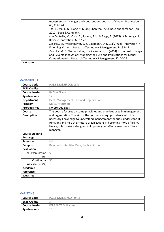|                 | movements: challenges and contributions. Journal of Cleaner Production       |
|-----------------|------------------------------------------------------------------------------|
|                 | 63, 114-124.                                                                 |
|                 | Tse, E., Ma, K. & Huang, Y. (2009) Shan zhai: A Chinese phenomenon. (pp.     |
|                 | 2010). Booz & Company.                                                       |
|                 | von Zedtwitz, M., Corsi, S., Søberg, P. V. & Frega, R. (2015). A Typology of |
|                 | Reverse Innovation. 32, 12-28.                                               |
|                 | Zeschky, M., Widenmayer, B. & Gassmann, O. (2011). Frugal Innovation in      |
|                 | Emerging Markets. Research-Technology Management 54, 38-45.                  |
|                 | Zeschky, M. B., Winterhalter, S. & Gassmann, O. (2014). From Cost to Frugal  |
|                 | and Reverse Innovation: Mapping the Field and Implications for Global        |
|                 | Competitiveness. Research-Technology Management 57, 20-27.                   |
| <b>Websites</b> |                                                                              |

# <span id="page-18-0"></span>MANAGING HR

| <b>Course Code</b>                       | PGE.FINM1.HRCOR.0343                                                                                                                                                                                                                                                                                                                                                                          |
|------------------------------------------|-----------------------------------------------------------------------------------------------------------------------------------------------------------------------------------------------------------------------------------------------------------------------------------------------------------------------------------------------------------------------------------------------|
| <b>ECTS Credits</b>                      | $\mathcal{P}$                                                                                                                                                                                                                                                                                                                                                                                 |
| <b>Course Leader</b>                     | <b>BACHA Eliane</b>                                                                                                                                                                                                                                                                                                                                                                           |
| <b>Synchronous</b>                       | 12                                                                                                                                                                                                                                                                                                                                                                                            |
| <b>Department</b>                        | Dept. Management, Law and Organization                                                                                                                                                                                                                                                                                                                                                        |
| Program                                  | M1 ABM Suzhou                                                                                                                                                                                                                                                                                                                                                                                 |
| <b>Prerequisites</b>                     | No prerequisites                                                                                                                                                                                                                                                                                                                                                                              |
| Course<br><b>Description</b>             | This course focuses on some principles and practices used in management<br>and organization. The aim of the course is to equip students with the<br>necessary knowledge to understand management theories, understand HR<br>functions and help their future organizations in becoming more efficient.<br>Hence, this course is designed to improve your effectiveness as a future<br>manager. |
| <b>Course Open to</b><br><b>Exchange</b> |                                                                                                                                                                                                                                                                                                                                                                                               |
| Semester                                 | fall                                                                                                                                                                                                                                                                                                                                                                                          |
| <b>Campus</b>                            | Belo Horizonte, Lille, Paris, Sophia, Suzhou                                                                                                                                                                                                                                                                                                                                                  |
| <b>Evaluation</b>                        |                                                                                                                                                                                                                                                                                                                                                                                               |
| <b>Final Examination</b>                 | 50                                                                                                                                                                                                                                                                                                                                                                                            |
| (%)                                      |                                                                                                                                                                                                                                                                                                                                                                                               |
| Continuous                               | 50                                                                                                                                                                                                                                                                                                                                                                                            |
| Assessment (%)                           |                                                                                                                                                                                                                                                                                                                                                                                               |
| <b>Academic</b>                          |                                                                                                                                                                                                                                                                                                                                                                                               |
| reference                                |                                                                                                                                                                                                                                                                                                                                                                                               |
| <b>Websites</b>                          |                                                                                                                                                                                                                                                                                                                                                                                               |

# <span id="page-18-1"></span>MARKETING

| <b>Course Code</b>  | PGE.FINM1.MKCOR.0411      |
|---------------------|---------------------------|
| <b>ECTS Credits</b> |                           |
| Course Leader       | <b>FERRANTE Guillaume</b> |
| <b>Synchronous</b>  | 18                        |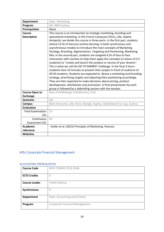| <b>Department</b>        | Dept. Marketing                                                                                                                               |
|--------------------------|-----------------------------------------------------------------------------------------------------------------------------------------------|
| Program                  | M1 ABM Suzhou                                                                                                                                 |
| <b>Prerequisites</b>     | None                                                                                                                                          |
| <b>Course</b>            | This course is an introduction to strategic marketing, branding and                                                                           |
| <b>Description</b>       | operational marketing. In the French Campuses (Paris, Lille, Sophia                                                                           |
|                          | Antipolis), we divide this course in three parts: in the first part, students                                                                 |
|                          | attend 13.5h of lectures (online learning, in both synchronous and                                                                            |
|                          | asynchronous modes) to introduce the main concepts of Marketing                                                                               |
|                          | Strategy, Branding, Segmentation, Targeting and Positioning, Marketing<br>Mix; in the second part, students are assigned 4,5h of face to face |
|                          | interaction with coaches to help them apply the concepts (in teams of 4-5                                                                     |
|                          | students) to "create and launch the product or service of your dreams".                                                                       |
|                          | This is what we call the GO TO MARKET challenge. In the final 3 hours                                                                         |
|                          | students have 10 minutes to present their project in front of audience of                                                                     |
|                          | 40-50 students. Students are expected to devise a marketing and branding                                                                      |
|                          | strategy, prioritising targets and adjusting their positioning accordingly.                                                                   |
|                          | They are then expected to make decisions about pricing, product                                                                               |
|                          | development, distribution and promotion. A final presentation by each                                                                         |
|                          | group is followed by a debriefing session with the teacher.                                                                                   |
| <b>Course Open to</b>    | Belo /Fall;#Raleigh /Fall;#Suzhou /Fall                                                                                                       |
| <b>Exchange</b>          |                                                                                                                                               |
| <b>Semester</b>          | fall                                                                                                                                          |
| <b>Campus</b>            | Belo Horizonte, Lille, Paris, Raleigh, Sophia, Stellenbosch-Le Cap, Suzhou                                                                    |
| <b>Evaluation</b>        |                                                                                                                                               |
| <b>Final Examination</b> | 15                                                                                                                                            |
| $(\%)$                   |                                                                                                                                               |
| Continuous               | 85                                                                                                                                            |
| Assessment (%)           |                                                                                                                                               |
| <b>Academic</b>          | - Kotler et al. (2015) Principles of Marketing. Pearson.                                                                                      |
| reference                |                                                                                                                                               |
| <b>Websites</b>          |                                                                                                                                               |

# <span id="page-19-0"></span>MSc Corporate Financial Management

# <span id="page-19-1"></span>ACCOUNTING PREREQUISITES

| <b>Course Code</b>   | MSC.CFMM2.FIELE.0146                  |
|----------------------|---------------------------------------|
| <b>ECTS Credits</b>  | 0                                     |
| <b>Course Leader</b> | <b>CHIKH Sabrina</b>                  |
| Synchronous          | 6                                     |
| <b>Department</b>    | Dept. Accounting and Finance          |
| Program              | <b>Corporate Financial Management</b> |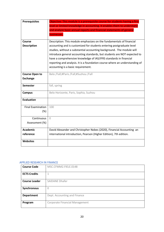| <b>Prerequisites</b>     | Objective: This module is a prerequisite course for students having a first |
|--------------------------|-----------------------------------------------------------------------------|
|                          | level or limited knowledge in accounting. It enables them to understand     |
|                          | and analyze basic annual reports and financial statements of general        |
|                          | businesses.                                                                 |
|                          |                                                                             |
| Course                   | Description: This module emphasizes on the fundamentals of financial        |
| <b>Description</b>       | accounting and is customized for students entering postgraduate level       |
|                          | studies, without a substantial accounting background. The module will       |
|                          | introduce general accounting standards, but students are NOT expected to    |
|                          | have a comprehensive knowledge of IAS/IFRS standards in financial           |
|                          | reporting and analysis. It is a foundation course where an understanding of |
|                          | accounting is a basic requirement.                                          |
| <b>Course Open to</b>    | Belo /Fall;#Paris /Fall;#Suzhou /Fall                                       |
| <b>Exchange</b>          |                                                                             |
| <b>Semester</b>          | fall, spring                                                                |
| <b>Campus</b>            | Belo Horizonte, Paris, Sophia, Suzhou                                       |
| <b>Evaluation</b>        |                                                                             |
| <b>Final Examination</b> | 100                                                                         |
| (%)                      |                                                                             |
| Continuous               | $\Omega$                                                                    |
| Assessment (%)           |                                                                             |
|                          |                                                                             |
| <b>Academic</b>          | David Alexander and Christopher Nobes (2020), Financial Accounting an       |
| reference                | international introduction, Pearson (Higher Edition), 7th edition.          |
| <b>Websites</b>          |                                                                             |

#### <span id="page-20-0"></span>APPLIED RESEARCH IN FINANCE

| <b>Course Code</b>   | MSC.CFMM2.FIELE.0148                  |
|----------------------|---------------------------------------|
| <b>ECTS Credits</b>  | 1                                     |
| <b>Course Leader</b> | <b>SAIDANE Dhafer</b>                 |
| Synchronous          | $\Omega$                              |
| <b>Department</b>    | Dept. Accounting and Finance          |
| Program              | <b>Corporate Financial Management</b> |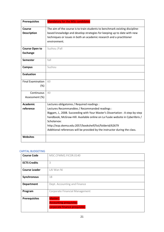| <b>Prerequisites</b>     | <b>Mandatory for the MSc candidates</b>                                       |
|--------------------------|-------------------------------------------------------------------------------|
| <b>Course</b>            | The aim of the course is to train students to benchmark existing discipline-  |
| <b>Description</b>       | based knowledge and develop strategies for keeping up to date with new        |
|                          | techniques or issues in both an academic research and a practitioner          |
|                          | environment.                                                                  |
|                          |                                                                               |
| <b>Course Open to</b>    | Suzhou /Fall                                                                  |
| <b>Exchange</b>          |                                                                               |
| <b>Semester</b>          | fall                                                                          |
| <b>Campus</b>            | Suzhou                                                                        |
| <b>Evaluation</b>        |                                                                               |
| <b>Final Examination</b> | 60                                                                            |
| (%)                      |                                                                               |
| Continuous               | 40                                                                            |
| Assessment (%)           |                                                                               |
|                          |                                                                               |
| <b>Academic</b>          | Lectures obligatoires / Required readings :                                   |
| reference                | Lectures Recommandées / Recommanded readings :                                |
|                          | Biggam, J., 2008. Succeeding with Your Master's Dissertation : A step-by-step |
|                          | handbook, McGraw-Hill. Available online on La Fusée website in Cyberlibris /  |
|                          | Scholarvox:                                                                   |
|                          | http://ezp.skema.edu:2057/bookshelf/list/folderid/62679                       |
|                          | Additional references will be provided by the instructor during the class.    |
| <b>Websites</b>          |                                                                               |

## <span id="page-21-0"></span>CAPITAL BUDGETING

| <b>Course Code</b>   | MSC.CFMM2.FICOR.0140                                                      |
|----------------------|---------------------------------------------------------------------------|
| <b>ECTS Credits</b>  | 3                                                                         |
| <b>Course Leader</b> | LAI Wan Ni                                                                |
| Synchronous          | 18                                                                        |
| <b>Department</b>    | Dept. Accounting and Finance                                              |
| Program              | <b>Corporate Financial Management</b>                                     |
| <b>Prerequisites</b> | Master1<br><b>Accounting prequisites</b><br>corporate finance prequisites |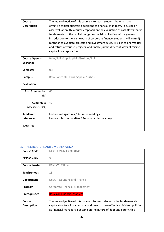| <b>Course</b>                                                                         | The main objective of this course is to teach students how to make              |
|---------------------------------------------------------------------------------------|---------------------------------------------------------------------------------|
| <b>Description</b>                                                                    | effective capital budgeting decisions as financial managers. Focusing on        |
|                                                                                       | asset valuation, this course emphasis on the evaluation of cash flows that is   |
|                                                                                       | fundamental to the capital budgeting decision. Starting with a general          |
|                                                                                       | introduction to the framework of corporate finance, students will learn (i)     |
|                                                                                       | methods to evaluate projects and investment rules, (ii) skills to analyze risk  |
|                                                                                       | and return of various projects, and finally (iii) the different ways of raising |
|                                                                                       | capital in a corporation.                                                       |
|                                                                                       |                                                                                 |
| <b>Course Open to</b>                                                                 | Belo /Fall;#Sophia /Fall;#Suzhou /Fall                                          |
| <b>Exchange</b>                                                                       |                                                                                 |
|                                                                                       |                                                                                 |
| Semester                                                                              | fall                                                                            |
| <b>Campus</b>                                                                         | Belo Horizonte, Paris, Sophia, Suzhou                                           |
|                                                                                       |                                                                                 |
| <b>Evaluation</b>                                                                     |                                                                                 |
|                                                                                       |                                                                                 |
|                                                                                       |                                                                                 |
|                                                                                       |                                                                                 |
|                                                                                       |                                                                                 |
|                                                                                       |                                                                                 |
|                                                                                       |                                                                                 |
| <b>Academic</b>                                                                       | Lectures obligatoires / Required readings :                                     |
| reference                                                                             | Lectures Recommandées / Recommanded readings :                                  |
|                                                                                       |                                                                                 |
|                                                                                       |                                                                                 |
| <b>Final Examination</b><br>$(\%)$<br>Continuous<br>Assessment (%)<br><b>Websites</b> | 60<br>40                                                                        |

#### <span id="page-22-0"></span>CAPITAL STRUCTURE AND DIVIDEND POLICY

| <b>Course Code</b>   | MSC.CFMM2.FICOR.0141                                                       |
|----------------------|----------------------------------------------------------------------------|
| <b>ECTS Credits</b>  | 3                                                                          |
| <b>Course Leader</b> | RENUCCI Céline                                                             |
| <b>Synchronous</b>   | 18                                                                         |
| <b>Department</b>    | Dept. Accounting and Finance                                               |
| Program              | <b>Corporate Financial Management</b>                                      |
| <b>Prerequisites</b> | <b>Basics on Financial Markets</b>                                         |
| Course               | The main objective of this course is to teach students the fundamentals of |
| <b>Description</b>   | capital structure in a company and how to make effective dividend policies |
|                      | as financial managers. Focusing on the nature of debt and equity, this     |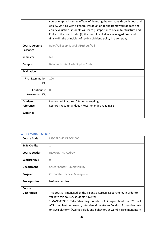|                          | course emphasis on the effects of financing the company through debt and      |
|--------------------------|-------------------------------------------------------------------------------|
|                          | equity. Starting with a general introduction to the framework of debt and     |
|                          | equity valuation, students will learn (i) importance of capital structure and |
|                          | limits to the use of debt, (ii) the cost of capital in a leveraged firm, and  |
|                          | finally (iii) the principles of setting dividend policy in a company.         |
| <b>Course Open to</b>    | Belo /Fall;#Sophia /Fall;#Suzhou /Fall                                        |
| <b>Exchange</b>          |                                                                               |
| <b>Semester</b>          | fall                                                                          |
| <b>Campus</b>            | Belo Horizonte, Paris, Sophia, Suzhou                                         |
| <b>Evaluation</b>        |                                                                               |
| <b>Final Examination</b> | 100                                                                           |
| $(\%)$                   |                                                                               |
| Continuous               | $\Omega$                                                                      |
| Assessment (%)           |                                                                               |
| <b>Academic</b>          | Lectures obligatoires / Required readings :                                   |
| reference                | Lectures Recommandées / Recommanded readings :                                |
| <b>Websites</b>          |                                                                               |

# <span id="page-23-0"></span>CAREER MANAGEMENT 1

| <b>Course Code</b>   | MSC.TRCM2.DREOR.0001                                                                                                                                                                                                               |
|----------------------|------------------------------------------------------------------------------------------------------------------------------------------------------------------------------------------------------------------------------------|
| <b>ECTS Credits</b>  | $\mathbf{1}$                                                                                                                                                                                                                       |
| <b>Course Leader</b> | <b>BEAUGRAND Audrey</b>                                                                                                                                                                                                            |
| <b>Synchronous</b>   | $\Omega$                                                                                                                                                                                                                           |
| <b>Department</b>    | Career Center - Employability                                                                                                                                                                                                      |
| Program              | <b>Corporate Financial Management</b>                                                                                                                                                                                              |
| <b>Prerequisites</b> | <b>NoPrerequisites</b>                                                                                                                                                                                                             |
| <b>Course</b>        |                                                                                                                                                                                                                                    |
| <b>Description</b>   | This course is managed by the Talent & Careers Department. In order to<br>validate this course, students have to:                                                                                                                  |
|                      | 1 MANDATORY : Take E-learning module on Abintegro plateform (CV check<br>ATS compliant, Job search, Interview simulator) + Conduct 5 cognitive tests<br>on AON platform (Abilities, skills and behaviors at work) + Take mandatory |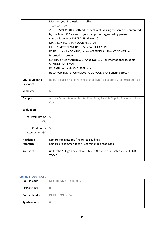|                          | Mooc on your Professional profile                                               |
|--------------------------|---------------------------------------------------------------------------------|
|                          | + EVALUATION                                                                    |
|                          | 2 NOT MANDATORY: Attend Career Events during the semester organized             |
|                          | by the Talent & Careers on your campus or organized by partners                 |
|                          | companies (check JOBTEASER Platform)                                            |
|                          | <b>MAIN CONTACTS FOR YOUR PROGRAM:</b>                                          |
|                          | LILLE: Audrey BEAUGRAND & Feryel HOUSSEIN                                       |
|                          | PARIS: Laura SINDONINO, Janice M'BENGO & Miina VAISANEN (for                    |
|                          | International students)                                                         |
|                          | SOPHIA: Sylvie MARTINAUD, Anne DUFLOS (for International students)              |
|                          | <b>SUZHOU: April YANG</b>                                                       |
|                          | RALEIGH: Amanda CHAMBERLAIN                                                     |
|                          | BELO HORIZONTE : Geneviève POULINGUE & Ana Cristina BRAGA                       |
|                          |                                                                                 |
| <b>Course Open to</b>    | Belo /Fall;#Lille /Fall;#Paris /Fall;#Raleigh /Fall;#Sophia /Fall;#Suzhou /Fall |
| <b>Exchange</b>          |                                                                                 |
| Semester                 | fall                                                                            |
| <b>Campus</b>            | Autre / Other, Belo Horizonte, Lille, Paris, Raleigh, Sophia, Stellenbosch-Le   |
|                          | Cap                                                                             |
|                          |                                                                                 |
| <b>Evaluation</b>        |                                                                                 |
| <b>Final Examination</b> | 50                                                                              |
| (%)                      |                                                                                 |
|                          |                                                                                 |
| Continuous               | 50                                                                              |
| Assessment (%)           |                                                                                 |
| <b>Academic</b>          | Lectures obligatoires / Required readings :                                     |
| reference                | Lectures Recommandées / Recommanded readings :                                  |
|                          |                                                                                 |
| <b>Websites</b>          | under the YEP go and click on: Talent & Careers -> Jobteaser -> SKEMA           |
|                          | <b>TOOLS</b>                                                                    |
|                          |                                                                                 |

### <span id="page-24-0"></span>CHINESE - ADVANCED

| <b>Course Code</b>   | MSC.TRCM2.OTCOR.0035   |
|----------------------|------------------------|
| <b>ECTS Credits</b>  |                        |
| <b>Course Leader</b> | <b>DURANTON Hélène</b> |
| Synchronous          |                        |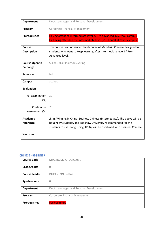| <b>Department</b>                        | Dept. Languages and Personal Development                                                                                                                           |
|------------------------------------------|--------------------------------------------------------------------------------------------------------------------------------------------------------------------|
| Program                                  | Corporate Financial Management                                                                                                                                     |
| <b>Prerequisites</b>                     | Having attended intermediate level 2/ Pre-advanced in Suzhou campus.<br>Or having attended the intermediate level (210 hours) at other campus.                     |
| Course<br><b>Description</b>             | This course is an Advanced level course of Mandarin Chinese designed for<br>students who want to keep learning after Intermediate level 3/ Pre-<br>Advanced level. |
| <b>Course Open to</b><br><b>Exchange</b> | Suzhou /Fall;#Suzhou /Spring                                                                                                                                       |
| <b>Semester</b>                          | fall                                                                                                                                                               |
| <b>Campus</b>                            | Suzhou                                                                                                                                                             |
| <b>Evaluation</b>                        |                                                                                                                                                                    |
| <b>Final Examination</b>                 | 30                                                                                                                                                                 |
| (%)                                      |                                                                                                                                                                    |
| Continuous                               | 70                                                                                                                                                                 |
| Assessment (%)                           |                                                                                                                                                                    |
| <b>Academic</b>                          | Ji Jin, Winning in China Business Chinese (Intermediate). The books will be                                                                                        |
| reference                                | bought by students, and Soochow University recommended for the<br>students to use. Jiang Liping, HSK4, will be combined with business Chinese.                     |
| <b>Websites</b>                          |                                                                                                                                                                    |

### <span id="page-25-0"></span>CHINESE - BEGINNER

| <b>Course Code</b>   | MSC.TRCM2.OTCOR.0031                     |
|----------------------|------------------------------------------|
| <b>ECTS Credits</b>  |                                          |
| <b>Course Leader</b> | <b>DURANTON Hélène</b>                   |
| Synchronous          | U                                        |
| <b>Department</b>    | Dept. Languages and Personal Development |
| Program              | <b>Corporate Financial Management</b>    |
| <b>Prerequisites</b> | <b>For beginners</b>                     |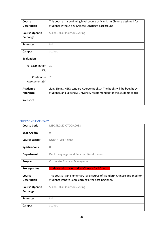| Course                   | This course is a beginning level course of Mandarin Chinese designed for |
|--------------------------|--------------------------------------------------------------------------|
| <b>Description</b>       | students without any Chinese Language background.                        |
|                          |                                                                          |
| <b>Course Open to</b>    | Suzhou /Fall;#Suzhou /Spring                                             |
| <b>Exchange</b>          |                                                                          |
| <b>Semester</b>          | fall                                                                     |
| <b>Campus</b>            | Suzhou                                                                   |
| <b>Evaluation</b>        |                                                                          |
| <b>Final Examination</b> | 30                                                                       |
| $(\%)$                   |                                                                          |
| Continuous               | 70                                                                       |
| Assessment (%)           |                                                                          |
| <b>Academic</b>          | Jiang Liping, HSK Standard Course (Book 1). The books will be bought by  |
| reference                | students, and Soochow University recommended for the students to use.    |
| <b>Websites</b>          |                                                                          |

#### <span id="page-26-0"></span>CHINESE - ELEMENTARY

| <b>Course Code</b>    | MSC.TRCM2.OTCOR.0033                                                       |
|-----------------------|----------------------------------------------------------------------------|
| <b>ECTS Credits</b>   | $\Omega$                                                                   |
| <b>Course Leader</b>  | <b>DURANTON Hélène</b>                                                     |
| Synchronous           | $\Omega$                                                                   |
| <b>Department</b>     | Dept. Languages and Personal Development                                   |
| Program               | <b>Corporate Financial Management</b>                                      |
| <b>Prerequisites</b>  | Students who have studied Chinese for 60 hours.                            |
| Course                | This course is an elementary level course of Mandarin Chinese designed for |
| <b>Description</b>    | students want to keep learning after post-beginner.                        |
| <b>Course Open to</b> | Suzhou /Fall;#Suzhou /Spring                                               |
| <b>Exchange</b>       |                                                                            |
| <b>Semester</b>       | fall                                                                       |
| <b>Campus</b>         | Suzhou                                                                     |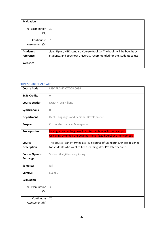| <b>Evaluation</b>        |                                                                         |
|--------------------------|-------------------------------------------------------------------------|
|                          |                                                                         |
| <b>Final Examination</b> | 30                                                                      |
| $(\%)$                   |                                                                         |
|                          |                                                                         |
| Continuous               | 70                                                                      |
| Assessment (%)           |                                                                         |
|                          |                                                                         |
| <b>Academic</b>          | Jiang Liping, HSK Standard Course (Book 2). The books will be bought by |
| reference                | students, and Soochow University recommended for the students to use.   |
|                          |                                                                         |
| <b>Websites</b>          |                                                                         |
|                          |                                                                         |

#### <span id="page-27-0"></span>CHINESE - INTERMEDIATE

| <b>Course Code</b>       | MSC.TRCM2.OTCOR.0034                                                                                                               |
|--------------------------|------------------------------------------------------------------------------------------------------------------------------------|
| <b>ECTS Credits</b>      | $\overline{0}$                                                                                                                     |
| <b>Course Leader</b>     | <b>DURANTON Hélène</b>                                                                                                             |
| Synchronous              | $\overline{0}$                                                                                                                     |
| <b>Department</b>        | Dept. Languages and Personal Development                                                                                           |
| Program                  | Corporate Financial Management                                                                                                     |
| <b>Prerequisites</b>     | Having attended beginner Pre Intermediate in Suzhou campus.<br>Or having attended the beginners level (120 hours) at other campus. |
| Course                   | This course is an intermediate level course of Mandarin Chinese designed                                                           |
| <b>Description</b>       | for students who want to keep learning after Pre Intermediate.                                                                     |
| <b>Course Open to</b>    | Suzhou /Fall;#Suzhou /Spring                                                                                                       |
| <b>Exchange</b>          |                                                                                                                                    |
| <b>Semester</b>          | fall                                                                                                                               |
| <b>Campus</b>            | Suzhou                                                                                                                             |
| <b>Evaluation</b>        |                                                                                                                                    |
| <b>Final Examination</b> | 30                                                                                                                                 |
| (%)                      |                                                                                                                                    |
| Continuous               | 70                                                                                                                                 |
| Assessment (%)           |                                                                                                                                    |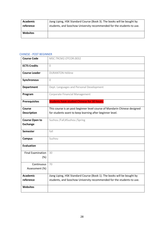| Academic        | Jiang Liping, HSK Standard Course (Book 3). The books will be bought by |
|-----------------|-------------------------------------------------------------------------|
| reference       | students, and Soochow University recommended for the students to use.   |
|                 |                                                                         |
| <b>Websites</b> |                                                                         |
|                 |                                                                         |

# <span id="page-28-0"></span>CHINESE - POST BEGINNER

| <b>Course Code</b>       | MSC.TRCM2.OTCOR.0032                                                      |
|--------------------------|---------------------------------------------------------------------------|
| <b>ECTS Credits</b>      | $\Omega$                                                                  |
| <b>Course Leader</b>     | <b>DURANTON Hélène</b>                                                    |
| Synchronous              | $\Omega$                                                                  |
| <b>Department</b>        | Dept. Languages and Personal Development                                  |
| Program                  | <b>Corporate Financial Management</b>                                     |
| <b>Prerequisites</b>     | <b>Students have studied Chinese for 30 hours.</b>                        |
| <b>Course</b>            | This course is an post beginner level course of Mandarin Chinese designed |
| <b>Description</b>       | for students want to keep learning after beginner level.                  |
| <b>Course Open to</b>    | Suzhou /Fall;#Suzhou /Spring                                              |
| <b>Exchange</b>          |                                                                           |
| <b>Semester</b>          | fall                                                                      |
| <b>Campus</b>            | Suzhou                                                                    |
| <b>Evaluation</b>        |                                                                           |
| <b>Final Examination</b> | 30                                                                        |
| (%)                      |                                                                           |
| Continuous               | 70                                                                        |
| Assessment (%)           |                                                                           |
| <b>Academic</b>          | Jiang Liping, HSK Standard Course (Book 1). The books will be bought by   |
| reference                | students, and Soochow University recommended for the students to use.     |
| <b>Websites</b>          |                                                                           |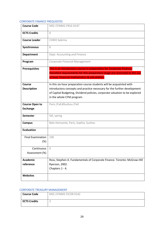#### <span id="page-29-0"></span>CORPORATE FINANCE PREQUISITES

| <b>Course Code</b>                 | MSC.CFMM2.FIELE.0147                                                                                                                                                                                 |
|------------------------------------|------------------------------------------------------------------------------------------------------------------------------------------------------------------------------------------------------|
| <b>ECTS Credits</b>                | $\Omega$                                                                                                                                                                                             |
| <b>Course Leader</b>               | <b>CHIKH Sabrina</b>                                                                                                                                                                                 |
| Synchronous                        | 6                                                                                                                                                                                                    |
| <b>Department</b>                  | Dept. Accounting and Finance                                                                                                                                                                         |
| Program                            | <b>Corporate Financial Management</b>                                                                                                                                                                |
| <b>Prerequisites</b>               | This is an introductory course in preparation for Corporate Finance,<br>therefore requirements for this preparatory stage are restricted to the use<br>of basic financial mathematics & calcutation. |
| Course                             | In this six-hour preparation course students will be acquainted with                                                                                                                                 |
| <b>Description</b>                 | introductory concepts and practice necessary for the further development                                                                                                                             |
|                                    |                                                                                                                                                                                                      |
|                                    | of Capital Budgeting, Dividend policies, corporate valuation to be explored                                                                                                                          |
|                                    | in the whole CFM program.                                                                                                                                                                            |
| <b>Course Open to</b>              | Paris /Fall;#Suzhou /Fall                                                                                                                                                                            |
| <b>Exchange</b>                    |                                                                                                                                                                                                      |
| Semester                           | fall, spring                                                                                                                                                                                         |
| <b>Campus</b>                      | Belo Horizonte, Paris, Sophia, Suzhou                                                                                                                                                                |
| <b>Evaluation</b>                  |                                                                                                                                                                                                      |
| <b>Final Examination</b><br>$(\%)$ | 100                                                                                                                                                                                                  |
| Continuous                         | 0                                                                                                                                                                                                    |
| Assessment (%)                     |                                                                                                                                                                                                      |
| <b>Academic</b>                    | Ross, Stephen A. Fundamentals of Corporate Finance. Toronto: McGraw-Hill                                                                                                                             |
| reference                          | Ryerson, 2002.                                                                                                                                                                                       |
|                                    | Chapters 1 - 4.                                                                                                                                                                                      |
| <b>Websites</b>                    |                                                                                                                                                                                                      |

#### <span id="page-29-1"></span>CORPORATE TREASURY MANAGEMENT

| <b>Course Code</b>  | MSC.CFMM2.FICOR.0142 |
|---------------------|----------------------|
| <b>ECTS Credits</b> |                      |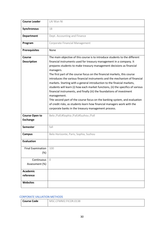| <b>Course Leader</b>                     | LAI Wan Ni                                                                                                                                                                                                                                                                                                                                                                                                                                                                                                                                                                                                                                                                                                                                                                                 |
|------------------------------------------|--------------------------------------------------------------------------------------------------------------------------------------------------------------------------------------------------------------------------------------------------------------------------------------------------------------------------------------------------------------------------------------------------------------------------------------------------------------------------------------------------------------------------------------------------------------------------------------------------------------------------------------------------------------------------------------------------------------------------------------------------------------------------------------------|
| <b>Synchronous</b>                       | 18                                                                                                                                                                                                                                                                                                                                                                                                                                                                                                                                                                                                                                                                                                                                                                                         |
| <b>Department</b>                        | Dept. Accounting and Finance                                                                                                                                                                                                                                                                                                                                                                                                                                                                                                                                                                                                                                                                                                                                                               |
| Program                                  | Corporate Financial Management                                                                                                                                                                                                                                                                                                                                                                                                                                                                                                                                                                                                                                                                                                                                                             |
| <b>Prerequisites</b>                     | None                                                                                                                                                                                                                                                                                                                                                                                                                                                                                                                                                                                                                                                                                                                                                                                       |
| Course                                   | The main objective of this course is to introduce students to the different                                                                                                                                                                                                                                                                                                                                                                                                                                                                                                                                                                                                                                                                                                                |
| <b>Description</b>                       | financial instruments used for treasury management in a company. It<br>prepares students to make treasury management decisions as financial<br>managers.<br>The first part of the course focus on the financial markets, this course<br>introduces the various financial instruments and the mechanism of financial<br>markets. Starting with a general introduction to the finaicial markets,<br>students will learn (i) how each market functions, (ii) the specifics of various<br>financial instruments, and finally (iii) the foundations of investment<br>management.<br>THe second part of the course focus on the banking system, and evaluation<br>of credit risks, as students learn how financial managers work with the<br>corporate banks in the treasury management process. |
| <b>Course Open to</b><br><b>Exchange</b> | Belo /Fall;#Sophia /Fall;#Suzhou /Fall                                                                                                                                                                                                                                                                                                                                                                                                                                                                                                                                                                                                                                                                                                                                                     |
| <b>Semester</b>                          | fall                                                                                                                                                                                                                                                                                                                                                                                                                                                                                                                                                                                                                                                                                                                                                                                       |
| <b>Campus</b>                            | Belo Horizonte, Paris, Sophia, Suzhou                                                                                                                                                                                                                                                                                                                                                                                                                                                                                                                                                                                                                                                                                                                                                      |
| <b>Evaluation</b>                        |                                                                                                                                                                                                                                                                                                                                                                                                                                                                                                                                                                                                                                                                                                                                                                                            |
| <b>Final Examination</b><br>(%)          | 100                                                                                                                                                                                                                                                                                                                                                                                                                                                                                                                                                                                                                                                                                                                                                                                        |
| Continuous                               | $\Omega$                                                                                                                                                                                                                                                                                                                                                                                                                                                                                                                                                                                                                                                                                                                                                                                   |
| Assessment (%)                           |                                                                                                                                                                                                                                                                                                                                                                                                                                                                                                                                                                                                                                                                                                                                                                                            |
| <b>Academic</b>                          |                                                                                                                                                                                                                                                                                                                                                                                                                                                                                                                                                                                                                                                                                                                                                                                            |
| reference                                |                                                                                                                                                                                                                                                                                                                                                                                                                                                                                                                                                                                                                                                                                                                                                                                            |
| <b>Websites</b>                          |                                                                                                                                                                                                                                                                                                                                                                                                                                                                                                                                                                                                                                                                                                                                                                                            |

#### <span id="page-30-0"></span>CORPORATE VALUATION METHODS

| <b>Course Code</b> | MSC.CFMM2.FICOR.0138 |
|--------------------|----------------------|
|                    |                      |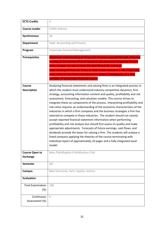| <b>ECTS Credits</b>                      | 3                                                                                                                                                                                                                                                                                                                                                                                                                                                                                                                                                                                                                                                                                                                                                                                                                                                                                                                                                                                                                                                                                                                 |
|------------------------------------------|-------------------------------------------------------------------------------------------------------------------------------------------------------------------------------------------------------------------------------------------------------------------------------------------------------------------------------------------------------------------------------------------------------------------------------------------------------------------------------------------------------------------------------------------------------------------------------------------------------------------------------------------------------------------------------------------------------------------------------------------------------------------------------------------------------------------------------------------------------------------------------------------------------------------------------------------------------------------------------------------------------------------------------------------------------------------------------------------------------------------|
| <b>Course Leader</b>                     | <b>CHIKH Sabrina</b>                                                                                                                                                                                                                                                                                                                                                                                                                                                                                                                                                                                                                                                                                                                                                                                                                                                                                                                                                                                                                                                                                              |
| <b>Synchronous</b>                       | 18                                                                                                                                                                                                                                                                                                                                                                                                                                                                                                                                                                                                                                                                                                                                                                                                                                                                                                                                                                                                                                                                                                                |
| Department                               | Dept. Accounting and Finance                                                                                                                                                                                                                                                                                                                                                                                                                                                                                                                                                                                                                                                                                                                                                                                                                                                                                                                                                                                                                                                                                      |
| Program                                  | Corporate Financial Management                                                                                                                                                                                                                                                                                                                                                                                                                                                                                                                                                                                                                                                                                                                                                                                                                                                                                                                                                                                                                                                                                    |
| <b>Prerequisites</b>                     | Advanced understanding of Corporate Finance acquired through intensive<br>reading of Vernimmen (Pascal Quiry) or any advanced corporate finance<br>book. A paper version is often the best format for learning.<br>Daily reading of Financial Times or Wall Street Journal is a non-negotiable<br>daily rutine of any financial professional hence including you as a new<br>member of tomorrows financial expert.                                                                                                                                                                                                                                                                                                                                                                                                                                                                                                                                                                                                                                                                                                |
| <b>Course</b><br><b>Description</b>      | Analysing financial statements and valuing firms is an integrated process in<br>which the student must understand industry competitive dynamics, firm<br>strategy, accounting information content and quality, profitability and risk<br>assessment, forecasting, and valuation models. This course strives to<br>integrate these six components of the process. Interpreting profitability and<br>risk ratios requires an understanding of the economic characteristics of the<br>industries in which a firm competes and the business strategies a firm has<br>selected to compete in those industries. The student should not naively<br>accept reported financial statement information when performing<br>profitability and risk analysis but should first assess its quality and make<br>appropriate adjustments. Forecasts of future earnings, cash flows, and<br>dividends provide the bases for valuing a firm. The students will analyse a<br>listed company applying the theories of the course terminating with<br>individual report of approximately 10 pages and a fully integrated excel<br>model. |
| <b>Course Open to</b><br><b>Exchange</b> | Belo /Fall;#Sophia /Fall;#Suzhou /Fall                                                                                                                                                                                                                                                                                                                                                                                                                                                                                                                                                                                                                                                                                                                                                                                                                                                                                                                                                                                                                                                                            |
| <b>Semester</b>                          | fall                                                                                                                                                                                                                                                                                                                                                                                                                                                                                                                                                                                                                                                                                                                                                                                                                                                                                                                                                                                                                                                                                                              |
| <b>Campus</b>                            | Belo Horizonte, Paris, Sophia, Suzhou                                                                                                                                                                                                                                                                                                                                                                                                                                                                                                                                                                                                                                                                                                                                                                                                                                                                                                                                                                                                                                                                             |
| <b>Evaluation</b>                        |                                                                                                                                                                                                                                                                                                                                                                                                                                                                                                                                                                                                                                                                                                                                                                                                                                                                                                                                                                                                                                                                                                                   |
| <b>Final Examination</b><br>(%)          | 100                                                                                                                                                                                                                                                                                                                                                                                                                                                                                                                                                                                                                                                                                                                                                                                                                                                                                                                                                                                                                                                                                                               |
| Continuous                               | $\Omega$                                                                                                                                                                                                                                                                                                                                                                                                                                                                                                                                                                                                                                                                                                                                                                                                                                                                                                                                                                                                                                                                                                          |
| Assessment (%)                           |                                                                                                                                                                                                                                                                                                                                                                                                                                                                                                                                                                                                                                                                                                                                                                                                                                                                                                                                                                                                                                                                                                                   |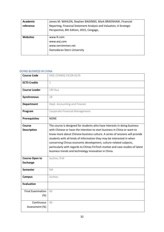| <b>Academic</b> | James M. WAHLEN, Stephen BAGINSKI, Mark BRADSHAW, Financial        |
|-----------------|--------------------------------------------------------------------|
|                 |                                                                    |
| reference       | Reporting, Financial Statement Analysis and Valuation, A Strategic |
|                 | Perspective, 8th Edition, 2015, Cengage,                           |
| <b>Websites</b> | www.ft.com                                                         |
|                 | www.wsj.com                                                        |
|                 | www.vernimmen.net                                                  |
|                 | Damodaran Stern University                                         |
|                 |                                                                    |

#### <span id="page-32-0"></span>DOING BUSINESS IN CHINA

| <b>Course Code</b>                       | MSC.CFMM2.FICOR.0170                                                                                                                                                                                                                                                                                                                                                                                                                                                                                                      |
|------------------------------------------|---------------------------------------------------------------------------------------------------------------------------------------------------------------------------------------------------------------------------------------------------------------------------------------------------------------------------------------------------------------------------------------------------------------------------------------------------------------------------------------------------------------------------|
| <b>ECTS Credits</b>                      | $\mathbf{1}$                                                                                                                                                                                                                                                                                                                                                                                                                                                                                                              |
| <b>Course Leader</b>                     | LIN Hua                                                                                                                                                                                                                                                                                                                                                                                                                                                                                                                   |
| Synchronous                              | 18                                                                                                                                                                                                                                                                                                                                                                                                                                                                                                                        |
| <b>Department</b>                        | Dept. Accounting and Finance                                                                                                                                                                                                                                                                                                                                                                                                                                                                                              |
| Program                                  | Corporate Financial Management                                                                                                                                                                                                                                                                                                                                                                                                                                                                                            |
| <b>Prerequisites</b>                     | <b>NONE</b>                                                                                                                                                                                                                                                                                                                                                                                                                                                                                                               |
| Course<br><b>Description</b>             | The course is designed for students who have interests in doing business<br>with Chinese or have the intention to start business in China or want to<br>know more about Chinese business culture. A series of sessions will provide<br>students with all kinds of information they may be interested in when<br>concerning Chinas economic development, culture-related subjects,<br>particularly with regards to Chinas FinTech market and case studies of latest<br>business trends and technology innovation in China. |
| <b>Course Open to</b><br><b>Exchange</b> | Suzhou /Fall                                                                                                                                                                                                                                                                                                                                                                                                                                                                                                              |
| <b>Semester</b>                          | fall                                                                                                                                                                                                                                                                                                                                                                                                                                                                                                                      |
| <b>Campus</b>                            | Suzhou                                                                                                                                                                                                                                                                                                                                                                                                                                                                                                                    |
| <b>Evaluation</b>                        |                                                                                                                                                                                                                                                                                                                                                                                                                                                                                                                           |
| <b>Final Examination</b><br>(%)          | 60                                                                                                                                                                                                                                                                                                                                                                                                                                                                                                                        |
| Continuous<br>Assessment (%)             | 40                                                                                                                                                                                                                                                                                                                                                                                                                                                                                                                        |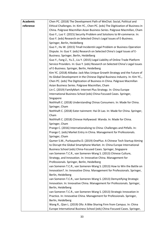| <b>Academic</b> | Chen PC. (2018) The Development Path of WeChat: Social, Political and           |
|-----------------|---------------------------------------------------------------------------------|
| reference       | Ethical Challenges. In: Kim YC., Chen PC. (eds) The Digitization of Business in |
|                 | China. Palgrave Macmillan Asian Business Series. Palgrave Macmillan, Cham       |
|                 | Guo Y., Luo Y. (2015) Security Problem and Solutions to M-commerce. In:         |
|                 | Guo Y. (eds) Research on Selected China's Legal Issues of E-Business.           |
|                 | Springer, Berlin, Heidelberg                                                    |
|                 | Guo Y., Hu W. (2015) Tmall IncidentA Legal Problem or Business Operation        |
|                 | Dispute. In: Guo Y. (eds) Research on Selected China's Legal Issues of E-       |
|                 | Business. Springer, Berlin, Heidelberg                                          |
|                 | Guo Y., Fang Z., Yu Z., Liu Y. (2015) Legal Liability of Online Trade Platform  |
|                 | Service Providers. In: Guo Y. (eds) Research on Selected China's Legal Issues   |
|                 | of E-Business. Springer, Berlin, Heidelberg                                     |
|                 | Kim YC. (2018) Alibaba: Jack Mas Unique Growth Strategy and the Future of       |
|                 | Its Global Development in the Chinese Digital Business Industry. In: Kim YC.,   |
|                 | Chen PC. (eds) The Digitization of Business in China. Palgrave Macmillan        |
|                 | Asian Business Series. Palgrave Macmillan, Cham                                 |
|                 | Lin C. (2019) FamilyMart: Internet Plus Strategy. In: China Europe              |
|                 | International Business School (eds) China-Focused Cases. Springer,              |
|                 | Singapore                                                                       |
|                 | Nothhaft C. (2018) Understanding Chinas Consumers. In: Made for China.          |
|                 | Springer, Cham                                                                  |
|                 | Nothhaft C. (2018) Eater-tainment: Hai Di Lao. In: Made for China. Springer,    |
|                 | Cham                                                                            |
|                 | Nothhaft C. (2018) Chinese Hollywood: Wanda. In: Made for China.                |
|                 | Springer, Cham                                                                  |
|                 | Prange C. (2016) Internationalizing to China: Challenges and Pitfalls. In:      |
|                 | Prange C. (eds) Market Entry in China. Management for Professionals.            |
|                 | Springer, Cham                                                                  |
|                 | Qumer S.M., Purkayastha D. (2019) OnePlus: A Chinese Tech Startup Aiming        |
|                 | to Disrupt the Global Smartphone Market. In: China Europe International         |
|                 | Business School (eds) China-Focused Cases. Springer, Singapore                  |
|                 | van Someren T.C.R., van Someren-Wang S. (2013) Chinese Culture,                 |
|                 | Strategy, and Innovation. In: Innovative China. Management for                  |
|                 | Professionals. Springer, Berlin, Heidelberg                                     |
|                 | van Someren T.C.R., van Someren-Wang S. (2013) How to Win the Battle on         |
|                 | Innovation?. In: Innovative China. Management for Professionals. Springer,      |
|                 | Berlin, Heidelberg                                                              |
|                 | van Someren T.C.R., van Someren-Wang S. (2013) Demystifying Strategic           |
|                 | Innovation. In: Innovative China. Management for Professionals. Springer,       |
|                 | Berlin, Heidelberg                                                              |
|                 | van Someren T.C.R., van Someren-Wang S. (2013) Strategic Innovation in          |
|                 | Practice. In: Innovative China. Management for Professionals. Springer,         |
|                 | Berlin, Heidelberg                                                              |
|                 | Wang R., Qian L. (2019) Ofo: A Bike Sharing Firm from Campus. In: China         |
|                 | Europe International Business School (eds) China-Focused Cases. Springer,       |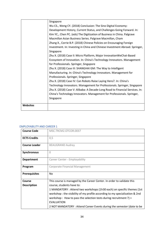|                 | Singapore                                                                    |
|-----------------|------------------------------------------------------------------------------|
|                 | Wu CS., Weng CY. (2018) Conclusion: The Sino Digital Economy:                |
|                 | Development History, Current Status, and Challenges Going Forward. In:       |
|                 | Kim YC., Chen PC. (eds) The Digitization of Business in China. Palgrave      |
|                 | Macmillan Asian Business Series. Palgrave Macmillan, Cham                    |
|                 | Zhang X., Corrie B.P. (2018) Chinese Policies on Encouraging Foreign         |
|                 | Investment. In: Investing in China and Chinese Investment Abroad. Springer,  |
|                 | Singapore                                                                    |
|                 | Zhu X. (2018) Case II: Micro Platform, Major InnovationWeChat-Based          |
|                 | Ecosystem of Innovation. In: China's Technology Innovators. Management       |
|                 | for Professionals. Springer, Singapore                                       |
|                 | Zhu X. (2018) Case III: SHANGHAI GM: The Way to Intelligent                  |
|                 | Manufacturing. In: China's Technology Innovators. Management for             |
|                 | Professionals. Springer, Singapore                                           |
|                 | Zhu X. (2018) Case IV: Can Robots Raise Laying Hens?. In: China's            |
|                 | Technology Innovators. Management for Professionals. Springer, Singapore     |
|                 | Zhu X. (2018) Case V: Alibaba: A Decade-Long Road to Financial Services. In: |
|                 | China's Technology Innovators. Management for Professionals. Springer,       |
|                 | Singapore                                                                    |
|                 |                                                                              |
| <b>Websites</b> |                                                                              |
|                 |                                                                              |

## <span id="page-34-0"></span>EMPLOYABILITY AND CAREER 1

| <b>Course Code</b>   | MSC.TRCM2.OTCOR.0037                                                        |
|----------------------|-----------------------------------------------------------------------------|
| <b>ECTS Credits</b>  | 0,5                                                                         |
| <b>Course Leader</b> | <b>BEAUGRAND Audrey</b>                                                     |
| Synchronous          | $\Omega$                                                                    |
| <b>Department</b>    | Career Center - Employability                                               |
| Program              | Corporate Financial Management                                              |
|                      |                                                                             |
| <b>Prerequisites</b> | <b>No</b>                                                                   |
| Course               | This course is managed by the Career Center. In order to validate this      |
| <b>Description</b>   | course, students have to:                                                   |
|                      | 1 MANDATORY: Attend two workshops (1h30 each) on specific themes (1st       |
|                      | workshop: the visibility of my profile according to my specialization & 2nd |
|                      | workshop : How to pass the selection tests during recruitment ?) +          |
|                      | <b>EVALUATION</b>                                                           |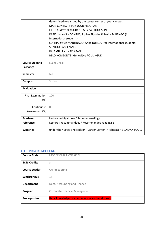|                          | determined) organized by the career center of your campus                |
|--------------------------|--------------------------------------------------------------------------|
|                          | MAIN CONTACTS FOR YOUR PROGRAM:                                          |
|                          | LILLE: Audrey BEAUGRAND & Feryel HOUSSEIN                                |
|                          | PARIS: Laura SINDONINO, Sophie Ripoche & Janice M'BENGO (for             |
|                          | International students)                                                  |
|                          | SOPHIA: Sylvie MARTINAUD, Anne DUFLOS (for International students)       |
|                          | <b>SUZHOU: April YANG</b>                                                |
|                          | <b>RALEIGH: Laura SCLAFANI</b>                                           |
|                          | <b>BELO HORIZONTE: Geneviève POULINGUE</b>                               |
|                          |                                                                          |
| <b>Course Open to</b>    | Suzhou /Fall                                                             |
| <b>Exchange</b>          |                                                                          |
| <b>Semester</b>          | fall                                                                     |
|                          |                                                                          |
| <b>Campus</b>            | Suzhou                                                                   |
| <b>Evaluation</b>        |                                                                          |
|                          |                                                                          |
| <b>Final Examination</b> | 100                                                                      |
| (%)                      |                                                                          |
| Continuous               | $\bigcap$                                                                |
| Assessment (%)           |                                                                          |
|                          |                                                                          |
| <b>Academic</b>          | Lectures obligatoires / Required readings :                              |
| reference                | Lectures Recommandées / Recommanded readings :                           |
| <b>Websites</b>          | under the YEP go and click on: Career Center -> Jobteaser -> SKEMA TOOLS |
|                          |                                                                          |

#### <span id="page-35-0"></span>EXCEL FINANCIAL MODELING I

| <b>Course Code</b>   | MSC.CFMM2.FICOR.0024                           |
|----------------------|------------------------------------------------|
| <b>ECTS Credits</b>  | 3                                              |
| <b>Course Leader</b> | <b>CHIKH Sabrina</b>                           |
| Synchronous          | 18                                             |
| <b>Department</b>    | Dept. Accounting and Finance                   |
| Program              | <b>Corporate Financial Management</b>          |
| <b>Prerequisites</b> | Basic knowledge of computer use and worksheets |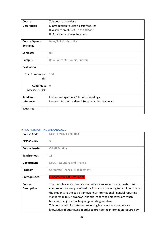| Course                   | This course provides :                         |
|--------------------------|------------------------------------------------|
| <b>Description</b>       | I. Introduction to Excels basic features       |
|                          | II. A selection of useful tips and tools       |
|                          | III. Excels most useful functions              |
| <b>Course Open to</b>    | Belo /Fall;#Suzhou /Fall                       |
| <b>Exchange</b>          |                                                |
| <b>Semester</b>          | fall                                           |
| <b>Campus</b>            | Belo Horizonte, Sophia, Suzhou                 |
| <b>Evaluation</b>        |                                                |
| <b>Final Examination</b> | 100                                            |
| $(\%)$                   |                                                |
| Continuous               | $\Omega$                                       |
| Assessment (%)           |                                                |
| <b>Academic</b>          | Lectures obligatoires / Required readings :    |
| reference                | Lectures Recommandées / Recommanded readings : |
| <b>Websites</b>          |                                                |

## FINANCIAL REPORTING AND ANALYSIS

| <b>Course Code</b>   | MSC.CFMM2.FICOR.0139                                                         |
|----------------------|------------------------------------------------------------------------------|
| <b>ECTS Credits</b>  | 3                                                                            |
| <b>Course Leader</b> | <b>CHIKH Sabrina</b>                                                         |
| <b>Synchronous</b>   | 18                                                                           |
| <b>Department</b>    | Dept. Accounting and Finance                                                 |
| Program              | <b>Corporate Financial Management</b>                                        |
| <b>Prerequisites</b> | <b>Fundamentals of Accounting,</b>                                           |
| Course               | This module aims to prepare students for an in-depth examination and         |
| <b>Description</b>   | comprehensive analysis of various financial accounting topics. It introduces |
|                      | the students to the basic framework of international financial reporting     |
|                      | standards (IFRS). Nowadays, financial reporting objectives are much          |
|                      | broader than just crunching or generating numbers.                           |
|                      | This course will illustrate that reporting involves a comprehensive          |
|                      | knowledge of businesses in order to provide the information required by      |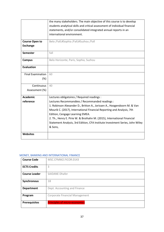|                          | the many stakeholders. The main objective of this course is to develop       |
|--------------------------|------------------------------------------------------------------------------|
|                          | students analytical skills and critical assessment of individual financial   |
|                          | statements, and/or consolidated integrated annual reports in an              |
|                          | international environment.                                                   |
| <b>Course Open to</b>    | Belo /Fall;#Sophia /Fall;#Suzhou /Fall                                       |
|                          |                                                                              |
| <b>Exchange</b>          |                                                                              |
| <b>Semester</b>          | fall                                                                         |
| <b>Campus</b>            | Belo Horizonte, Paris, Sophia, Suzhou                                        |
| <b>Evaluation</b>        |                                                                              |
| <b>Final Examination</b> | 60                                                                           |
| (%)                      |                                                                              |
| Continuous               | 40                                                                           |
| Assessment (%)           |                                                                              |
| <b>Academic</b>          | Lectures obligatoires / Required readings :                                  |
| reference                | Lectures Recommandées / Recommanded readings :                               |
|                          | 1. Robinson Alexander D., Britton A., Jorissen A., Hoogendoorn M. & Van      |
|                          | Mourik C. (2017), International Financial Reporting and Analysis, 7th        |
|                          | Edition, Cengage Learning EMEA.                                              |
|                          | 2. Th., Henry E. Pirie W. & Broihahn M. (2015), International Financial      |
|                          | Statement Analysis, 3rd Edition, CFA Institute Investment Series, John Wiley |
|                          | & Sons,                                                                      |
| <b>Websites</b>          |                                                                              |

# MONEY, BANKING AND INTERNATIONAL FINANCE

| <b>Course Code</b>   | MSC.CFMM2.FICOR.0143                  |
|----------------------|---------------------------------------|
|                      |                                       |
| <b>ECTS Credits</b>  | 3                                     |
| <b>Course Leader</b> | <b>SAIDANE Dhafer</b>                 |
| Synchronous          | 18                                    |
| <b>Department</b>    | Dept. Accounting and Finance          |
| Program              | <b>Corporate Financial Management</b> |
| <b>Prerequisites</b> | <b>Principles of micro-economics</b>  |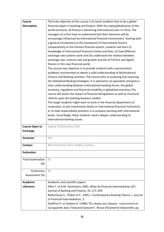| Course                   | The main objective of this course is to teach students how to be a global                                          |
|--------------------------|--------------------------------------------------------------------------------------------------------------------|
| <b>Description</b>       | financial expert in banking and finance. With the rapid globalization of the                                       |
|                          | world economy, all finance is becoming international even in China. The                                            |
|                          | managers of a firm have to understand that their decisions will be                                                 |
|                          | increasingly influenced by international financial environment. Starting with                                      |
|                          | a general introduction to the framework of international finance                                                   |
|                          | comparatively to the Chinese financial system, students will learn (i)                                             |
|                          | knowledge of international financial market activities, (ii) how different                                         |
|                          | exchange rate systems work and (iii) understand the relation between                                               |
|                          | exchange rate, interest rate and growth and the of FinTech and digital                                             |
|                          | finance in this new financial world.                                                                               |
|                          | The courses key objective is to provide students with a personalized                                               |
|                          | academic environment to obtain a solid understanding of Multinational                                              |
|                          | Finance and Banking activities. The course aims at analyzing and assessing                                         |
|                          | the Globalized Banking Strategies. It is opened to no-specialists and gives a                                      |
|                          | clear understanding between international banking forces, the global                                               |
|                          | economy, regulation and financial instability in globalized economy. The                                           |
|                          | course will assess the impact of financial deregulation as well as structural                                      |
|                          | reforms upon the banking business models.<br>The target students might want to work in the financial department of |
|                          | corporates, to join Investments Banks or international financial institutions,                                     |
|                          | or to hold responsibility positions in a company working with international                                        |
|                          | banks. Accordingly, these students need a deeper understanding of                                                  |
|                          | international banking issues.                                                                                      |
|                          |                                                                                                                    |
| <b>Course Open to</b>    | Sophia /Fall;#Suzhou /Fall                                                                                         |
| <b>Exchange</b>          |                                                                                                                    |
| <b>Semester</b>          | fall                                                                                                               |
|                          |                                                                                                                    |
| <b>Campus</b>            | Belo Horizonte, Paris, Sophia, Suzhou                                                                              |
| <b>Evaluation</b>        |                                                                                                                    |
| <b>Final Examination</b> | 60                                                                                                                 |
| (%)                      |                                                                                                                    |
|                          |                                                                                                                    |
| Continuous               | 40                                                                                                                 |
| Assessment (%)           |                                                                                                                    |
| <b>Academic</b>          | Academic and scientific papers                                                                                     |
| reference                | Allen F. et A.M. Santomero, 2001, What do financial intermediaries do?,                                            |
|                          | Journal of Banking and Finance, 25, 271-294.                                                                       |
|                          | Battacharya S., Thakor A.V., 1993, « Contemporary Banking Theory », Journal                                        |
|                          | of Financial Intermediation, 3.                                                                                    |
|                          | Geoffron P. et Saïdane D. (1996) "Du réseau aux réseaux : concurrence et                                           |
|                          | surcapacités dans l'industrie bancaire", Revue d'Economie Industrielle, pp.                                        |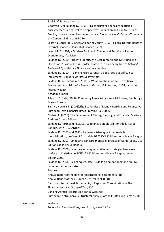|                 | 81-95, n° 78, 4e trimestre.                                                                                                                       |
|-----------------|---------------------------------------------------------------------------------------------------------------------------------------------------|
|                 | Geoffron P. et Saïdane D. (1999), "La concurrence bancaire spatiale :                                                                             |
|                 | enseignements et nouvelles perspectives", rédaction du Chapitre 8, dans                                                                           |
|                 | Emploi, localisation et économie spatiale, Economica in M. Catin, J-Y Lesueur                                                                     |
|                 | et Y Zenou, 1999, pp. 193-216.                                                                                                                    |
|                 | La Porta, Lopez-de-Silanes, Shleifer et Vishny (1997), « Legal Determinants of                                                                    |
|                 | External Finance », Journal of Finance, 52(3).                                                                                                    |
|                 | Lewis M. K., 1992, « Modern Banking in Theory and Practice », Revue                                                                               |
|                 | économique, n°2, Mars.                                                                                                                            |
|                 | Saidane D. (2010), "How to Identify the Best Target in the M&A Banking                                                                            |
|                 | Operations? Case of Cross-Border Strategies in Europe by Line of Activity",                                                                       |
|                 | Review of Quantitative Finance and Accounting.                                                                                                    |
|                 | Saidane D. (2010), " Banking transparency: a good idea but difficult to                                                                           |
|                 | implement", Bankers Markets & Investors.                                                                                                          |
|                 | Saidane D; and Grandin P. 2010), « What are the main causes of Bank                                                                               |
|                 | Merger and Acquisition? » Bankers Markets & Investors, n°104, January-                                                                            |
|                 | February 2010.                                                                                                                                    |
|                 | <b>Academic Books</b>                                                                                                                             |
|                 | Allen F., D. Gale, (2000), Comparing Financial Systems, MIT Press, Cambridge,                                                                     |
|                 | Massachusetts.                                                                                                                                    |
|                 | Bain K., Howells P. (2005), The Economics of Money, Banking and Finance: A                                                                        |
|                 | European Text, Financial Times Prentice Hall, 2005.                                                                                               |
|                 | Mishkin F. (2010), The Economics of Money, Banking, and Financial Markets,                                                                        |
|                 | <b>Business School Edition</b>                                                                                                                    |
|                 | Saidane D. (forthcoming 2011), La finance durable, Editions de la Revue                                                                           |
|                 | Banque, with P. GRANDIN.                                                                                                                          |
|                 | Saidane D. (2009 and 2011), La finance islamique à lheure de la                                                                                   |
|                 | mondialisation, preface of Arnaud de BRESSON, Editions de la Revue Banque.                                                                        |
|                 | Saidane D. (2007), Lindustrie bancaire mondiale, preface of Daniel LEBEGUE,                                                                       |
|                 | Editions de la Revue Banque.                                                                                                                      |
|                 | Saidane D. (2006), La nouvelle banque : métiers et stratégies bancaires,<br>preface of Christian de BOISSIEU, Editions de la Revue Banque, second |
|                 | edition 2009.                                                                                                                                     |
|                 | Saidane D. (2006), Les banques, acteurs de la globalisation financière, La                                                                        |
|                 | documentation française.                                                                                                                          |
|                 | Reports                                                                                                                                           |
|                 | Annual Report of the Bank for International Settlements (BIS)                                                                                     |
|                 | Annual Report of the European Central Bank (ECB)                                                                                                  |
|                 | Bank for International Settlements, « Report on Consolidation in The                                                                              |
|                 | Financial Sector ». Group of Ten, 2001.                                                                                                           |
|                 | Banking Annual Reports (see banks Website).                                                                                                       |
|                 | European Central Bank, « Structural Analysis of the EU Banking Sector », BCE.                                                                     |
|                 |                                                                                                                                                   |
| <b>Websites</b> | Website                                                                                                                                           |
|                 | Fédération Bancaire Française : http://www.fbf.fr/                                                                                                |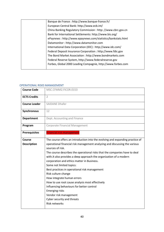| Banque de France: http://www.banque-france.fr/                |
|---------------------------------------------------------------|
| European Central Bank: http://www.ecb.int/                    |
| China Banking Regulatory Commission : http: //www.cbrc.gov.cn |
| Bank for International Settlements: http://www.bis.org/       |
| ePaynews: http://www.epaynews.com/statistics/bankstats.html   |
| Datamonitor: http://www.datamonitor.com                       |
| International Data Corporation (IDC) : http://www.idc.com/    |
| Federal Deposit Insurance Corporation : http://www.fdic.gov   |
| The Bond Market Association : http://www.bondmarkets.com      |
| Federal Reserve System, http://www.federalreserve.gov         |
| Forbes, Global 2000 Leading Compagnie, http://www.forbes.com  |
|                                                               |

### OPERATIONAL RISKS MANAGEMENT

| <b>Course Code</b>   | MSC.CFMM2.FICOR.0153                                                          |
|----------------------|-------------------------------------------------------------------------------|
| <b>ECTS Credits</b>  | $\overline{2}$                                                                |
| <b>Course Leader</b> | <b>SAIDANE Dhafer</b>                                                         |
| Synchronous          | 12                                                                            |
| <b>Department</b>    | Dept. Accounting and Finance                                                  |
| Program              | Corporate Financial Management                                                |
| <b>Prerequisites</b> | <b>Financial risk management</b>                                              |
| <b>Course</b>        | The course offers an introduction into the evolving and expanding practice of |
| <b>Description</b>   | operational financial risk management analyzing and discussing the various    |
|                      | sources of risk.                                                              |
|                      | The course describes the operational risks that the companies have to deal    |
|                      | with. It also provides a deep approach the organization of a modern           |
|                      | corporation and ethics matter in Business.                                    |
|                      | Some not limited topics:                                                      |
|                      | Best practices in operational risk management                                 |
|                      | Risk culture change                                                           |
|                      | How integrate human errors                                                    |
|                      | How to use root cause analysis most effectively                               |
|                      | Influencing behaviours for better control                                     |
|                      | <b>Emerging risks</b>                                                         |
|                      | Vendor risk management                                                        |
|                      | Cyber security and threats                                                    |
|                      | <b>Risk networks</b>                                                          |
|                      |                                                                               |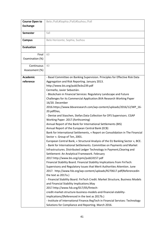| <b>Course Open to</b> | Belo /Fall;#Sophia /Fall;#Suzhou /Fall                                          |
|-----------------------|---------------------------------------------------------------------------------|
| <b>Exchange</b>       |                                                                                 |
| <b>Semester</b>       | fall                                                                            |
| <b>Campus</b>         | Belo Horizonte, Sophia, Suzhou                                                  |
| <b>Evaluation</b>     |                                                                                 |
| Final                 | 60                                                                              |
| Examination (%)       |                                                                                 |
| Continuous            | 40                                                                              |
| Assessment (%)        |                                                                                 |
| <b>Academic</b>       | - Basel Committee on Banking Supervision. Principles for Effective Risk Data    |
| reference             | Aggregation and Risk Reporting. January 2013.                                   |
|                       | http://www.bis.org/publ/bcbs239.pdf                                             |
|                       | Cermeño, Javier Sebastián.                                                      |
|                       | - Blockchain in Financial Services: Regulatory Landscape and Future             |
|                       | Challenges for its Commercial Application.BVA Research Working Paper            |
|                       | 16/20. December                                                                 |
|                       | 2016.https://www.bbvaresearch.com/wp-content/uploads/2016/12/WP_16-             |
|                       | 20.pdfDias,                                                                     |
|                       | - Denise and Staschen, Stefan. Data Collection for DFS Supervisors. CGAP        |
|                       | Working Paper. 2017.(forthcoming)                                               |
|                       | Annual Report of the Bank for International Settlements (BIS)                   |
|                       | Annual Report of the European Central Bank (ECB)                                |
|                       | Bank for International Settlements, « Report on Consolidation in The Financial  |
|                       | Sector ». Group of Ten, 2001.                                                   |
|                       | European Central Bank, « Structural Analysis of the EU Banking Sector », BCE.   |
|                       | - Bank for International Settlements. Committee on Payments and Market          |
|                       | Infrastructures. Distributed Ledger Technology in Payment, Clearing and         |
|                       | Settlement: An Analytical Framework. February                                   |
|                       | 2017.http://www.bis.org/cpmi/publ/d157.pdf                                      |
|                       | Financial Stability Board. Financial Stability Implications from FinTech:       |
|                       | Supervisory and Regulatory Issues that Merit Authorities Attention. June        |
|                       | 2017. http://www.fsb.org/wp-content/uploads/R270617.pdf(Referencedin            |
|                       | the text as 2017a.)                                                             |
|                       | - Financial Stability Board. FinTech Credit: Market Structure, Business Models  |
|                       | and Financial Stability Implications. May                                       |
|                       | 2017.http://www.fsb.org/017/05/fintech-                                         |
|                       | credit-market-structure-business-models-and-financial-stability-                |
|                       | implications/(Referenced in the text as 2017b.)                                 |
|                       | - Institute of International Finance. RegTech in Financial Services: Technology |
|                       | Solutions for Compliance and Reporting. March 2016.                             |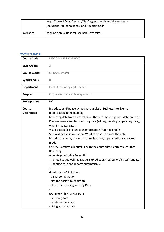|                 | https://www.iif.com/system/files/regtech_in_financial_services_-<br>solutions for compliance and reporting.pdf |
|-----------------|----------------------------------------------------------------------------------------------------------------|
| <b>Websites</b> | Banking Annual Reports (see banks Website).                                                                    |

## POWER BI AND AI

| <b>Course Code</b>           | MSC.CFMM2.FICOR.0200                                                                                                                                                                                                                                                                                                                                                                                                                                                                                                                                                                                                                                                                                                                                                                                                                                                                                                                                                                       |
|------------------------------|--------------------------------------------------------------------------------------------------------------------------------------------------------------------------------------------------------------------------------------------------------------------------------------------------------------------------------------------------------------------------------------------------------------------------------------------------------------------------------------------------------------------------------------------------------------------------------------------------------------------------------------------------------------------------------------------------------------------------------------------------------------------------------------------------------------------------------------------------------------------------------------------------------------------------------------------------------------------------------------------|
| <b>ECTS Credits</b>          | $\overline{2}$                                                                                                                                                                                                                                                                                                                                                                                                                                                                                                                                                                                                                                                                                                                                                                                                                                                                                                                                                                             |
| <b>Course Leader</b>         | <b>SAIDANE Dhafer</b>                                                                                                                                                                                                                                                                                                                                                                                                                                                                                                                                                                                                                                                                                                                                                                                                                                                                                                                                                                      |
| Synchronous                  | $\Omega$                                                                                                                                                                                                                                                                                                                                                                                                                                                                                                                                                                                                                                                                                                                                                                                                                                                                                                                                                                                   |
| <b>Department</b>            | Dept. Accounting and Finance                                                                                                                                                                                                                                                                                                                                                                                                                                                                                                                                                                                                                                                                                                                                                                                                                                                                                                                                                               |
| Program                      | Corporate Financial Management                                                                                                                                                                                                                                                                                                                                                                                                                                                                                                                                                                                                                                                                                                                                                                                                                                                                                                                                                             |
| <b>Prerequisites</b>         | <b>NO</b>                                                                                                                                                                                                                                                                                                                                                                                                                                                                                                                                                                                                                                                                                                                                                                                                                                                                                                                                                                                  |
| Course<br><b>Description</b> | Introduction (Finance IA Business analysis Business Intelligence-<br>modification in the market)<br>Importing data from an excel, from the web, heterogenous data, sources<br>Pre-treatments and transforming data (adding, deleting, appending data),<br>why?? Practical cases<br>Visualisation (axe, extraction information from the graphs<br>Still missing the information: What to do => to enrich the data<br>Introduction to IA, model, machine learning, supervised/unsupervised<br>model<br>Use the Dataflows (inputs) => with the appropriate learning algorithm<br>Reporting<br>Advantages of using Power BI:<br>- no need to get well the ML skills (prediction/ regression/ classifications, )<br>- updating data and reports automatically<br>disadvantage/limitation:<br>- Visual configuration<br>- Not the easiest to deal with<br>- Slow when dealing with Big Data<br>Example with Financial Data<br>- Selecting data<br>- Fields, outputs type<br>- Using automatic ML |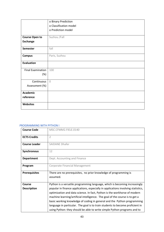|                          | o Binary Prediction    |
|--------------------------|------------------------|
|                          | o Classification model |
|                          | o Prediction model     |
|                          |                        |
| <b>Course Open to</b>    | Suzhou /Fall           |
| <b>Exchange</b>          |                        |
| <b>Semester</b>          | fall                   |
| <b>Campus</b>            | Paris, Suzhou          |
| <b>Evaluation</b>        |                        |
| <b>Final Examination</b> | 100                    |
| (%)                      |                        |
| Continuous               | $\overline{0}$         |
| Assessment (%)           |                        |
| Academic                 |                        |
| reference                |                        |
| <b>Websites</b>          |                        |

### PROGRAMMING WITH PYTHON I

| <b>Course Code</b>   | MSC.CFMM2.FIELE.0140                                                              |
|----------------------|-----------------------------------------------------------------------------------|
| <b>ECTS Credits</b>  | $\overline{2}$                                                                    |
| <b>Course Leader</b> | <b>SAIDANE Dhafer</b>                                                             |
| Synchronous          | 12                                                                                |
| <b>Department</b>    | Dept. Accounting and Finance                                                      |
| Program              | Corporate Financial Management                                                    |
| <b>Prerequisites</b> | There are no prerequisites, no prior knowledge of programming is                  |
|                      | assumed.                                                                          |
| <b>Course</b>        | Python is a versatile programming language, which is becoming increasingly        |
| <b>Description</b>   | popular in finance applications, especially in applications involving statistics, |
|                      | optimization and data science. In fact, Python is the workhorse of modern         |
|                      | machine learning/artificial intelligence. The goal of the course is to get a      |
|                      | basic working knowledge of coding in general and the Python programming           |
|                      | language in particular. The goal is to train students to become proficient in     |
|                      | using Python: they should be able to write simple Python programs and to          |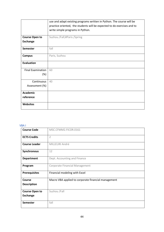|                          | use and adapt existing programs written in Python. The course will be   |
|--------------------------|-------------------------------------------------------------------------|
|                          | practice oriented, the students will be expected to do exercises and to |
|                          | write simple programs in Python.                                        |
|                          |                                                                         |
| <b>Course Open to</b>    | Suzhou /Fall;#Paris /Spring                                             |
| <b>Exchange</b>          |                                                                         |
| <b>Semester</b>          | fall                                                                    |
| <b>Campus</b>            | Paris, Suzhou                                                           |
| <b>Evaluation</b>        |                                                                         |
| <b>Final Examination</b> | 60                                                                      |
| $(\%)$                   |                                                                         |
| Continuous               | 40                                                                      |
| Assessment (%)           |                                                                         |
| <b>Academic</b>          |                                                                         |
| reference                |                                                                         |
| <b>Websites</b>          |                                                                         |

# VBA I

| <b>Course Code</b>    | MSC.CFMM2.FICOR.0161                                |
|-----------------------|-----------------------------------------------------|
| <b>ECTS Credits</b>   | $\overline{2}$                                      |
| <b>Course Leader</b>  | MILLELIRI André                                     |
| <b>Synchronous</b>    | 12                                                  |
| <b>Department</b>     | Dept. Accounting and Finance                        |
| Program               | Corporate Financial Management                      |
| <b>Prerequisites</b>  | Financial modeling with Excel                       |
| <b>Course</b>         | Macro VBA applied to corporate financial management |
| <b>Description</b>    |                                                     |
| <b>Course Open to</b> | Suzhou /Fall                                        |
| <b>Exchange</b>       |                                                     |
|                       |                                                     |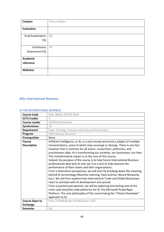| <b>Campus</b>            | Paris, Suzhou |
|--------------------------|---------------|
|                          |               |
| <b>Evaluation</b>        |               |
|                          |               |
| <b>Final Examination</b> | 60            |
| (%)                      |               |
|                          |               |
| Continuous               | 40            |
| Assessment (%)           |               |
|                          |               |
| <b>Academic</b>          |               |
| reference                |               |
|                          |               |
| Websites                 |               |
|                          |               |

# MSc International Business

### AI FOR INTERNATIONAL BUSINESS

| <b>Course Code</b>    | MSC.IBRM2.STCOR.0034                                                                                                                                                                                                                                                                                                                                                                                                                                                                                                                                                                                                                                                                                                                                                                                                                                                                                                                                                                                                                                         |
|-----------------------|--------------------------------------------------------------------------------------------------------------------------------------------------------------------------------------------------------------------------------------------------------------------------------------------------------------------------------------------------------------------------------------------------------------------------------------------------------------------------------------------------------------------------------------------------------------------------------------------------------------------------------------------------------------------------------------------------------------------------------------------------------------------------------------------------------------------------------------------------------------------------------------------------------------------------------------------------------------------------------------------------------------------------------------------------------------|
| <b>ECTS Credits</b>   | 3                                                                                                                                                                                                                                                                                                                                                                                                                                                                                                                                                                                                                                                                                                                                                                                                                                                                                                                                                                                                                                                            |
| <b>Course Leader</b>  | <b>EZZEROUALI Amine</b>                                                                                                                                                                                                                                                                                                                                                                                                                                                                                                                                                                                                                                                                                                                                                                                                                                                                                                                                                                                                                                      |
| Synchronous           | 18                                                                                                                                                                                                                                                                                                                                                                                                                                                                                                                                                                                                                                                                                                                                                                                                                                                                                                                                                                                                                                                           |
| <b>Department</b>     | Dept. Stratégy, Entrepreneurship and Economics                                                                                                                                                                                                                                                                                                                                                                                                                                                                                                                                                                                                                                                                                                                                                                                                                                                                                                                                                                                                               |
| Program               | <b>International Business</b>                                                                                                                                                                                                                                                                                                                                                                                                                                                                                                                                                                                                                                                                                                                                                                                                                                                                                                                                                                                                                                |
| <b>Prerequisites</b>  | None                                                                                                                                                                                                                                                                                                                                                                                                                                                                                                                                                                                                                                                                                                                                                                                                                                                                                                                                                                                                                                                         |
| Course                | Artificial Intelligence, or AI, is a very trendy word and a subject of multiple                                                                                                                                                                                                                                                                                                                                                                                                                                                                                                                                                                                                                                                                                                                                                                                                                                                                                                                                                                              |
| <b>Description</b>    | interpretations, some of which may converge or diverge. There is one fact<br>however that is common for all actors- researchers, politicians, and<br>practitioners alike: AI is transforming our societies, our businesses, our lives.<br>This transformative impact is at the core of this course.<br>Indeed, the purpose of the course is to help future International Business<br>professionals deal with AI and use it as a tool to help improve the<br>performance of their teams and their organizations.<br>From a theoretical perspective, we will start by breaking down the meaning<br>behind AI terminology (Machine Learning, Data Science, Neural Networks,<br>etc.). We will then explore how International Trade and Global Businesses<br>react to and deal with AI development and spread.<br>From a practical perspective, we will be exploring and testing one of the<br>most used zero/low code platforms for AI: the Microsoft PowerApps<br>Platform. The core philosophy of the course being the "Citizen Developer"<br>approach to AI. |
| <b>Course Open to</b> | Paris /Fall;#Raleigh /Fall;#Suzhou /Fall                                                                                                                                                                                                                                                                                                                                                                                                                                                                                                                                                                                                                                                                                                                                                                                                                                                                                                                                                                                                                     |
| <b>Exchange</b>       |                                                                                                                                                                                                                                                                                                                                                                                                                                                                                                                                                                                                                                                                                                                                                                                                                                                                                                                                                                                                                                                              |
| <b>Semester</b>       | fall                                                                                                                                                                                                                                                                                                                                                                                                                                                                                                                                                                                                                                                                                                                                                                                                                                                                                                                                                                                                                                                         |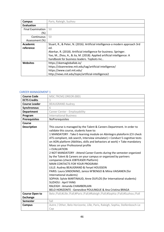| Campus                   | Paris, Raleigh, Suzhou                                                        |
|--------------------------|-------------------------------------------------------------------------------|
| <b>Evaluation</b>        |                                                                               |
| <b>Final Examination</b> | 50                                                                            |
| (%)                      |                                                                               |
| Continuous               | 50                                                                            |
| Assessment (%)           |                                                                               |
| Academic                 | Stuart, R., & Peter, N. (2016). Artificial intelligence-a modern approach 3rd |
| reference                | ed.                                                                           |
|                          | Akerkar, R. (2018). Artificial intelligence for business. Springer.           |
|                          | Yao, M., Zhou, A., & Jia, M. (2018). Applied artificial intelligence: A       |
|                          | handbook for business leaders. Topbots Inc                                    |
| <b>Websites</b>          | https://skemagloballab.io/                                                    |
|                          | https://sloanreview.mit.edu/tag/artificial-intelligence/                      |
|                          | https://www.csail.mit.edu/                                                    |
|                          | http://news.mit.edu/topic/artificial-intelligence2                            |

### CAREER MANAGEMENT 1

| <b>Course Code</b>    | MSC.TRCM2.DREOR.0001                                                                                                                                                                                                                                                                                                                                                                                                                                                                                                                                                                                                                                                                                                                                                             |
|-----------------------|----------------------------------------------------------------------------------------------------------------------------------------------------------------------------------------------------------------------------------------------------------------------------------------------------------------------------------------------------------------------------------------------------------------------------------------------------------------------------------------------------------------------------------------------------------------------------------------------------------------------------------------------------------------------------------------------------------------------------------------------------------------------------------|
| <b>ECTS Credits</b>   | $\mathbf{1}$                                                                                                                                                                                                                                                                                                                                                                                                                                                                                                                                                                                                                                                                                                                                                                     |
| <b>Course Leader</b>  | <b>BEAUGRAND Audrey</b>                                                                                                                                                                                                                                                                                                                                                                                                                                                                                                                                                                                                                                                                                                                                                          |
| Synchronous           | 6                                                                                                                                                                                                                                                                                                                                                                                                                                                                                                                                                                                                                                                                                                                                                                                |
| <b>Department</b>     | Career Center - Employability                                                                                                                                                                                                                                                                                                                                                                                                                                                                                                                                                                                                                                                                                                                                                    |
| Program               | <b>International Business</b>                                                                                                                                                                                                                                                                                                                                                                                                                                                                                                                                                                                                                                                                                                                                                    |
| <b>Prerequisites</b>  | NoPrerequisites                                                                                                                                                                                                                                                                                                                                                                                                                                                                                                                                                                                                                                                                                                                                                                  |
| Course                |                                                                                                                                                                                                                                                                                                                                                                                                                                                                                                                                                                                                                                                                                                                                                                                  |
| <b>Description</b>    | This course is managed by the Talent & Careers Department. In order to<br>validate this course, students have to:<br>1 MANDATORY: Take E-learning module on Abintegro plateform (CV check<br>ATS compliant, Job search, Interview simulator) + Conduct 5 cognitive tests<br>on AON platform (Abilities, skills and behaviors at work) + Take mandatory<br>Mooc on your Professional profile<br>+ EVALUATION<br>2 NOT MANDATORY : Attend Career Events during the semester organized<br>by the Talent & Careers on your campus or organized by partners<br>companies (check JOBTEASER Platform)<br><b>MAIN CONTACTS FOR YOUR PROGRAM:</b><br>LILLE: Audrey BEAUGRAND & Feryel HOUSSEIN<br>PARIS: Laura SINDONINO, Janice M'BENGO & Miina VAISANEN (for<br>International students) |
|                       | SOPHIA: Sylvie MARTINAUD, Anne DUFLOS (for International students)<br><b>SUZHOU: April YANG</b>                                                                                                                                                                                                                                                                                                                                                                                                                                                                                                                                                                                                                                                                                  |
|                       | RALEIGH : Amanda CHAMBERLAIN                                                                                                                                                                                                                                                                                                                                                                                                                                                                                                                                                                                                                                                                                                                                                     |
|                       | BELO HORIZONTE : Geneviève POULINGUE & Ana Cristina BRAGA                                                                                                                                                                                                                                                                                                                                                                                                                                                                                                                                                                                                                                                                                                                        |
| <b>Course Open to</b> | Belo /Fall;#Lille /Fall;#Paris /Fall;#Raleigh /Fall;#Sophia /Fall;#Suzhou /Fall                                                                                                                                                                                                                                                                                                                                                                                                                                                                                                                                                                                                                                                                                                  |
| <b>Exchange</b>       |                                                                                                                                                                                                                                                                                                                                                                                                                                                                                                                                                                                                                                                                                                                                                                                  |
| <b>Semester</b>       | fall                                                                                                                                                                                                                                                                                                                                                                                                                                                                                                                                                                                                                                                                                                                                                                             |
| <b>Campus</b>         | Autre / Other, Belo Horizonte, Lille, Paris, Raleigh, Sophia, Stellenbosch-Le                                                                                                                                                                                                                                                                                                                                                                                                                                                                                                                                                                                                                                                                                                    |
|                       | Cap                                                                                                                                                                                                                                                                                                                                                                                                                                                                                                                                                                                                                                                                                                                                                                              |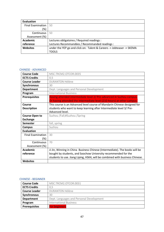| <b>Evaluation</b>        |                                                                       |
|--------------------------|-----------------------------------------------------------------------|
| <b>Final Examination</b> | 50                                                                    |
| (%)                      |                                                                       |
| Continuous               | -50                                                                   |
| Assessment (%)           |                                                                       |
| <b>Academic</b>          | Lectures obligatoires / Required readings :                           |
| reference                | Lectures Recommandées / Recommanded readings :                        |
| Websites                 | under the YEP go and click on: Talent & Careers -> Jobteaser -> SKEMA |
|                          | TOOLS                                                                 |

### CHINESE - ADVANCED

| <b>Course Code</b>       | MSC.TRCM2.OTCOR.0035                                                                                                                           |
|--------------------------|------------------------------------------------------------------------------------------------------------------------------------------------|
| <b>ECTS Credits</b>      | 0,5                                                                                                                                            |
| <b>Course Leader</b>     | <b>DURANTON Hélène</b>                                                                                                                         |
| <b>Synchronous</b>       | 30                                                                                                                                             |
| <b>Department</b>        | Dept. Languages and Personal Development                                                                                                       |
| Program                  | <b>International Business</b>                                                                                                                  |
| <b>Prerequisites</b>     | Having attended intermediate level 2/ Pre-advanced in Suzhou campus.<br>Or having attended the intermediate level (210 hours) at other campus. |
| Course                   | This course is an Advanced level course of Mandarin Chinese designed for                                                                       |
| <b>Description</b>       | students who want to keep learning after Intermediate level 3/ Pre-                                                                            |
|                          | Advanced level.                                                                                                                                |
| <b>Course Open to</b>    | Suzhou /Fall;#Suzhou /Spring                                                                                                                   |
| <b>Exchange</b>          |                                                                                                                                                |
| <b>Semester</b>          | fall, spring                                                                                                                                   |
| <b>Campus</b>            | Suzhou                                                                                                                                         |
| <b>Evaluation</b>        |                                                                                                                                                |
| <b>Final Examination</b> | 30                                                                                                                                             |
| (%)                      |                                                                                                                                                |
| Continuous               | 70                                                                                                                                             |
| Assessment (%)           |                                                                                                                                                |
| <b>Academic</b>          | Ji Jin, Winning in China Business Chinese (Intermediate). The books will be                                                                    |
| reference                | bought by students, and Soochow University recommended for the                                                                                 |
|                          | students to use. Jiang Liping, HSK4, will be combined with business Chinese.                                                                   |
| <b>Websites</b>          |                                                                                                                                                |

## CHINESE - BEGINNER

| <b>Course Code</b>   | MSC.TRCM2.OTCOR.0031                     |
|----------------------|------------------------------------------|
| <b>ECTS Credits</b>  | 0,5                                      |
| <b>Course Leader</b> | <b>DURANTON Hélène</b>                   |
| Synchronous          | 30                                       |
| <b>Department</b>    | Dept. Languages and Personal Development |
| Program              | <b>International Business</b>            |
| <b>Prerequisites</b> | <b>For beginners</b>                     |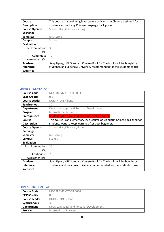| Course                   | This course is a beginning level course of Mandarin Chinese designed for |
|--------------------------|--------------------------------------------------------------------------|
| <b>Description</b>       | students without any Chinese Language background.                        |
| <b>Course Open to</b>    | Suzhou /Fall;#Suzhou /Spring                                             |
| Exchange                 |                                                                          |
| Semester                 | fall, spring                                                             |
| Campus                   | Suzhou                                                                   |
| Evaluation               |                                                                          |
| <b>Final Examination</b> | 30                                                                       |
| $(\%)$                   |                                                                          |
| Continuous               | 70                                                                       |
| Assessment (%)           |                                                                          |
| Academic                 | Jiang Liping, HSK Standard Course (Book 1). The books will be bought by  |
| reference                | students, and Soochow University recommended for the students to use.    |
| Websites                 |                                                                          |

### CHINESE - ELEMENTARY

| <b>Course Code</b>       | MSC.TRCM2.OTCOR.0033                                                       |
|--------------------------|----------------------------------------------------------------------------|
| <b>ECTS Credits</b>      | 0,5                                                                        |
| <b>Course Leader</b>     | <b>DURANTON Hélène</b>                                                     |
| <b>Synchronous</b>       | 30                                                                         |
| <b>Department</b>        | Dept. Languages and Personal Development                                   |
| Program                  | <b>International Business</b>                                              |
| <b>Prerequisites</b>     | Students who have studied Chinese for 60 hours.                            |
| Course                   | This course is an elementary level course of Mandarin Chinese designed for |
| <b>Description</b>       | students want to keep learning after post-beginner.                        |
| <b>Course Open to</b>    | Suzhou /Fall;#Suzhou /Spring                                               |
| <b>Exchange</b>          |                                                                            |
| <b>Semester</b>          | fall, spring                                                               |
| <b>Campus</b>            | Suzhou                                                                     |
| <b>Evaluation</b>        |                                                                            |
| <b>Final Examination</b> | 30                                                                         |
| (%)                      |                                                                            |
| Continuous               | 70                                                                         |
| Assessment (%)           |                                                                            |
| Academic                 | Jiang Liping, HSK Standard Course (Book 2). The books will be bought by    |
| reference                | students, and Soochow University recommended for the students to use.      |
| <b>Websites</b>          |                                                                            |

## CHINESE - INTERMEDIATE

| <b>Course Code</b>   | MSC.TRCM2.OTCOR.0034                     |
|----------------------|------------------------------------------|
| <b>ECTS Credits</b>  | 0.5                                      |
| <b>Course Leader</b> | <b>DURANTON Hélène</b>                   |
| <b>Synchronous</b>   | 30                                       |
| <b>Department</b>    | Dept. Languages and Personal Development |
| Program              | <b>International Business</b>            |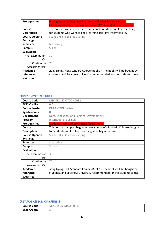| <b>Prerequisites</b>     | Having attended beginner Pre Intermediate in Suzhou campus.              |
|--------------------------|--------------------------------------------------------------------------|
|                          | Or having attended the beginners level (120 hours) at other campus.      |
| Course                   | This course is an intermediate level course of Mandarin Chinese designed |
| <b>Description</b>       | for students who want to keep learning after Pre Intermediate.           |
| <b>Course Open to</b>    | Suzhou /Fall;#Suzhou /Spring                                             |
| <b>Exchange</b>          |                                                                          |
| <b>Semester</b>          | fall, spring                                                             |
| Campus                   | Suzhou                                                                   |
| <b>Evaluation</b>        |                                                                          |
| <b>Final Examination</b> | 30                                                                       |
| (%)                      |                                                                          |
| Continuous               | 70                                                                       |
| Assessment (%)           |                                                                          |
| Academic                 | Jiang Liping, HSK Standard Course (Book 3). The books will be bought by  |
| reference                | students, and Soochow University recommended for the students to use.    |
| <b>Websites</b>          |                                                                          |

### CHINESE - POST BEGINNER

| <b>Course Code</b>       | MSC.TRCM2.OTCOR.0032                                                      |
|--------------------------|---------------------------------------------------------------------------|
| <b>ECTS Credits</b>      | 0,5                                                                       |
| <b>Course Leader</b>     | <b>DURANTON Hélène</b>                                                    |
| <b>Synchronous</b>       | 0                                                                         |
| <b>Department</b>        | Dept. Languages and Personal Development                                  |
| Program                  | <b>International Business</b>                                             |
| <b>Prerequisites</b>     | <b>Students have studied Chinese for 30 hours.</b>                        |
| Course                   | This course is an post beginner level course of Mandarin Chinese designed |
| <b>Description</b>       | for students want to keep learning after beginner level.                  |
| <b>Course Open to</b>    | Suzhou /Fall;#Suzhou /Spring                                              |
| <b>Exchange</b>          |                                                                           |
| <b>Semester</b>          | fall, spring                                                              |
| Campus                   | Suzhou                                                                    |
| <b>Evaluation</b>        |                                                                           |
| <b>Final Examination</b> | 30                                                                        |
| (%)                      |                                                                           |
| Continuous               | 70                                                                        |
| Assessment (%)           |                                                                           |
| Academic                 | Jiang Liping, HSK Standard Course (Book 1). The books will be bought by   |
| reference                | students, and Soochow University recommended for the students to use.     |
| <b>Websites</b>          |                                                                           |

## CULTURAL ASPECTS OF BUSINESS

| <b>Course Code</b>  | १.००४६<br><b>MS</b><br><b>SMZ</b><br>۱R<br>к |
|---------------------|----------------------------------------------|
| <b>ECTS Credits</b> | $\tilde{}$                                   |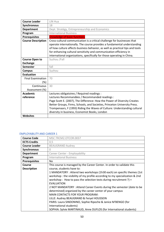| <b>Course Leader</b>            | LIN Hua                                                                                                                                                                                                                                                                                                                                                                                |
|---------------------------------|----------------------------------------------------------------------------------------------------------------------------------------------------------------------------------------------------------------------------------------------------------------------------------------------------------------------------------------------------------------------------------------|
| Synchronous                     | 18                                                                                                                                                                                                                                                                                                                                                                                     |
| <b>Department</b>               | Dept. Stratégy, Entrepreneurship and Economics                                                                                                                                                                                                                                                                                                                                         |
| Program                         | <b>International Business</b>                                                                                                                                                                                                                                                                                                                                                          |
| <b>Prerequisites</b>            | knowledge of basic functions                                                                                                                                                                                                                                                                                                                                                           |
| <b>Course Description</b>       | Cross-cultural communication is a critical challenge for businesses that<br>operate internationally. The course provides a fundamental understanding<br>of how culture affects business behavior, as well as practical tips and tools<br>for enhancing cultural sensitivity and communication efficiency in<br>international organizations, specifically for those operating in China. |
| <b>Course Open to</b>           | Suzhou /Fall                                                                                                                                                                                                                                                                                                                                                                           |
| <b>Exchange</b>                 |                                                                                                                                                                                                                                                                                                                                                                                        |
| <b>Semester</b>                 | fall                                                                                                                                                                                                                                                                                                                                                                                   |
| <b>Campus</b>                   | Suzhou                                                                                                                                                                                                                                                                                                                                                                                 |
| <b>Evaluation</b>               |                                                                                                                                                                                                                                                                                                                                                                                        |
| <b>Final Examination</b><br>(%) | 70                                                                                                                                                                                                                                                                                                                                                                                     |
| Continuous                      | 30                                                                                                                                                                                                                                                                                                                                                                                     |
| Assessment (%)                  |                                                                                                                                                                                                                                                                                                                                                                                        |
| <b>Academic</b>                 | Lectures obligatoires / Required readings :                                                                                                                                                                                                                                                                                                                                            |
| reference                       | Lectures Recommandées / Recommanded readings :                                                                                                                                                                                                                                                                                                                                         |
|                                 | Page Scott E. (2007), The Difference: How the Power of Diversity Creates                                                                                                                                                                                                                                                                                                               |
|                                 | Better Groups, Firms, Schools, and Societies, Princeton University Press.                                                                                                                                                                                                                                                                                                              |
|                                 | Trompenaars, F (1993) Riding the Waves of Culture: Understanding cultural                                                                                                                                                                                                                                                                                                              |
|                                 | diversity in business, Economist Books, London                                                                                                                                                                                                                                                                                                                                         |
| <b>Websites</b>                 |                                                                                                                                                                                                                                                                                                                                                                                        |

# EMPLOYABILITY AND CAREER 1

| <b>Course Code</b>   | MSC.TRCM2.OTCOR.0037                                                                                                                                                                                                                                                                                                                                                                       |
|----------------------|--------------------------------------------------------------------------------------------------------------------------------------------------------------------------------------------------------------------------------------------------------------------------------------------------------------------------------------------------------------------------------------------|
| <b>ECTS Credits</b>  | 0,5                                                                                                                                                                                                                                                                                                                                                                                        |
| <b>Course Leader</b> | <b>BEAUGRAND Audrey</b>                                                                                                                                                                                                                                                                                                                                                                    |
| <b>Synchronous</b>   | 0                                                                                                                                                                                                                                                                                                                                                                                          |
| <b>Department</b>    | Career Center - Employability                                                                                                                                                                                                                                                                                                                                                              |
| Program              | <b>International Business</b>                                                                                                                                                                                                                                                                                                                                                              |
| <b>Prerequisites</b> | No                                                                                                                                                                                                                                                                                                                                                                                         |
| Course               | This course is managed by the Career Center. In order to validate this                                                                                                                                                                                                                                                                                                                     |
| <b>Description</b>   | course, students have to:                                                                                                                                                                                                                                                                                                                                                                  |
|                      | 1 MANDATORY: Attend two workshops (1h30 each) on specific themes (1st<br>workshop: the visibility of my profile according to my specialization & 2nd<br>workshop: How to pass the selection tests during recruitment ?) +<br><b>EVALUATION</b>                                                                                                                                             |
|                      | 2 NOT MANDATORY: Attend Career Events during the semester (date to be<br>determined) organized by the career center of your campus<br><b>MAIN CONTACTS FOR YOUR PROGRAM:</b><br>LILLE: Audrey BEAUGRAND & Feryel HOUSSEIN<br>PARIS: Laura SINDONINO, Sophie Ripoche & Janice M'BENGO (for<br>International students)<br>SOPHIA: Sylvie MARTINAUD, Anne DUFLOS (for International students) |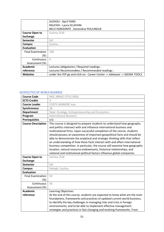|                          | <b>SUZHOU: April YANG</b>                                                |
|--------------------------|--------------------------------------------------------------------------|
|                          | <b>RALEIGH: Laura SCLAFANI</b>                                           |
|                          | <b>BELO HORIZONTE: Geneviève POULINGUE</b>                               |
| <b>Course Open to</b>    | Suzhou /Fall                                                             |
| <b>Exchange</b>          |                                                                          |
| <b>Semester</b>          | fall                                                                     |
| Campus                   | Suzhou                                                                   |
| <b>Evaluation</b>        |                                                                          |
| <b>Final Examination</b> | 100                                                                      |
| (%)                      |                                                                          |
| Continuous               | $\bigcap$                                                                |
| Assessment (%)           |                                                                          |
| Academic                 | Lectures obligatoires / Required readings :                              |
| reference                | Lectures Recommandées / Recommanded readings :                           |
| <b>Websites</b>          | under the YEP go and click on: Career Center -> Jobteaser -> SKEMA TOOLS |

# GEOPOLITICS OF WORLD BUSINESS

| <b>Course Code</b>        | MSC.IBRM2.STELE.0056                                                                                                                                                                                                                                                                                                                                                                                                                                                                                                                                                                                                                                                                                      |
|---------------------------|-----------------------------------------------------------------------------------------------------------------------------------------------------------------------------------------------------------------------------------------------------------------------------------------------------------------------------------------------------------------------------------------------------------------------------------------------------------------------------------------------------------------------------------------------------------------------------------------------------------------------------------------------------------------------------------------------------------|
| <b>ECTS Credits</b>       | 3                                                                                                                                                                                                                                                                                                                                                                                                                                                                                                                                                                                                                                                                                                         |
| <b>Course Leader</b>      | <b>COSTE-MANIERE Ivan</b>                                                                                                                                                                                                                                                                                                                                                                                                                                                                                                                                                                                                                                                                                 |
| Synchronous               | 18                                                                                                                                                                                                                                                                                                                                                                                                                                                                                                                                                                                                                                                                                                        |
| <b>Department</b>         | Dept. Stratégy, Entrepreneurship and Economics                                                                                                                                                                                                                                                                                                                                                                                                                                                                                                                                                                                                                                                            |
| Program                   | <b>International Business</b>                                                                                                                                                                                                                                                                                                                                                                                                                                                                                                                                                                                                                                                                             |
| <b>Prerequisites</b>      | n/a                                                                                                                                                                                                                                                                                                                                                                                                                                                                                                                                                                                                                                                                                                       |
| <b>Course Description</b> | This course is designed to prepare students to understand how geography<br>and politics intersect with and influence international business and<br>multinational firms. Upon successful completion of the course, students<br>should possess an awareness of important geopolitical facts and should be<br>able to demonstrate the analytical and strategic thinking skills that reflect<br>an understanding of how these facts interact with and affect international<br>business competition. In particular, the course will examine how geographic<br>location, natural resource endowments, historical relationships, and<br>national and institutional political factors influence global companies. |
| <b>Course Open to</b>     | Suzhou /Fall                                                                                                                                                                                                                                                                                                                                                                                                                                                                                                                                                                                                                                                                                              |
| <b>Exchange</b>           |                                                                                                                                                                                                                                                                                                                                                                                                                                                                                                                                                                                                                                                                                                           |
| <b>Semester</b>           | fall                                                                                                                                                                                                                                                                                                                                                                                                                                                                                                                                                                                                                                                                                                      |
| <b>Campus</b>             | Raleigh, Suzhou                                                                                                                                                                                                                                                                                                                                                                                                                                                                                                                                                                                                                                                                                           |
| <b>Evaluation</b>         |                                                                                                                                                                                                                                                                                                                                                                                                                                                                                                                                                                                                                                                                                                           |
| <b>Final Examination</b>  | 50                                                                                                                                                                                                                                                                                                                                                                                                                                                                                                                                                                                                                                                                                                        |
| (%)                       |                                                                                                                                                                                                                                                                                                                                                                                                                                                                                                                                                                                                                                                                                                           |
| Continuous                | 50                                                                                                                                                                                                                                                                                                                                                                                                                                                                                                                                                                                                                                                                                                        |
| Assessment (%)            |                                                                                                                                                                                                                                                                                                                                                                                                                                                                                                                                                                                                                                                                                                           |
| <b>Academic</b>           | Learning Objectives                                                                                                                                                                                                                                                                                                                                                                                                                                                                                                                                                                                                                                                                                       |
| reference                 | At the end of this course, students are expected to know what are the main<br>foundations, frameworks and practices of updated current world business;<br>to identify the key challenges in managing risks and crisis in foreign<br>environments; and to be able to implement effective management<br>strategies and practices in fast changing and evolving frameworks. From                                                                                                                                                                                                                                                                                                                             |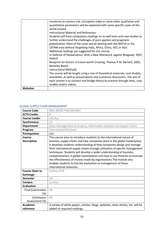| <b>Websites</b> |                                                                                                        |
|-----------------|--------------------------------------------------------------------------------------------------------|
|                 | each session is to connect and bridge theory to practice through texts, case<br>studies and/or videos. |
|                 | anecdotes, as well as presentations and numerous discussions. The aim of                               |
|                 | The course will be taught using a mix of theoretical materials, case studies,                          |
|                 | <b>Instructional Methods</b>                                                                           |
|                 | <b>Berkeley Books</b>                                                                                  |
|                 | Blueprint for Action: A Future worth Creating, Thomas P.M. Barnett, 2005,                              |
|                 | In Defense of Globalization: With a New Afterword, Jagdish Bhagwati, 2007,<br>Oxford                   |
|                 | Additional readings are suggested for this course:                                                     |
|                 | LATAM area without forgetting India, Africa, China, GCC or Asia                                        |
|                 | globalization. Most of the cases will be dealing with the NAFTA or the                                 |
|                 | further understand the challenges of pure applied and pragmatic                                        |
|                 | Students will have compulsory readings on as well texts and case studies to                            |
|                 | Instructional Material and References                                                                  |
|                 | world around.                                                                                          |
|                 | quantitative parameters will be explained with some specific cases all the                             |
|                 | incoterms to country risk, corruption index or some other qualitative and                              |

### GLOBAL SUPPLY CHAIN MANAGEMENT

| <b>Course Code</b>           | MSC.IBSM2.PMCOR.0007                                                                                                                                                                                                                                                                                                                                                                                                                                                                                                                                                                                                                |
|------------------------------|-------------------------------------------------------------------------------------------------------------------------------------------------------------------------------------------------------------------------------------------------------------------------------------------------------------------------------------------------------------------------------------------------------------------------------------------------------------------------------------------------------------------------------------------------------------------------------------------------------------------------------------|
| <b>ECTS Credits</b>          | $\overline{4}$                                                                                                                                                                                                                                                                                                                                                                                                                                                                                                                                                                                                                      |
| <b>Course Leader</b>         | LIN Hua                                                                                                                                                                                                                                                                                                                                                                                                                                                                                                                                                                                                                             |
| Synchronous                  | 24                                                                                                                                                                                                                                                                                                                                                                                                                                                                                                                                                                                                                                  |
| <b>Department</b>            | Dept. Management of projects, Information Systems and Supply Chains                                                                                                                                                                                                                                                                                                                                                                                                                                                                                                                                                                 |
| Program                      | <b>International Business</b>                                                                                                                                                                                                                                                                                                                                                                                                                                                                                                                                                                                                       |
| <b>Prerequisites</b>         | n/a                                                                                                                                                                                                                                                                                                                                                                                                                                                                                                                                                                                                                                 |
| Course<br><b>Description</b> | This course aims to introduce students to the international nature of<br>business supply chains and how companies work in the global marketplace.<br>It develops students understanding of how companies design and manage<br>their international supply chains through utilisation of specific management<br>techniques. Students will develop a wider understanding of business<br>competitiveness in global marketplaces and how to use theories to evaluate<br>the effectiveness of choices made by organizations. The module also<br>enables students to link the evaluation to management of these<br>international networks. |
| <b>Course Open to</b>        | Suzhou /Fall                                                                                                                                                                                                                                                                                                                                                                                                                                                                                                                                                                                                                        |
| <b>Exchange</b>              |                                                                                                                                                                                                                                                                                                                                                                                                                                                                                                                                                                                                                                     |
| <b>Semester</b>              | fall                                                                                                                                                                                                                                                                                                                                                                                                                                                                                                                                                                                                                                |
| <b>Campus</b>                | Suzhou                                                                                                                                                                                                                                                                                                                                                                                                                                                                                                                                                                                                                              |
| <b>Evaluation</b>            |                                                                                                                                                                                                                                                                                                                                                                                                                                                                                                                                                                                                                                     |
| <b>Final Examination</b>     | 40                                                                                                                                                                                                                                                                                                                                                                                                                                                                                                                                                                                                                                  |
| $(\%)$                       |                                                                                                                                                                                                                                                                                                                                                                                                                                                                                                                                                                                                                                     |
| Continuous                   | 60                                                                                                                                                                                                                                                                                                                                                                                                                                                                                                                                                                                                                                  |
| Assessment (%)               |                                                                                                                                                                                                                                                                                                                                                                                                                                                                                                                                                                                                                                     |
| <b>Academic</b>              | A variety of white papers, articles, blogs, websites, news stories, etc. will be                                                                                                                                                                                                                                                                                                                                                                                                                                                                                                                                                    |
| reference                    | added to required readings.                                                                                                                                                                                                                                                                                                                                                                                                                                                                                                                                                                                                         |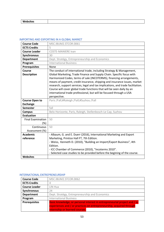| Websites |
|----------|
|----------|

### IMPORTING AND EXPORTING IN A GLOBAL MARKET

| <b>Course Code</b>              | MSC.IBUM2.STCOR.0061                                                                                                                                                                                                                                                                                                                                                                                                                                                                                                                                   |
|---------------------------------|--------------------------------------------------------------------------------------------------------------------------------------------------------------------------------------------------------------------------------------------------------------------------------------------------------------------------------------------------------------------------------------------------------------------------------------------------------------------------------------------------------------------------------------------------------|
| <b>ECTS Credits</b>             | 5                                                                                                                                                                                                                                                                                                                                                                                                                                                                                                                                                      |
| <b>Course Leader</b>            | <b>COSTE-MANIERE Ivan</b>                                                                                                                                                                                                                                                                                                                                                                                                                                                                                                                              |
| Synchronous                     | 30                                                                                                                                                                                                                                                                                                                                                                                                                                                                                                                                                     |
| <b>Department</b>               | Dept. Stratégy, Entrepreneurship and Economics                                                                                                                                                                                                                                                                                                                                                                                                                                                                                                         |
| Program                         | <b>International Business</b>                                                                                                                                                                                                                                                                                                                                                                                                                                                                                                                          |
| <b>Prerequisites</b>            | None                                                                                                                                                                                                                                                                                                                                                                                                                                                                                                                                                   |
| Course<br><b>Description</b>    | The conduct of international trade, including Strategy & Management,<br>Global Marketing, Trade Finance and Supply Chain. Specific focus with<br>Harmonized Codes, terms of sale (INCOTERMS), financing arrangements,<br>means of payment, credit insurance, shipping and insurance issues, market<br>research, support services, legal and tax implications, and trade facilitation.<br>Course will cover global trade functions that will be seen daily by an<br>international trade professional, but will be focused through a USA<br>perspective. |
| <b>Course Open to</b>           | Paris /Fall;#Raleigh /Fall;#Suzhou /Fall                                                                                                                                                                                                                                                                                                                                                                                                                                                                                                               |
| <b>Exchange</b>                 |                                                                                                                                                                                                                                                                                                                                                                                                                                                                                                                                                        |
| <b>Semester</b>                 | fall                                                                                                                                                                                                                                                                                                                                                                                                                                                                                                                                                   |
| <b>Campus</b>                   | Belo Horizonte, Paris, Raleigh, Stellenbosch-Le Cap, Suzhou                                                                                                                                                                                                                                                                                                                                                                                                                                                                                            |
| <b>Evaluation</b>               |                                                                                                                                                                                                                                                                                                                                                                                                                                                                                                                                                        |
| <b>Final Examination</b><br>(%) | 50                                                                                                                                                                                                                                                                                                                                                                                                                                                                                                                                                     |
| Continuous<br>Assessment (%)    | 50                                                                                                                                                                                                                                                                                                                                                                                                                                                                                                                                                     |
| <b>Academic</b><br>reference    | - Albaum, G. and E. Duerr (2016), International Marketing and Export<br>Marketing, Printice Hall FT, 7th Edition.<br>- Weiss, Kenneth D. (2010), "Building an Import/Export Business", 4th<br>Edition.<br>- ICC Chamber of Commerce (2010), "Incoterms 2010".<br>- Selected case studies to be provided before the begining of the course.                                                                                                                                                                                                             |
| <b>Websites</b>                 |                                                                                                                                                                                                                                                                                                                                                                                                                                                                                                                                                        |

### INTERNATIONAL ENTREPRENEURSHIP

| <b>Course Code</b>   | MSC.IBUM2.STCOR.0062                                                                                                                              |
|----------------------|---------------------------------------------------------------------------------------------------------------------------------------------------|
| <b>ECTS Credits</b>  |                                                                                                                                                   |
| <b>Course Leader</b> | LIN Hua                                                                                                                                           |
| Synchronous          | 24                                                                                                                                                |
| <b>Department</b>    | Dept. Stratégy, Entrepreneurship and Economics                                                                                                    |
| Program              | <b>International Business</b>                                                                                                                     |
| <b>Prerequisites</b> | Basic knowledge, or personal interest in entrepreneurial project and / or<br>experiences and / or practices on entrepreneurship, acquired through |
|                      | internship or learned courses.                                                                                                                    |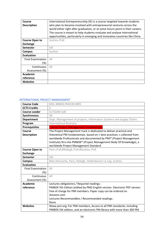| Course                   | International Entrepreneurship (IE) is a course targeted towards students      |
|--------------------------|--------------------------------------------------------------------------------|
| <b>Description</b>       | who plan to become involved with entrepreneurial ventures across the           |
|                          | world either right after graduation, or at some future point in their careers. |
|                          | The course is meant to help students evaluate and analyze international        |
|                          | opportunities, particularly in emerging and innovative countries like China.   |
| <b>Course Open to</b>    | Suzhou /Fall                                                                   |
| <b>Exchange</b>          |                                                                                |
| <b>Semester</b>          | fall                                                                           |
| Campus                   | Suzhou                                                                         |
| <b>Evaluation</b>        |                                                                                |
| <b>Final Examination</b> | 40                                                                             |
| (%)                      |                                                                                |
| Continuous               | 60                                                                             |
| Assessment (%)           |                                                                                |
| Academic                 |                                                                                |
| reference                |                                                                                |
| <b>Websites</b>          |                                                                                |

# INTERNATIONAL PROJECT MANAGEMENT

| <b>Course Code</b>                       | MSC.IBNM2.PMCOR.0005                                                                                                                                                                                                                                                                                                                  |
|------------------------------------------|---------------------------------------------------------------------------------------------------------------------------------------------------------------------------------------------------------------------------------------------------------------------------------------------------------------------------------------|
| <b>ECTS Credits</b>                      | 5                                                                                                                                                                                                                                                                                                                                     |
| <b>Course Leader</b>                     | <b>ELTIGANI Adil</b>                                                                                                                                                                                                                                                                                                                  |
| <b>Synchronous</b>                       | 30                                                                                                                                                                                                                                                                                                                                    |
| <b>Department</b>                        | Dept. Management of projects, Information Systems and Supply Chains                                                                                                                                                                                                                                                                   |
| Program                                  | <b>International Business</b>                                                                                                                                                                                                                                                                                                         |
| <b>Prerequisites</b>                     | <b>Course Project Management Fundamentals</b>                                                                                                                                                                                                                                                                                         |
| Course<br><b>Description</b>             | The Project Management track is dedicated to deliver practical and<br>theoretical PM fundamentals. based on « best practices » collected from<br>worldwide Professionals and documented by PMI® (Project Management<br>Institute) thru the PMBOK® (Project Management Body Of Knowledge), a<br>worldwide Project Management Standard. |
| <b>Course Open to</b><br><b>Exchange</b> | Paris /Fall;#Raleigh /Fall;#Suzhou /Fall                                                                                                                                                                                                                                                                                              |
| <b>Semester</b>                          | fall                                                                                                                                                                                                                                                                                                                                  |
| <b>Campus</b>                            | Belo Horizonte, Paris, Raleigh, Stellenbosch-Le Cap, Suzhou                                                                                                                                                                                                                                                                           |
| <b>Evaluation</b>                        |                                                                                                                                                                                                                                                                                                                                       |
| <b>Final Examination</b><br>$(\%)$       | 60                                                                                                                                                                                                                                                                                                                                    |
| Continuous                               | 40                                                                                                                                                                                                                                                                                                                                    |
| Assessment (%)                           |                                                                                                                                                                                                                                                                                                                                       |
| <b>Academic</b><br>reference             | Lectures obligatoires / Required readings :<br>PMBOK 5th Edition (edited by PMI) English version. Electronic PDF version<br>free of charge for PMI members. Paper copy can be ordered on<br>Amazon.com                                                                                                                                |
|                                          | Lectures Recommandées / Recommanded readings :<br>None                                                                                                                                                                                                                                                                                |
| <b>Websites</b>                          | Www.pmi.org: For PMI members, Access to all PMI standards, including<br>PMBOK 5th edition, and an electronic PM library with more than 300 PM                                                                                                                                                                                         |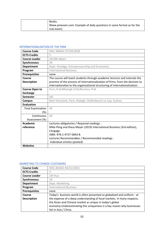| Books.                                                               |
|----------------------------------------------------------------------|
| Www.pmexam.com: Example of daily questions in same format as for the |
| real exam)                                                           |

### INTERNATIONALISATION OF THE FIRM

| <b>Course Code</b>                 | MSC.IBNM2.STCOR.0028                                                                                                                                                                                                                        |
|------------------------------------|---------------------------------------------------------------------------------------------------------------------------------------------------------------------------------------------------------------------------------------------|
| <b>ECTS Credits</b>                | 5                                                                                                                                                                                                                                           |
| <b>Course Leader</b>               | <b>JOLINK Albert</b>                                                                                                                                                                                                                        |
| Synchronous                        | 30                                                                                                                                                                                                                                          |
| <b>Department</b>                  | Dept. Stratégy, Entrepreneurship and Economics                                                                                                                                                                                              |
| Program                            | <b>International Business</b>                                                                                                                                                                                                               |
| <b>Prerequisites</b>               | none                                                                                                                                                                                                                                        |
| Course<br><b>Description</b>       | The course will teach students through academic lectures and tutorials the<br>practice of the process of internationalization of firms, from the decision to<br>internationalize to the organizational structuring of internationalization. |
| <b>Course Open to</b>              | Paris /Fall;#Raleigh /Fall;#Suzhou /Fall                                                                                                                                                                                                    |
| <b>Exchange</b>                    |                                                                                                                                                                                                                                             |
| <b>Semester</b>                    | fall                                                                                                                                                                                                                                        |
| <b>Campus</b>                      | Belo Horizonte, Paris, Raleigh, Stellenbosch-Le Cap, Suzhou                                                                                                                                                                                 |
| <b>Evaluation</b>                  |                                                                                                                                                                                                                                             |
| <b>Final Examination</b><br>$(\%)$ | 40                                                                                                                                                                                                                                          |
| Continuous                         | 60                                                                                                                                                                                                                                          |
| Assessment (%)                     |                                                                                                                                                                                                                                             |
| <b>Academic</b>                    | Lectures obligatoires / Required readings :                                                                                                                                                                                                 |
| reference                          | Mike Peng and Klaus Meyer (2019) International Business (3rd edition),<br>Cengage.<br>ISBN: 978-1-4737-5843-8.<br>Lectures Recommandées / Recommanded readings :<br>-Individual articles (posted)                                           |
| <b>Websites</b>                    |                                                                                                                                                                                                                                             |

### MARKETING TO CHINESE CUSTOMERS

| <b>Course Code</b>   | MSC.IBUM2.MLELE.0031                                                     |
|----------------------|--------------------------------------------------------------------------|
| <b>ECTS Credits</b>  | 3                                                                        |
| <b>Course Leader</b> | LIN Hua                                                                  |
| Synchronous          | 18                                                                       |
| <b>Department</b>    | Dept. Marketing                                                          |
| Program              | <b>International Business</b>                                            |
| <b>Prerequisites</b> | none                                                                     |
| Course               | Today's business world is often presented as globalised and uniform - at |
| <b>Description</b>   | the expense of a deep understanding of local markets. In many respects,  |
|                      | the Asian and Chinese market ar unique in today's global                 |
|                      | economy. Underestimating this uniqueness is a key reason why businesses  |
|                      | fail in Asia / China.                                                    |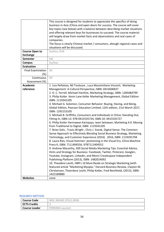|                                          | This course is designed for students to appreciate the specifics of doing   |
|------------------------------------------|-----------------------------------------------------------------------------|
|                                          | business in Asia / China and open doors for success. The course will cover  |
|                                          | key topics (see below) with a balance between describing market situations  |
|                                          | and offering relevant keys for businesses to succeed. The course material   |
|                                          | will largely draw from market facts and observations and real cases of      |
|                                          | companies.                                                                  |
|                                          | The focus is clearly Chinese market / consumers, altough regional cases and |
|                                          | situations will be discussed.                                               |
|                                          | Suzhou /Fall                                                                |
| <b>Course Open to</b><br><b>Exchange</b> |                                                                             |
| <b>Semester</b>                          | fall                                                                        |
|                                          | Suzhou                                                                      |
| <b>Campus</b><br><b>Evaluation</b>       |                                                                             |
|                                          |                                                                             |
| <b>Final Examination</b>                 | 50                                                                          |
| $(\%)$                                   |                                                                             |
| Continuous                               | 50                                                                          |
| Assessment (%)                           |                                                                             |
| <b>Academic</b>                          | 1. Lisa Peñaloza, Nil Toulouse, Luca Massimiliano Visconti, Marketing       |
| reference                                | Management: A Cultural Perspective, ISBN: 0415606837                        |
|                                          | 2. O. C. Ferrell, Michael Hartline, Marketing Strategy, ISBN: 1285084799    |
|                                          | 3. Philip Kotler Kevin Lane Keller Marketing Management, Global Edition     |
|                                          | ISBN: 1119341205                                                            |
|                                          | 4. Michael G. Solomon, Consumer Behavior: Buying, Having, and Being,        |
|                                          | Global Edition, Pearson Education Limited; 12th edition, 21st March 2017,   |
|                                          | ISBN: 1292153105                                                            |
|                                          | 5. Michael B. Griffiths, Consumers and Individuals in China: Standing Out,  |
|                                          | Fitting In, ISBN-13: 978-0415535724, ISBN-10: 0415535727                    |
|                                          | 6. Philip Kotler Hermawan Kartajaya, Iwan Setiawan, Marketing 4.0: Moving   |
|                                          | from Traditional to Digital, ISBN: 1119341205                               |
|                                          | 7. Brian Solis, Travis Wright, Chris J. Snook, Digital Sense: The Common    |
|                                          | Sense Approach to Effectively Blending Social Business Strategy, Marketing  |
|                                          |                                                                             |
|                                          | Technology, and Customer Experience (2016) 2016, ISBN: 1119291704           |
|                                          | 8. Laura Ries, Visual Hammer: positioning in the Visual Era, China Machine  |
|                                          | Press K, ISBN: 7111404556, 9787111404552                                    |
|                                          | 9. Andrew Macarthy, 500 Social Media Marketing Tips: Essential Advice,      |
|                                          | Hints and Strategy for Business: Facebook, Twitter, Pinterest, Google+,     |
|                                          | Youtube, Instagram, Linkedin, and More! Createspace Independent             |
|                                          | Publishing Platform (2013), ISBN: 1482014092                                |
|                                          | 10. Theodore Levitt, HBR's 10 Must Reads on Strategic Marketing (with       |
|                                          | featured article "Marketing Myopia," Harvard Business Review, Clayton M.    |
|                                          | Christensen, Theordore Levitt, Philip Kotler, Fred Reichheld, (2013), ISBN: |
|                                          | 1422189880                                                                  |
| <b>Websites</b>                          | none                                                                        |

### RESEARCH METHOD

| <b>Course Code</b>  | MSC.IBUM2.STELE.0058   |
|---------------------|------------------------|
| <b>ECTS Credits</b> |                        |
| Course Leader       | <b>FERRARA Laurent</b> |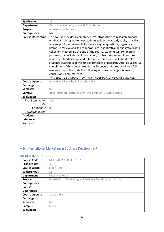| <b>Synchronous</b>                              | 18                                                                                                                                                                                                                                                                                                                                                                                                                                                                                                                                                                                                                                                                                                                                                                                                                                                                                  |
|-------------------------------------------------|-------------------------------------------------------------------------------------------------------------------------------------------------------------------------------------------------------------------------------------------------------------------------------------------------------------------------------------------------------------------------------------------------------------------------------------------------------------------------------------------------------------------------------------------------------------------------------------------------------------------------------------------------------------------------------------------------------------------------------------------------------------------------------------------------------------------------------------------------------------------------------------|
| <b>Department</b>                               | Dept. Management, Law and Organization                                                                                                                                                                                                                                                                                                                                                                                                                                                                                                                                                                                                                                                                                                                                                                                                                                              |
| Program                                         | <b>International Business</b>                                                                                                                                                                                                                                                                                                                                                                                                                                                                                                                                                                                                                                                                                                                                                                                                                                                       |
| <b>Prerequisites</b>                            | n/a                                                                                                                                                                                                                                                                                                                                                                                                                                                                                                                                                                                                                                                                                                                                                                                                                                                                                 |
| <b>Course Description</b>                       | This course provides a comprehensive introduction to research proposal<br>writing. It is designed to help students to identify a study topic, critically<br>analyze published research, formulate inquiry questions, organize a<br>literature review, and select appropriate (quantitative or qualitative) data<br>collection method. By the end of the course, students will complete a<br>proposal that includes an introduction, problem statement, literature<br>review, methods section and references. This course will also develop<br>students awareness of the ethical principles of research. After a successful<br>completion of this course, students will convert this proposal into a full<br>research that will include the following sections: findings, discussion,<br>conclusions, and references.<br>THIS ELECTIVE IS MANDATORY FOR THOSE PURSUING A MSc DEGREE. |
| <b>Course Open to</b><br><b>Exchange</b>        | Paris / Fall; # Raleigh / Fall; # Suzhou / Fall                                                                                                                                                                                                                                                                                                                                                                                                                                                                                                                                                                                                                                                                                                                                                                                                                                     |
| Semester                                        | fall                                                                                                                                                                                                                                                                                                                                                                                                                                                                                                                                                                                                                                                                                                                                                                                                                                                                                |
| <b>Campus</b>                                   | Belo Horizonte, Paris, Raleigh, Stellenbosch-Le Cap, Suzhou                                                                                                                                                                                                                                                                                                                                                                                                                                                                                                                                                                                                                                                                                                                                                                                                                         |
| <b>Evaluation</b>                               |                                                                                                                                                                                                                                                                                                                                                                                                                                                                                                                                                                                                                                                                                                                                                                                                                                                                                     |
| <b>Final Examination</b><br>$(\%)$              | 100                                                                                                                                                                                                                                                                                                                                                                                                                                                                                                                                                                                                                                                                                                                                                                                                                                                                                 |
| Continuous<br>Assessment (%)                    | $\Omega$                                                                                                                                                                                                                                                                                                                                                                                                                                                                                                                                                                                                                                                                                                                                                                                                                                                                            |
| <b>Academic</b><br>reference<br><b>Websites</b> |                                                                                                                                                                                                                                                                                                                                                                                                                                                                                                                                                                                                                                                                                                                                                                                                                                                                                     |
|                                                 |                                                                                                                                                                                                                                                                                                                                                                                                                                                                                                                                                                                                                                                                                                                                                                                                                                                                                     |

# MSc International Marketing & Business Development

# BUSINESS NEGOTIATION

| <b>Course Code</b>    | MSC.IMBM2.MKELE.0187                                    |
|-----------------------|---------------------------------------------------------|
| <b>ECTS Credits</b>   | 3                                                       |
| <b>Course Leader</b>  | <b>SPIER Peter</b>                                      |
| Synchronous           | 18                                                      |
| <b>Department</b>     | Dept. Marketing                                         |
| Program               | International Marketing and Business Development Suzhou |
| <b>Prerequisites</b>  | ٠                                                       |
| Course                | ۰                                                       |
| <b>Description</b>    |                                                         |
| <b>Course Open to</b> | Suzhou /Fall                                            |
| <b>Exchange</b>       |                                                         |
| Semester              | fall                                                    |
| Campus                | Suzhou                                                  |
| <b>Evaluation</b>     |                                                         |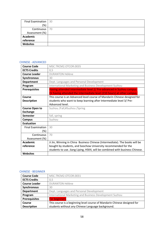| Final Examination   30 |    |
|------------------------|----|
| $(\%)$                 |    |
| Continuous             | 70 |
| Assessment (%)         |    |
| <b>Academic</b>        |    |
| reference              |    |
| Websites               |    |

### CHINESE - ADVANCED

| <b>Course Code</b>       | MSC.TRCM2.OTCOR.0035                                                                                                                           |
|--------------------------|------------------------------------------------------------------------------------------------------------------------------------------------|
| <b>ECTS Credits</b>      | 0,5                                                                                                                                            |
| <b>Course Leader</b>     | <b>DURANTON Hélène</b>                                                                                                                         |
| <b>Synchronous</b>       | 30                                                                                                                                             |
| <b>Department</b>        | Dept. Languages and Personal Development                                                                                                       |
| Program                  | International Marketing and Business Development Suzhou                                                                                        |
| <b>Prerequisites</b>     | Having attended intermediate level 2/ Pre-advanced in Suzhou campus.<br>Or having attended the intermediate level (210 hours) at other campus. |
| Course                   | This course is an Advanced level course of Mandarin Chinese designed for                                                                       |
| <b>Description</b>       | students who want to keep learning after Intermediate level 3/ Pre-                                                                            |
|                          | Advanced level.                                                                                                                                |
| <b>Course Open to</b>    | Suzhou /Fall;#Suzhou /Spring                                                                                                                   |
| <b>Exchange</b>          |                                                                                                                                                |
| <b>Semester</b>          | fall, spring                                                                                                                                   |
| <b>Campus</b>            | Suzhou                                                                                                                                         |
| <b>Evaluation</b>        |                                                                                                                                                |
| <b>Final Examination</b> | 30                                                                                                                                             |
| (%)                      |                                                                                                                                                |
| Continuous               | 70                                                                                                                                             |
| Assessment (%)           |                                                                                                                                                |
| <b>Academic</b>          | Ji Jin, Winning in China Business Chinese (Intermediate). The books will be                                                                    |
| reference                | bought by students, and Soochow University recommended for the                                                                                 |
|                          | students to use. Jiang Liping, HSK4, will be combined with business Chinese.                                                                   |
| <b>Websites</b>          |                                                                                                                                                |

### CHINESE - BEGINNER

| <b>Course Code</b>   | MSC.TRCM2.OTCOR.0031                                                     |
|----------------------|--------------------------------------------------------------------------|
| <b>ECTS Credits</b>  | 0,5                                                                      |
| <b>Course Leader</b> | <b>DURANTON Hélène</b>                                                   |
| <b>Synchronous</b>   | 30                                                                       |
| <b>Department</b>    | Dept. Languages and Personal Development                                 |
| Program              | International Marketing and Business Development Suzhou                  |
| <b>Prerequisites</b> | <b>For beginners</b>                                                     |
| Course               | This course is a beginning level course of Mandarin Chinese designed for |
| <b>Description</b>   | students without any Chinese Language background.                        |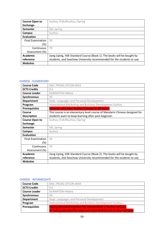| <b>Course Open to</b>    | Suzhou /Fall;#Suzhou /Spring                                            |
|--------------------------|-------------------------------------------------------------------------|
| <b>Exchange</b>          |                                                                         |
| <b>Semester</b>          | fall, spring                                                            |
| Campus                   | Suzhou                                                                  |
| <b>Evaluation</b>        |                                                                         |
| <b>Final Examination</b> | 30                                                                      |
| (%)                      |                                                                         |
| Continuous               | 70                                                                      |
| Assessment (%)           |                                                                         |
| Academic                 | Jiang Liping, HSK Standard Course (Book 1). The books will be bought by |
| reference                | students, and Soochow University recommended for the students to use.   |
| <b>Websites</b>          |                                                                         |

### CHINESE - ELEMENTARY

| <b>Course Code</b>       | MSC.TRCM2.OTCOR.0033                                                       |
|--------------------------|----------------------------------------------------------------------------|
| <b>ECTS Credits</b>      | 0,5                                                                        |
| <b>Course Leader</b>     | <b>DURANTON Hélène</b>                                                     |
| <b>Synchronous</b>       | 30                                                                         |
| <b>Department</b>        | Dept. Languages and Personal Development                                   |
| Program                  | International Marketing and Business Development Suzhou                    |
| <b>Prerequisites</b>     | Students who have studied Chinese for 60 hours.                            |
| Course                   | This course is an elementary level course of Mandarin Chinese designed for |
| <b>Description</b>       | students want to keep learning after post-beginner.                        |
| <b>Course Open to</b>    | Suzhou /Fall;#Suzhou /Spring                                               |
| <b>Exchange</b>          |                                                                            |
| <b>Semester</b>          | fall, spring                                                               |
| Campus                   | Suzhou                                                                     |
| <b>Evaluation</b>        |                                                                            |
| <b>Final Examination</b> | 30                                                                         |
| (%)                      |                                                                            |
| Continuous               | 70                                                                         |
| Assessment (%)           |                                                                            |
| Academic                 | Jiang Liping, HSK Standard Course (Book 2). The books will be bought by    |
| reference                | students, and Soochow University recommended for the students to use.      |
| <b>Websites</b>          |                                                                            |

# CHINESE - INTERMEDIATE

| <b>Course Code</b>   | MSC.TRCM2.OTCOR.0034                                                |
|----------------------|---------------------------------------------------------------------|
| <b>ECTS Credits</b>  | 0,5                                                                 |
| <b>Course Leader</b> | <b>DURANTON Hélène</b>                                              |
| Synchronous          | 30                                                                  |
| <b>Department</b>    | Dept. Languages and Personal Development                            |
| Program              | International Marketing and Business Development Suzhou             |
| <b>Prerequisites</b> | Having attended beginner Pre Intermediate in Suzhou campus.         |
|                      | Or having attended the beginners level (120 hours) at other campus. |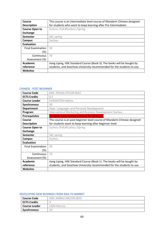| Course                   | This course is an intermediate level course of Mandarin Chinese designed |
|--------------------------|--------------------------------------------------------------------------|
| <b>Description</b>       | for students who want to keep learning after Pre Intermediate.           |
| <b>Course Open to</b>    | Suzhou /Fall;#Suzhou /Spring                                             |
| <b>Exchange</b>          |                                                                          |
| <b>Semester</b>          | fall, spring                                                             |
| Campus                   | Suzhou                                                                   |
| <b>Evaluation</b>        |                                                                          |
| <b>Final Examination</b> | 30                                                                       |
| $(\%)$                   |                                                                          |
| Continuous               | 70                                                                       |
| Assessment (%)           |                                                                          |
| Academic                 | Jiang Liping, HSK Standard Course (Book 3). The books will be bought by  |
| reference                | students, and Soochow University recommended for the students to use.    |
| <b>Websites</b>          |                                                                          |

### CHINESE - POST BEGINNER

| <b>Course Code</b>       | MSC.TRCM2.OTCOR.0032                                                      |
|--------------------------|---------------------------------------------------------------------------|
|                          |                                                                           |
| <b>ECTS Credits</b>      | 0,5                                                                       |
| <b>Course Leader</b>     | <b>DURANTON Hélène</b>                                                    |
| <b>Synchronous</b>       | 30                                                                        |
| <b>Department</b>        | Dept. Languages and Personal Development                                  |
| Program                  | International Marketing and Business Development Suzhou                   |
| <b>Prerequisites</b>     | <b>Students have studied Chinese for 30 hours.</b>                        |
| Course                   | This course is an post beginner level course of Mandarin Chinese designed |
| <b>Description</b>       | for students want to keep learning after beginner level.                  |
| <b>Course Open to</b>    | Suzhou /Fall;#Suzhou /Spring                                              |
| <b>Exchange</b>          |                                                                           |
| <b>Semester</b>          | fall, spring                                                              |
| <b>Campus</b>            | Suzhou                                                                    |
| <b>Evaluation</b>        |                                                                           |
| <b>Final Examination</b> | 30                                                                        |
| (%)                      |                                                                           |
| Continuous               | 70                                                                        |
| Assessment (%)           |                                                                           |
| Academic                 | Jiang Liping, HSK Standard Course (Book 1). The books will be bought by   |
| reference                | students, and Soochow University recommended for the students to use.     |
| <b>Websites</b>          |                                                                           |

### DEVELOPING NEW BUSINESS FROM IDEA TO MARKET

| <b>Course Code</b>   | MSC.IMBM2.MKCOR.0055 |
|----------------------|----------------------|
| <b>ECTS Credits</b>  |                      |
| <b>Course Leader</b> | LIMA Marcos          |
| <b>Synchronous</b>   | 24                   |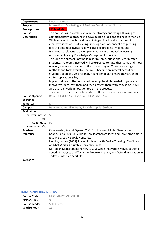| <b>Department</b>                  | Dept. Marketing                                                                                                                                                                                                                                                                                                                                                                                                                                                                                                                                                                                                                                                                                                                                                                                                                                            |
|------------------------------------|------------------------------------------------------------------------------------------------------------------------------------------------------------------------------------------------------------------------------------------------------------------------------------------------------------------------------------------------------------------------------------------------------------------------------------------------------------------------------------------------------------------------------------------------------------------------------------------------------------------------------------------------------------------------------------------------------------------------------------------------------------------------------------------------------------------------------------------------------------|
| Program                            | International Marketing and Business Development Suzhou                                                                                                                                                                                                                                                                                                                                                                                                                                                                                                                                                                                                                                                                                                                                                                                                    |
| <b>Prerequisites</b>               | <b>M1 Marketing</b>                                                                                                                                                                                                                                                                                                                                                                                                                                                                                                                                                                                                                                                                                                                                                                                                                                        |
| Course                             | This courses will apply business model strategy and design-thinking as                                                                                                                                                                                                                                                                                                                                                                                                                                                                                                                                                                                                                                                                                                                                                                                     |
| <b>Description</b>                 | complementary approaches to developing an idea and taking it to market.<br>While moving through the different stages, it will address issues of<br>creativity, ideation, prototyping, seeking proof of concept and pitching<br>ideas to potential investors. It will also explore ideas, models and<br>frameworks relevant to developing creative and innovative learning<br>environments using Knowledge Management principles.<br>This kind of approach may be familiar to some, but as final-year master<br>students, the teams involved will be expected to raise their game and show<br>mastery and understanding of the various stages. There are a range of<br>methods and tools available that must become an integral part of each<br>student's 'toolbox'. And for that, it is not enough to know they are there -<br>skilful application is key. |
|                                    | In practical terms, the course will develop the skills needed to generate<br>innovative ideas, test them and then present them with conviction. It will<br>also use real-world innovation tools in the process.<br>These are precisely the skills needed to thrive in an innovation economy.                                                                                                                                                                                                                                                                                                                                                                                                                                                                                                                                                               |
| <b>Course Open to</b>              | Belo /Fall;#Lille /Fall;#Sophia /Fall;#Suzhou /Fall                                                                                                                                                                                                                                                                                                                                                                                                                                                                                                                                                                                                                                                                                                                                                                                                        |
| <b>Exchange</b>                    |                                                                                                                                                                                                                                                                                                                                                                                                                                                                                                                                                                                                                                                                                                                                                                                                                                                            |
| <b>Semester</b>                    | fall                                                                                                                                                                                                                                                                                                                                                                                                                                                                                                                                                                                                                                                                                                                                                                                                                                                       |
| <b>Campus</b>                      | Belo Horizonte, Lille, Paris, Raleigh, Sophia, Suzhou                                                                                                                                                                                                                                                                                                                                                                                                                                                                                                                                                                                                                                                                                                                                                                                                      |
| <b>Evaluation</b>                  |                                                                                                                                                                                                                                                                                                                                                                                                                                                                                                                                                                                                                                                                                                                                                                                                                                                            |
| <b>Final Examination</b><br>$(\%)$ | 50                                                                                                                                                                                                                                                                                                                                                                                                                                                                                                                                                                                                                                                                                                                                                                                                                                                         |
| Continuous                         | 50                                                                                                                                                                                                                                                                                                                                                                                                                                                                                                                                                                                                                                                                                                                                                                                                                                                         |
| Assessment (%)                     |                                                                                                                                                                                                                                                                                                                                                                                                                                                                                                                                                                                                                                                                                                                                                                                                                                                            |
| <b>Academic</b>                    | Osterwalder, A. and Pigneur, Y. (2010) Business Model Generation.                                                                                                                                                                                                                                                                                                                                                                                                                                                                                                                                                                                                                                                                                                                                                                                          |
| reference                          | Knapp, J et al. (2016). SPRINT: How to generate ideas and solve problems in                                                                                                                                                                                                                                                                                                                                                                                                                                                                                                                                                                                                                                                                                                                                                                                |
|                                    | just five days by Google Ventures.                                                                                                                                                                                                                                                                                                                                                                                                                                                                                                                                                                                                                                                                                                                                                                                                                         |
|                                    | Liedtka, Jeanne (2013) Solving Problems with Design Thinking: Ten Stories                                                                                                                                                                                                                                                                                                                                                                                                                                                                                                                                                                                                                                                                                                                                                                                  |
|                                    | of What Works. Columbia University Press.<br>MIT Sloan Management Review (2019) When Innovation Moves at Digital                                                                                                                                                                                                                                                                                                                                                                                                                                                                                                                                                                                                                                                                                                                                           |
|                                    | Speed: Strategies and Tactics to Provoke, Sustain, and Defend Innovation in                                                                                                                                                                                                                                                                                                                                                                                                                                                                                                                                                                                                                                                                                                                                                                                |
|                                    | Today's Unsettled Markets.                                                                                                                                                                                                                                                                                                                                                                                                                                                                                                                                                                                                                                                                                                                                                                                                                                 |
| <b>Websites</b>                    |                                                                                                                                                                                                                                                                                                                                                                                                                                                                                                                                                                                                                                                                                                                                                                                                                                                            |

# DIGITAL MARKETING IN CHINA

| l Course Code        | MSC.IMBM2.MKCOR.0081 |
|----------------------|----------------------|
| <b>ECTS Credits</b>  |                      |
| <b>Course Leader</b> | <b>SPIER Peter</b>   |
| Synchronous          | 18                   |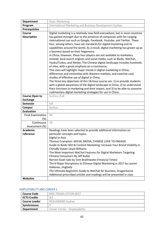| <b>Department</b>        | Dept. Marketing                                                                                                                                                                                                                                                                                                                                                                                                                                                                                                                                                                                                                                                                                                                                                                                                                                                                                                                                                                                                                                                                 |
|--------------------------|---------------------------------------------------------------------------------------------------------------------------------------------------------------------------------------------------------------------------------------------------------------------------------------------------------------------------------------------------------------------------------------------------------------------------------------------------------------------------------------------------------------------------------------------------------------------------------------------------------------------------------------------------------------------------------------------------------------------------------------------------------------------------------------------------------------------------------------------------------------------------------------------------------------------------------------------------------------------------------------------------------------------------------------------------------------------------------|
| Program                  | International Marketing and Business Development Suzhou                                                                                                                                                                                                                                                                                                                                                                                                                                                                                                                                                                                                                                                                                                                                                                                                                                                                                                                                                                                                                         |
| <b>Prerequisites</b>     |                                                                                                                                                                                                                                                                                                                                                                                                                                                                                                                                                                                                                                                                                                                                                                                                                                                                                                                                                                                                                                                                                 |
| <b>Course</b>            | Digital marketing is a relatively new field everywhere, but in most countries                                                                                                                                                                                                                                                                                                                                                                                                                                                                                                                                                                                                                                                                                                                                                                                                                                                                                                                                                                                                   |
| <b>Description</b>       | has gained strength due to the presence of companies with far-ranging<br>international use such as Google, Facebook, Youtube, and Twitter. These<br>four, among others, have set standards for digital marketing and its<br>capabilities around the world. As a result, digital marketing has grown up as<br>a business based on their hegemony.<br>In China, however, these four players are not available to marketers.<br>Instead, local search engines and social media, such as Baidu, WeChat,<br>Youku/Tudou, and Weibo. The Chinese digital landscape includes hundreds<br>of sites, with a great emphasis on e-commerce.<br>This class will highlight major trends in digital marketing in China,<br>differences and similarities with Western markets, and examine case<br>studies of effective use of digital in China.<br>The three key objectives of this 18-hour course are: 1) to provide students<br>with a global awareness of the digital landscape in China, 2) to understand<br>their functions in marketing and their impact, and 3) to be able to conceive |
|                          | rudimentary digital marketing strategies for use in China.                                                                                                                                                                                                                                                                                                                                                                                                                                                                                                                                                                                                                                                                                                                                                                                                                                                                                                                                                                                                                      |
| <b>Course Open to</b>    | Suzhou /Fall                                                                                                                                                                                                                                                                                                                                                                                                                                                                                                                                                                                                                                                                                                                                                                                                                                                                                                                                                                                                                                                                    |
| <b>Exchange</b>          |                                                                                                                                                                                                                                                                                                                                                                                                                                                                                                                                                                                                                                                                                                                                                                                                                                                                                                                                                                                                                                                                                 |
| <b>Semester</b>          | fall                                                                                                                                                                                                                                                                                                                                                                                                                                                                                                                                                                                                                                                                                                                                                                                                                                                                                                                                                                                                                                                                            |
| <b>Campus</b>            | Suzhou                                                                                                                                                                                                                                                                                                                                                                                                                                                                                                                                                                                                                                                                                                                                                                                                                                                                                                                                                                                                                                                                          |
| <b>Evaluation</b>        |                                                                                                                                                                                                                                                                                                                                                                                                                                                                                                                                                                                                                                                                                                                                                                                                                                                                                                                                                                                                                                                                                 |
| <b>Final Examination</b> | 90                                                                                                                                                                                                                                                                                                                                                                                                                                                                                                                                                                                                                                                                                                                                                                                                                                                                                                                                                                                                                                                                              |
| $(\%)$                   |                                                                                                                                                                                                                                                                                                                                                                                                                                                                                                                                                                                                                                                                                                                                                                                                                                                                                                                                                                                                                                                                                 |
| Continuous               | 10                                                                                                                                                                                                                                                                                                                                                                                                                                                                                                                                                                                                                                                                                                                                                                                                                                                                                                                                                                                                                                                                              |
| Assessment (%)           |                                                                                                                                                                                                                                                                                                                                                                                                                                                                                                                                                                                                                                                                                                                                                                                                                                                                                                                                                                                                                                                                                 |
| <b>Academic</b>          | Readings have been selected to provide additional information on                                                                                                                                                                                                                                                                                                                                                                                                                                                                                                                                                                                                                                                                                                                                                                                                                                                                                                                                                                                                                |
| reference                | particular concepts and topics.                                                                                                                                                                                                                                                                                                                                                                                                                                                                                                                                                                                                                                                                                                                                                                                                                                                                                                                                                                                                                                                 |
|                          | Digital in Asia                                                                                                                                                                                                                                                                                                                                                                                                                                                                                                                                                                                                                                                                                                                                                                                                                                                                                                                                                                                                                                                                 |
|                          | Thomas Crampton: SOCIAL MEDIA, CHINESE LOVE TO ENGAGE                                                                                                                                                                                                                                                                                                                                                                                                                                                                                                                                                                                                                                                                                                                                                                                                                                                                                                                                                                                                                           |
|                          | Guide to Baidu SEO & Content Marketing: Increase Your Brand Visibility in                                                                                                                                                                                                                                                                                                                                                                                                                                                                                                                                                                                                                                                                                                                                                                                                                                                                                                                                                                                                       |
|                          | ChinaBy Owain Lloyd-Williams                                                                                                                                                                                                                                                                                                                                                                                                                                                                                                                                                                                                                                                                                                                                                                                                                                                                                                                                                                                                                                                    |
|                          | The Most Important WeChat Features for Digital Marketers Targeting                                                                                                                                                                                                                                                                                                                                                                                                                                                                                                                                                                                                                                                                                                                                                                                                                                                                                                                                                                                                              |
|                          | Chinese Consumers By Jeff Bullas                                                                                                                                                                                                                                                                                                                                                                                                                                                                                                                                                                                                                                                                                                                                                                                                                                                                                                                                                                                                                                                |
|                          | Renren Asset Sale by Tom Braithwaite (Financial Times)                                                                                                                                                                                                                                                                                                                                                                                                                                                                                                                                                                                                                                                                                                                                                                                                                                                                                                                                                                                                                          |
|                          | The 6 Major Disruptions to Chinese Digital Marketing in 2017 by Lauren                                                                                                                                                                                                                                                                                                                                                                                                                                                                                                                                                                                                                                                                                                                                                                                                                                                                                                                                                                                                          |
|                          | Hallanan, JingDaily                                                                                                                                                                                                                                                                                                                                                                                                                                                                                                                                                                                                                                                                                                                                                                                                                                                                                                                                                                                                                                                             |
|                          | The Ultimate Beginners Guide to WeChat for Business, DragonSocial                                                                                                                                                                                                                                                                                                                                                                                                                                                                                                                                                                                                                                                                                                                                                                                                                                                                                                                                                                                                               |
|                          | Additional prescribed articles and readings will be presented in class                                                                                                                                                                                                                                                                                                                                                                                                                                                                                                                                                                                                                                                                                                                                                                                                                                                                                                                                                                                                          |
| <b>Websites</b>          |                                                                                                                                                                                                                                                                                                                                                                                                                                                                                                                                                                                                                                                                                                                                                                                                                                                                                                                                                                                                                                                                                 |

# EMPLOYABILITY AND CAREER 1

| <b>Course Code</b>   | MSC.TRCM2.OTCOR.0037          |
|----------------------|-------------------------------|
| <b>ECTS Credits</b>  | 0.5                           |
| <b>Course Leader</b> | <b>BEAUGRAND Audrey</b>       |
| <b>Synchronous</b>   |                               |
| <b>Department</b>    | Career Center - Employability |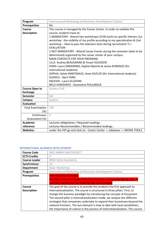| Program                  | International Marketing and Business Development Suzhou                      |
|--------------------------|------------------------------------------------------------------------------|
| <b>Prerequisites</b>     | No                                                                           |
| <b>Course</b>            | This course is managed by the Career Center. In order to validate this       |
| <b>Description</b>       | course, students have to:                                                    |
|                          | 1 MANDATORY : Attend two workshops (1h30 each) on specific themes (1st       |
|                          | workshop : the visibility of my profile according to my specialization & 2nd |
|                          | workshop: How to pass the selection tests during recruitment ?) +            |
|                          | <b>EVALUATION</b>                                                            |
|                          | 2 NOT MANDATORY : Attend Career Events during the semester (date to be       |
|                          | determined) organized by the career center of your campus                    |
|                          | <b>MAIN CONTACTS FOR YOUR PROGRAM:</b>                                       |
|                          | LILLE: Audrey BEAUGRAND & Feryel HOUSSEIN                                    |
|                          | PARIS: Laura SINDONINO, Sophie Ripoche & Janice M'BENGO (for                 |
|                          | International students)                                                      |
|                          | SOPHIA: Sylvie MARTINAUD, Anne DUFLOS (for International students)           |
|                          | <b>SUZHOU: April YANG</b>                                                    |
|                          | RALEIGH : Laura SCLAFANI                                                     |
|                          | <b>BELO HORIZONTE : Geneviève POULINGUE</b>                                  |
| <b>Course Open to</b>    | Suzhou /Fall                                                                 |
| <b>Exchange</b>          |                                                                              |
| <b>Semester</b>          | fall                                                                         |
| <b>Campus</b>            | Suzhou                                                                       |
| <b>Evaluation</b>        |                                                                              |
| <b>Final Examination</b> | 100                                                                          |
| (%)                      |                                                                              |
| Continuous               | $\bigcap$                                                                    |
| Assessment (%)           |                                                                              |
| <b>Academic</b>          | Lectures obligatoires / Required readings :                                  |
| reference                | Lectures Recommandées / Recommanded readings :                               |
| <b>Websites</b>          | under the YEP go and click on: Career Center -> Jobteaser -> SKEMA TOOLS     |

### INTERNATIONAL BUSINESS DEVELOPMENT

| <b>Course Code</b>   | MSC.IMBM2.MKCOR.0077                                                          |
|----------------------|-------------------------------------------------------------------------------|
| <b>ECTS Credits</b>  | 4                                                                             |
| <b>Course Leader</b> | <b>BREA SOLIS Humberto</b>                                                    |
| <b>Synchronous</b>   | 24                                                                            |
| <b>Department</b>    | Dept. Marketing                                                               |
| Program              | <b>International Marketing and Business Development Suzhou</b>                |
| <b>Prerequisites</b> | Intermediate marketing                                                        |
|                      | Numbers may have to be limited to maintain a reasonable group size. A         |
|                      | selection would then be made by the course leader                             |
| <b>Course</b>        | The goal of the course is to provide the students the first approach to       |
| <b>Description</b>   | internationalization. The course is structured in three pillars. First, to    |
|                      | change the business paradigm by introducing the concept of Ecosystem.         |
|                      | The second pillar is internationalization mode, we analyze the different      |
|                      | strategies that companies undertake to expand their businesses beyond the     |
|                      | national frontiers. The last element is how to deal with local sensibilities; |
|                      | the importance of culture in the process of internationalization. This course |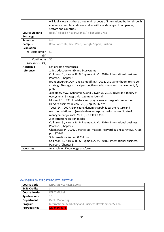|                          | will look closely at these three main aspects of internationalization through                                         |
|--------------------------|-----------------------------------------------------------------------------------------------------------------------|
|                          | concrete examples and case studies with a wide range of companies,                                                    |
|                          | sectors and countries                                                                                                 |
| <b>Course Open to</b>    | Belo /Fall;#Lille /Fall;#Sophia /Fall;#Suzhou /Fall                                                                   |
| <b>Exchange</b>          |                                                                                                                       |
| <b>Semester</b>          | fall                                                                                                                  |
| <b>Campus</b>            | Belo Horizonte, Lille, Paris, Raleigh, Sophia, Suzhou                                                                 |
| <b>Evaluation</b>        |                                                                                                                       |
| <b>Final Examination</b> | 50                                                                                                                    |
| (%)                      |                                                                                                                       |
| Continuous               | 50                                                                                                                    |
| Assessment (%)           |                                                                                                                       |
| <b>Academic</b>          | List of some references:                                                                                              |
| reference                | 1. Introduction to IBD and Ecosystems                                                                                 |
|                          | Collinson, S., Narula, R., & Rugman, A. M. (2016). International business.                                            |
|                          | Pearson. (Chapter 1)                                                                                                  |
|                          | Brandenburger, A.M. and Nalebuff, B.J., 2002. Use game theory to shape                                                |
|                          | strategy. Strategy: critical perspectives on business and management, 4,<br>p.260.                                    |
|                          | Jacobides, M.G., Cennamo, C. and Gawer, A., 2018. Towards a theory of<br>ecosystems. Strategic Management Journal.    |
|                          | Moore, J.F., 1993. Predators and prey: a new ecology of competition.<br>Harvard business review, 71(3), pp.75-86. *** |
|                          | Teece, D.J., 2007. Explicating dynamic capabilities: the nature and                                                   |
|                          | microfoundations of (sustainable) enterprise performance. Strategic                                                   |
|                          | management journal, 28(13), pp.1319-1350.                                                                             |
|                          | 2. Internationalization modes                                                                                         |
|                          | Collinson, S., Narula, R., & Rugman, A. M. (2016). International business.                                            |
|                          | Pearson. (Chapter 2)                                                                                                  |
|                          | Ghemawat, P., 2001. Distance still matters. Harvard business review, 79(8),                                           |
|                          | pp.137-147.                                                                                                           |
|                          | 3. Internationalization & Culture:                                                                                    |
|                          | Collinson, S., Narula, R., & Rugman, A. M. (2016). International business.                                            |
|                          | Pearson. (Chapter 5)                                                                                                  |
| <b>Websites</b>          | Available on Kwowledge platform                                                                                       |

# MANAGING AN EXPORT PROJECT (ELECTIVE)

| <b>Course Code</b>   | MSC.IMBM2.MKELE.0078                                    |
|----------------------|---------------------------------------------------------|
| <b>ECTS Credits</b>  |                                                         |
| <b>Course Leader</b> | <b>FELIX Michel</b>                                     |
| Synchronous          | 18                                                      |
| <b>Department</b>    | Dept. Marketing                                         |
| Program              | International Marketing and Business Development Suzhou |
| <b>Prerequisites</b> | <b>M1</b> marketing                                     |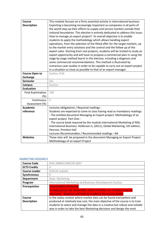| Course                   | This module focuses on a firms essential activity in international business:    |
|--------------------------|---------------------------------------------------------------------------------|
| <b>Description</b>       | Exporting is becoming increasingly important as companies in all parts of       |
|                          | the world step up their efforts to supply and service markets outside their     |
|                          | national boundaries. This elective is entirely dedicated to address this issue: |
|                          | How to manage an export project? Its overall objective is to enable             |
|                          | students to apply the methodology which allows handling export                  |
|                          | operations, from the selection of the fitted offer for the target markets, up   |
|                          | to the market entry solutions and the control and the follow up of the          |
|                          | export sales. Starting from real projects, students will be invited to study an |
|                          | export opportunity and will have to propose a commercial plan in using the      |
|                          | stage by stage method learnt in this elective, including a diagnosis and        |
|                          | some commercial recommendations. This method is illustrated by                  |
|                          | numerous case studies in order to be capable to carry out an export project     |
|                          | in a situation as close as possible to that of an export manager.               |
| <b>Course Open to</b>    | Suzhou /Fall                                                                    |
| <b>Exchange</b>          |                                                                                 |
| Semester                 | fall                                                                            |
| <b>Campus</b>            | Suzhou                                                                          |
| <b>Evaluation</b>        |                                                                                 |
| <b>Final Examination</b> | 100                                                                             |
| $(\%)$                   |                                                                                 |
| Continuous               | $\overline{0}$                                                                  |
| Assessment (%)           |                                                                                 |
| <b>Academic</b>          | Lectures obligatoires / Required readings :                                     |
| reference                | Students are expected to come to class having read as mandatory readings:       |
|                          | - The entitled document Managing an Export project: Methodology of an           |
|                          | export project Part One--                                                       |
|                          | - The course book required by the module International Marketing of MSc         |
|                          | International Business: Hollensen.S, (2011), Global Marketing, 5th edition,     |
|                          | Pearson, Prentice Hall                                                          |
|                          | Lectures Recommandées / Recommanded readings : NA                               |
| <b>Websites</b>          | These sites will be proposed in the document Managing an Export Project:        |
|                          | Methodology of an export Project                                                |

## MARKETING RESEARCH

| <b>Course Code</b>   | MSC.IMBM2.MKCOR.0057                                                          |
|----------------------|-------------------------------------------------------------------------------|
| <b>ECTS Credits</b>  | 4                                                                             |
| <b>Course Leader</b> | SOSCIA Isabella                                                               |
| <b>Synchronous</b>   |                                                                               |
| <b>Department</b>    | Dept. Marketing                                                               |
| Program              | International Marketing and Business Development Suzhou                       |
| <b>Prerequisites</b> | <b>Intermediate marketing</b>                                                 |
|                      | To keep group size reasonable, some limitation on numbers may be              |
|                      | necessary. Selection will then be made by the course leader                   |
| Course               | In the today context where market data can be found everywhere and            |
| <b>Description</b>   | produced at relatively low cost, the main objective of the course is to train |
|                      | students to select and manage the data in a creative but robust and reliable  |
|                      | way in order to take the best Marketing decisions and design the most         |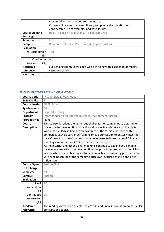|                          | successful business models for the future                                  |
|--------------------------|----------------------------------------------------------------------------|
|                          | Course will be a mix between theory and practical application with         |
|                          | considerable use of examples and case studies.                             |
| <b>Course Open to</b>    | Belo /Fall;#Lille /Fall;#Sophia /Fall;#Suzhou /Fall                        |
| Exchange                 |                                                                            |
| Semester                 | fall                                                                       |
| Campus                   | Belo Horizonte, Lille, Paris, Raleigh, Sophia, Suzhou                      |
| Evaluation               |                                                                            |
| <b>Final Examination</b> | 100                                                                        |
| (%)                      |                                                                            |
| Continuous               | $\bigcap$                                                                  |
| Assessment (%)           |                                                                            |
| Academic                 | Full reading list on Knowledge web site along with a selection of reports, |
| reference                | cases and articles                                                         |
| <b>Websites</b>          |                                                                            |

### PRICING STRATEGIES FOR A DIGITAL WORLD

| <b>Course Code</b>                | MSC.IMBM2.MKCOR.0082                                                                                                                                                                                                                                                                                                                                                                                                                                                                                                                                                                                                                                                                                                                                                                                 |
|-----------------------------------|------------------------------------------------------------------------------------------------------------------------------------------------------------------------------------------------------------------------------------------------------------------------------------------------------------------------------------------------------------------------------------------------------------------------------------------------------------------------------------------------------------------------------------------------------------------------------------------------------------------------------------------------------------------------------------------------------------------------------------------------------------------------------------------------------|
| <b>ECTS Credits</b>               | 3                                                                                                                                                                                                                                                                                                                                                                                                                                                                                                                                                                                                                                                                                                                                                                                                    |
| <b>Course Leader</b>              | <b>SPIER Peter</b>                                                                                                                                                                                                                                                                                                                                                                                                                                                                                                                                                                                                                                                                                                                                                                                   |
| <b>Synchronous</b>                | 18                                                                                                                                                                                                                                                                                                                                                                                                                                                                                                                                                                                                                                                                                                                                                                                                   |
| <b>Department</b>                 | Dept. Marketing                                                                                                                                                                                                                                                                                                                                                                                                                                                                                                                                                                                                                                                                                                                                                                                      |
| Program                           | International Marketing and Business Development Suzhou                                                                                                                                                                                                                                                                                                                                                                                                                                                                                                                                                                                                                                                                                                                                              |
| <b>Prerequisites</b>              | None                                                                                                                                                                                                                                                                                                                                                                                                                                                                                                                                                                                                                                                                                                                                                                                                 |
| Course<br><b>Description</b>      | This course describes the numerous challenges for companies to determine<br>prices due to the evolution of traditional products and content to the digital<br>world, particularly in China, with examples of the fashion industry (with<br>companies such as Cartier performing price optimization to better match the<br>local Chinese customer) and e-commerce industry (with example of Alibaba<br>enabling a more mature O2O customer experience).<br>As the Internet and other digital mediums continue to expand at a blinding<br>pace, many are asking the question How the price is determined in the digital<br>world? where the tech-savvy customers are actively comparing prices in-store<br>vs. online becoming at the same time price aware, price sensitive and price<br>influencers. |
| <b>Course Open</b><br>to Exchange | Suzhou /Fall                                                                                                                                                                                                                                                                                                                                                                                                                                                                                                                                                                                                                                                                                                                                                                                         |
| <b>Semester</b>                   | fall                                                                                                                                                                                                                                                                                                                                                                                                                                                                                                                                                                                                                                                                                                                                                                                                 |
| <b>Campus</b>                     | Suzhou                                                                                                                                                                                                                                                                                                                                                                                                                                                                                                                                                                                                                                                                                                                                                                                               |
| <b>Evaluation</b>                 |                                                                                                                                                                                                                                                                                                                                                                                                                                                                                                                                                                                                                                                                                                                                                                                                      |
| Final                             | 80                                                                                                                                                                                                                                                                                                                                                                                                                                                                                                                                                                                                                                                                                                                                                                                                   |
| Examination                       |                                                                                                                                                                                                                                                                                                                                                                                                                                                                                                                                                                                                                                                                                                                                                                                                      |
| (%)                               |                                                                                                                                                                                                                                                                                                                                                                                                                                                                                                                                                                                                                                                                                                                                                                                                      |
| Continuous                        | 20                                                                                                                                                                                                                                                                                                                                                                                                                                                                                                                                                                                                                                                                                                                                                                                                   |
| Assessment                        |                                                                                                                                                                                                                                                                                                                                                                                                                                                                                                                                                                                                                                                                                                                                                                                                      |
| (%)                               |                                                                                                                                                                                                                                                                                                                                                                                                                                                                                                                                                                                                                                                                                                                                                                                                      |
| <b>Academic</b>                   | The readings have been selected to provide additional information on particular                                                                                                                                                                                                                                                                                                                                                                                                                                                                                                                                                                                                                                                                                                                      |
| reference                         | concepts and topics.                                                                                                                                                                                                                                                                                                                                                                                                                                                                                                                                                                                                                                                                                                                                                                                 |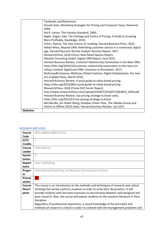|                 | <b>Textbooks and References</b>                                                |
|-----------------|--------------------------------------------------------------------------------|
|                 | Atsushi Aoki, Marketing Strategies for Pricing and Customer Value, Diamond,    |
|                 | 1999;                                                                          |
|                 | Hal R. Varian, The Industry Standard, 2000;                                    |
|                 | Nagle, Hogan, Zale, The Strategy and Tactics of Pricing: A Guide to Growing    |
|                 | More Profitably, Routledge, 2010;                                              |
|                 | Fisher, Raman, The new science of retailing, Harvard Business Press, 2010      |
|                 | Abhijit Mitra, Beyond CRM: Rethinking customer service in a connected, digital |
|                 | age, Harvard Business Review Analytic Services Report, 2017                    |
|                 | iResearchChina, 2018 China's New Retail Species Report,                        |
|                 | Deloitte Consulting GmbH, Digital CRM Report, June 2015;                       |
|                 | Harvard Business Review, Customer Relationship Automation Is the New CRM,      |
|                 | https://hbr.org/2016/10/customer-relationship-automation-is-the-new-crm        |
|                 | Infosys Limited, Digital and CRM: Evolution to Revolution, 2017;               |
|                 | McKinsey&Company, McKinsey Global Institute, Digital Globalization: the new    |
|                 | era of global flows, March 2016;                                               |
|                 | Harvard Business Review, A quick guide to value-based pricing,                 |
|                 | https://hbr.org/2016/08/a-quick-guide-to-value-based-pricing                   |
|                 | iResearchChina, 2016 Chinas O2O Sector Report,                                 |
|                 | http://www.iresearchchina.com/Upload/201607/20160713043023_0264.pdf            |
|                 | Harvard Business Review, Use pricing strategy to boost sales,                  |
|                 | https://hbr.org/2012/07/use-pricing-strategy-to-boost                          |
|                 | Neil Bendle, Xin Shane Wang, Xiaoqian Vivian Chen, The Alibaba Group and       |
|                 | Online to Offline (O2O) Sales, Harvard Business Review, July 2015              |
| <b>Websites</b> |                                                                                |

# RESEARCH METHODS

| Course         | MSC.IMBM2.MKELE.0143                                                                     |
|----------------|------------------------------------------------------------------------------------------|
| Code           |                                                                                          |
| <b>ECTS</b>    | 3                                                                                        |
| <b>Credits</b> |                                                                                          |
| Course         | <b>LIMA Marcos</b>                                                                       |
| Leader         |                                                                                          |
| Synchr         | $\Omega$                                                                                 |
| onous          |                                                                                          |
| <b>Depart</b>  | Dept. Marketing                                                                          |
| ment           |                                                                                          |
| Progra         | International Marketing and Business Development Suzhou                                  |
| m              |                                                                                          |
| Prereq         | M <sub>1</sub>                                                                           |
| uisites        |                                                                                          |
| <b>Course</b>  | This course is an introduction to the methods and techniques of research and critical    |
| <b>Descri</b>  | thinking that will be useful to students in order to write their dissertation. It will   |
| ption          | provide students with the tools necessary to discriminate between well-designed and      |
|                | poor research. Also, the course will expose students to the research literature in their |
|                | discipline.                                                                              |
|                | Regardless of professional aspirations, a sound knowledge of the principles and          |
|                | methods of research is critical in order to contend with the management problems and     |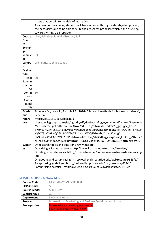|               | issues that pertain to the field of marketing.                                            |  |
|---------------|-------------------------------------------------------------------------------------------|--|
|               | As a result of the course, students will have acquired through a step-by-step process,    |  |
|               | the necessary skills to be able to write their research proposal, which is the first step |  |
|               | towards writing a dissertation                                                            |  |
| Course        | Lille /Fall;#Sophia /Fall;#Suzhou /Fall                                                   |  |
| Open          |                                                                                           |  |
| to            |                                                                                           |  |
| <b>Exchan</b> |                                                                                           |  |
| ge            |                                                                                           |  |
| <b>Semest</b> | fall                                                                                      |  |
| er            |                                                                                           |  |
| Campu         | Lille, Paris, Sophia, Suzhou                                                              |  |
| s             |                                                                                           |  |
| <b>Evalua</b> |                                                                                           |  |
| tion          |                                                                                           |  |
| Final         | 70                                                                                        |  |
| Examin        |                                                                                           |  |
| ation         |                                                                                           |  |
| $(\%)$        |                                                                                           |  |
| Contin        | 30                                                                                        |  |
| uous          |                                                                                           |  |
| Assess        |                                                                                           |  |
| ment          |                                                                                           |  |
| $(\%)$        |                                                                                           |  |
| Acade         | Saunders M., Lewis P., Thornhill A. (2016), "Research methods for business students",     |  |
| mic           | Pearson.                                                                                  |  |
| refere        | https://ea171e12-a-62cb3a1a-s-                                                            |  |
| nce           | sites.googlegroups.com/site/hgthdryrdfytijytkyt/ghfhgyuyuityiutyudfgedtryt/Research-      |  |
|               | Methods-for-.pdf?attachauth=ANoY7crFzXToJj9dbkmvFOLedmzYb_ggfujylZ_kwR2-                  |  |
|               | pWm92M2lPREhp1D 64NVb9EwwtLfiwp6SnEMP5CSDE8Unao5D6TIJIFeQCkRP FYH024                      |  |
|               | zQDCTS_xZKtIvvQD68uPGDTDeYPb1Wx_WCQ6DFmKbdKohct92amgC-                                    |  |
|               | uN9n6TNA2vF3iGPVG67B7t1VMszowrhNcSLw_STzfQd4ugjvecqZ1ea6jXfTXJ6_MthuT2D                   |  |
|               | ql1el5ziCvLtd4YpzUf2lyZJ-TryTrDUhR4kQGXVbdK415-4ojU6g%3D%3D&attredirects=0                |  |
| <b>Websit</b> | On research topics and questions: www.msi.org                                             |  |
| es            | On writing a literature review: http://www.lib.ncsu.edu/tutorials/litreview/              |  |
|               | On citing your references: http://fr.slideshare.net/coma-hovadak/harvard-referencing-     |  |
|               | 2011                                                                                      |  |
|               | On quoting and paraphrasing: http://owl.english.purdue.edu/owl/resource/563/1/            |  |
|               | Paraphrasing guidelines: http://owl.english.purdue.edu/owl/resource/619/1/                |  |
|               | Paraphrasing exercise: http://owl.english.purdue.edu/owl/resource/619/02/                 |  |

# STRATEGIC BRAND MANAGEMENT

| <b>Course Code</b>   | MSC.IMBM2.MKCOR.0058                                    |
|----------------------|---------------------------------------------------------|
| <b>ECTS Credits</b>  |                                                         |
| <b>Course Leader</b> | <b>SPIER Peter</b>                                      |
| Synchronous          | 30                                                      |
| <b>Department</b>    | Dept. Marketing                                         |
| Program              | International Marketing and Business Development Suzhou |
| <b>Prerequisites</b> | Intermediate marketing is essential                     |
|                      | Limits may apply to group sizes                         |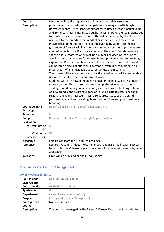| <b>Course</b>            | Few would deny the importance of brands as valuable assets and a             |
|--------------------------|------------------------------------------------------------------------------|
| <b>Description</b>       | potential source of sustainable competitive advantage. Nestlé bought         |
|                          | Rowntree (KitKat, After Eight) for almost three times its stock market value |
|                          | and 26 times its earnings. BMW bought the Mini not for the technology, but   |
|                          | for the history and the associations. This value is created by the place     |
|                          | occupied by the brands in the minds of customers: brand awareness,           |
|                          | image, trust and reputation - all built up over many years - are the best    |
|                          | guarantee of future cash flows. As one commentator puts it: products are     |
|                          | created in the factory. Brands are created in the mind'. Brands provide a    |
|                          | short cut for customers when making a purchasing decision, seeking to        |
|                          | avoid risk and obtain value for money. Brands provide a relevant, exciting   |
|                          | experience. Brands connote a certain life style, values or attitude. Brands  |
|                          | can become objects of affection: Lovemarks, even. Buying a brand is an       |
|                          | integral part of an individuals quest for identity and meaning.              |
|                          | The course will balance theory and practical application, with considerable  |
|                          | use of case studies and student project work.                                |
|                          | Students will learn how companies manage brand equity, clearly a major       |
|                          | strategic issue. This course provides a comprehensive introduction to        |
|                          | strategic brand management, covering such areas as the building of brand     |
|                          | equity, brand identity, brand extension, brand portfolios etc. in national,  |
|                          | regional and global markets. It will also address issues such as brand       |
|                          | personality, emotional branding, brand communities and purpose-driven        |
|                          | branding.                                                                    |
| <b>Course Open to</b>    | Belo /Fall;#Lille /Fall;#Sophia /Fall;#Suzhou /Fall                          |
| <b>Exchange</b>          |                                                                              |
| <b>Semester</b>          | fall                                                                         |
| <b>Campus</b>            | Belo Horizonte, Lille, Paris, Raleigh, Sophia, Suzhou                        |
| <b>Evaluation</b>        |                                                                              |
| <b>Final Examination</b> | 50                                                                           |
| (%)                      |                                                                              |
| Continuous               | 50                                                                           |
| Assessment (%)           |                                                                              |
| <b>Academic</b>          | Lectures obligatoires / Required readings :                                  |
| reference                | Lectures Recommandées / Recommanded readings : A full reading list will      |
|                          | be provided on K2 learning platform along with a selection of reports, cases |
|                          | and articles                                                                 |
| <b>Websites</b>          | Links will be provided on the K2 course site                                 |
|                          |                                                                              |

# MSc Luxury and Fashion Management

# CAREER MANAGEMENT 1

| <b>Course Code</b>   | MSC.TRCM2.DREOR.0001                                                   |
|----------------------|------------------------------------------------------------------------|
| <b>ECTS Credits</b>  |                                                                        |
| <b>Course Leader</b> | <b>BEAUGRAND Audrey</b>                                                |
| Synchronous          |                                                                        |
| <b>Department</b>    | Career Center - Employability                                          |
| Program              | Luxury and Fashion Management                                          |
| <b>Prerequisites</b> | NoPrerequisites                                                        |
| Course               |                                                                        |
| <b>Description</b>   | This course is managed by the Talent & Careers Department. In order to |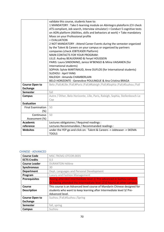|                          | validate this course, students have to:                                         |
|--------------------------|---------------------------------------------------------------------------------|
|                          | 1 MANDATORY: Take E-learning module on Abintegro plateform (CV check            |
|                          | ATS compliant, Job search, Interview simulator) + Conduct 5 cognitive tests     |
|                          | on AON platform (Abilities, skills and behaviors at work) + Take mandatory      |
|                          | Mooc on your Professional profile                                               |
|                          | + EVALUATION                                                                    |
|                          | 2 NOT MANDATORY: Attend Career Events during the semester organized             |
|                          | by the Talent & Careers on your campus or organized by partners                 |
|                          | companies (check JOBTEASER Platform)                                            |
|                          | <b>MAIN CONTACTS FOR YOUR PROGRAM:</b>                                          |
|                          | LILLE: Audrey BEAUGRAND & Feryel HOUSSEIN                                       |
|                          | PARIS: Laura SINDONINO, Janice M'BENGO & Miina VAISANEN (for                    |
|                          | International students)                                                         |
|                          | SOPHIA: Sylvie MARTINAUD, Anne DUFLOS (for International students)              |
|                          | <b>SUZHOU: April YANG</b>                                                       |
|                          | RALEIGH: Amanda CHAMBERLAIN                                                     |
|                          | BELO HORIZONTE: Geneviève POULINGUE & Ana Cristina BRAGA                        |
| <b>Course Open to</b>    | Belo /Fall;#Lille /Fall;#Paris /Fall;#Raleigh /Fall;#Sophia /Fall;#Suzhou /Fall |
| <b>Exchange</b>          |                                                                                 |
| <b>Semester</b>          | fall                                                                            |
| <b>Campus</b>            | Autre / Other, Belo Horizonte, Lille, Paris, Raleigh, Sophia, Stellenbosch-Le   |
|                          | Cap                                                                             |
| <b>Evaluation</b>        |                                                                                 |
| <b>Final Examination</b> | 50                                                                              |
| (%)                      |                                                                                 |
| Continuous               | 50                                                                              |
| Assessment (%)           |                                                                                 |
| <b>Academic</b>          | Lectures obligatoires / Required readings :                                     |
| reference                | Lectures Recommandées / Recommanded readings :                                  |
| <b>Websites</b>          | under the YEP go and click on: Talent & Careers -> Jobteaser -> SKEMA           |
|                          | <b>TOOLS</b>                                                                    |

### CHINESE - ADVANCED

| <b>Course Code</b>    | MSC.TRCM2.OTCOR.0035                                                     |
|-----------------------|--------------------------------------------------------------------------|
| <b>ECTS Credits</b>   | 0,5                                                                      |
| <b>Course Leader</b>  | <b>DURANTON Hélène</b>                                                   |
| <b>Synchronous</b>    | 30                                                                       |
| <b>Department</b>     | Dept. Languages and Personal Development                                 |
| Program               | Luxury and Fashion Management                                            |
| <b>Prerequisites</b>  | Having attended intermediate level 2/ Pre-advanced in Suzhou campus.     |
|                       | Or having attended the intermediate level (210 hours) at other campus.   |
| Course                | This course is an Advanced level course of Mandarin Chinese designed for |
| <b>Description</b>    | students who want to keep learning after Intermediate level 3/ Pre-      |
|                       | Advanced level.                                                          |
| <b>Course Open to</b> | Suzhou /Fall;#Suzhou /Spring                                             |
| <b>Exchange</b>       |                                                                          |
| <b>Semester</b>       | fall, spring                                                             |
| Campus                | Suzhou                                                                   |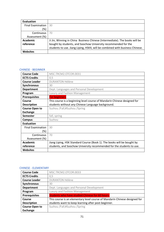| Evaluation               |                                                                              |
|--------------------------|------------------------------------------------------------------------------|
| <b>Final Examination</b> | 30                                                                           |
| (%)                      |                                                                              |
| Continuous               | 70                                                                           |
| Assessment (%)           |                                                                              |
| Academic                 | Ji Jin, Winning in China Business Chinese (Intermediate). The books will be  |
| reference                | bought by students, and Soochow University recommended for the               |
|                          | students to use. Jiang Liping, HSK4, will be combined with business Chinese. |
| <b>Websites</b>          |                                                                              |

### CHINESE - BEGINNER

| <b>Course Code</b>       | MSC.TRCM2.OTCOR.0031                                                     |
|--------------------------|--------------------------------------------------------------------------|
| <b>ECTS Credits</b>      | 0,5                                                                      |
| <b>Course Leader</b>     | <b>DURANTON Hélène</b>                                                   |
| Synchronous              | 30                                                                       |
| <b>Department</b>        | Dept. Languages and Personal Development                                 |
| Program                  | Luxury and Fashion Management                                            |
| <b>Prerequisites</b>     | <b>For beginners</b>                                                     |
| Course                   | This course is a beginning level course of Mandarin Chinese designed for |
| <b>Description</b>       | students without any Chinese Language background.                        |
| <b>Course Open to</b>    | Suzhou /Fall;#Suzhou /Spring                                             |
| <b>Exchange</b>          |                                                                          |
| <b>Semester</b>          | fall, spring                                                             |
| Campus                   | Suzhou                                                                   |
| <b>Evaluation</b>        |                                                                          |
| <b>Final Examination</b> | 30                                                                       |
| (%)                      |                                                                          |
| Continuous               | 70                                                                       |
| Assessment (%)           |                                                                          |
| <b>Academic</b>          | Jiang Liping, HSK Standard Course (Book 1). The books will be bought by  |
| reference                | students, and Soochow University recommended for the students to use.    |
| <b>Websites</b>          |                                                                          |

### CHINESE - ELEMENTARY

| <b>Course Code</b>    | MSC.TRCM2.OTCOR.0033                                                       |
|-----------------------|----------------------------------------------------------------------------|
| <b>ECTS Credits</b>   | 0,5                                                                        |
| <b>Course Leader</b>  | <b>DURANTON Hélène</b>                                                     |
| Synchronous           | 30                                                                         |
| <b>Department</b>     | Dept. Languages and Personal Development                                   |
| Program               | Luxury and Fashion Management                                              |
| <b>Prerequisites</b>  | Students who have studied Chinese for 60 hours.                            |
| Course                | This course is an elementary level course of Mandarin Chinese designed for |
| <b>Description</b>    | students want to keep learning after post-beginner.                        |
| <b>Course Open to</b> | Suzhou /Fall;#Suzhou /Spring                                               |
| <b>Exchange</b>       |                                                                            |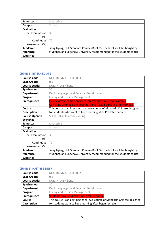| <b>Semester</b>          | fall, spring                                                            |
|--------------------------|-------------------------------------------------------------------------|
| Campus                   | Suzhou                                                                  |
| <b>Evaluation</b>        |                                                                         |
| <b>Final Examination</b> | 30                                                                      |
| (%)                      |                                                                         |
| Continuous               | 70                                                                      |
| Assessment (%)           |                                                                         |
| <b>Academic</b>          | Jiang Liping, HSK Standard Course (Book 2). The books will be bought by |
| reference                | students, and Soochow University recommended for the students to use.   |
| <b>Websites</b>          |                                                                         |

### CHINESE - INTERMEDIATE

| <b>Course Code</b>       | MSC.TRCM2.OTCOR.0034                                                     |
|--------------------------|--------------------------------------------------------------------------|
| <b>ECTS Credits</b>      | 0,5                                                                      |
| <b>Course Leader</b>     | <b>DURANTON Hélène</b>                                                   |
| <b>Synchronous</b>       | 30                                                                       |
| <b>Department</b>        | Dept. Languages and Personal Development                                 |
| Program                  | Luxury and Fashion Management                                            |
| <b>Prerequisites</b>     | Having attended beginner Pre Intermediate in Suzhou campus.              |
|                          | Or having attended the beginners level (120 hours) at other campus.      |
| Course                   | This course is an intermediate level course of Mandarin Chinese designed |
| <b>Description</b>       | for students who want to keep learning after Pre Intermediate.           |
| <b>Course Open to</b>    | Suzhou /Fall;#Suzhou /Spring                                             |
| <b>Exchange</b>          |                                                                          |
| <b>Semester</b>          | fall, spring                                                             |
| <b>Campus</b>            | Suzhou                                                                   |
| <b>Evaluation</b>        |                                                                          |
| <b>Final Examination</b> | 30                                                                       |
| $(\%)$                   |                                                                          |
| Continuous               | 70                                                                       |
| Assessment (%)           |                                                                          |
| <b>Academic</b>          | Jiang Liping, HSK Standard Course (Book 3). The books will be bought by  |
| reference                | students, and Soochow University recommended for the students to use.    |
| <b>Websites</b>          |                                                                          |

### CHINESE - POST BEGINNER

| <b>Course Code</b>   | MSC.TRCM2.OTCOR.0032                                                      |
|----------------------|---------------------------------------------------------------------------|
| <b>ECTS Credits</b>  | 0,5                                                                       |
| <b>Course Leader</b> | <b>DURANTON Hélène</b>                                                    |
| Synchronous          | 30                                                                        |
| <b>Department</b>    | Dept. Languages and Personal Development                                  |
| Program              | Luxury and Fashion Management                                             |
| <b>Prerequisites</b> | <b>Students have studied Chinese for 30 hours.</b>                        |
| <b>Course</b>        | This course is an post beginner level course of Mandarin Chinese designed |
| <b>Description</b>   | for students want to keep learning after beginner level.                  |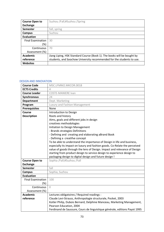| <b>Course Open to</b>    | Suzhou /Fall;#Suzhou /Spring                                            |
|--------------------------|-------------------------------------------------------------------------|
| <b>Exchange</b>          |                                                                         |
| <b>Semester</b>          | fall, spring                                                            |
| Campus                   | Suzhou                                                                  |
| <b>Evaluation</b>        |                                                                         |
| <b>Final Examination</b> | 30                                                                      |
| (%)                      |                                                                         |
| Continuous               | 70                                                                      |
| Assessment (%)           |                                                                         |
| <b>Academic</b>          | Jiang Liping, HSK Standard Course (Book 1). The books will be bought by |
| reference                | students, and Soochow University recommended for the students to use.   |
| <b>Websites</b>          |                                                                         |

# DESIGN AND INNOVATION

| <b>Course Code</b>       | MSC.LFMM2.MKCOR.0018                                                       |
|--------------------------|----------------------------------------------------------------------------|
| <b>ECTS Credits</b>      | 4                                                                          |
| <b>Course Leader</b>     | <b>COSTE-MANIERE Ivan</b>                                                  |
| <b>Synchronous</b>       | 24                                                                         |
| <b>Department</b>        | Dept. Marketing                                                            |
| Program                  | Luxury and Fashion Management                                              |
| <b>Prerequisites</b>     | None                                                                       |
| Course                   | Introduction to Design                                                     |
| <b>Description</b>       | Roots and history                                                          |
|                          | Aims, goals and different jobs in design                                   |
|                          | creatives methodologies                                                    |
|                          | Initiation to Design Management                                            |
|                          | - Brands strategies Definitions                                            |
|                          | - Defining and creating and elaborating aBrand Book                        |
|                          | - Defining a creatifve concept                                             |
|                          | To be able to understand the importance of Design in life and business,    |
|                          | especially its impact on luxury and fashion goods. Co-Relate the perceived |
|                          | value of goods through the lens of Design. Impact and relevance of Design  |
|                          | starting from product design to service design to experience design to     |
|                          | packaging design to digital design and future design !                     |
| <b>Course Open to</b>    | Sophia /Fall;#Suzhou /Fall                                                 |
| <b>Exchange</b>          |                                                                            |
| <b>Semester</b>          | fall                                                                       |
| <b>Campus</b>            | Sophia, Suzhou                                                             |
| <b>Evaluation</b>        |                                                                            |
| <b>Final Examination</b> | 100                                                                        |
| $(\%)$                   |                                                                            |
| Continuous               | $\Omega$                                                                   |
| Assessment (%)           |                                                                            |
| <b>Academic</b>          | Lectures obligatoires / Required readings :                                |
| reference                | Claude Levi-Strauss, Anthropologie structurale, Pocket, 2003               |
|                          | Kotler Philip, Dubois Bernard, Delphine Manceau, Marketing Management,     |
|                          | Pearson Education, 2004                                                    |
|                          | Ferdinand de Saussure, Cours de linguistique générale, editions Payot 1995 |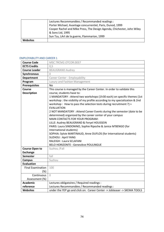|                 | Lectures Recommandées / Recommanded readings :                          |
|-----------------|-------------------------------------------------------------------------|
|                 | Porter Michael, Avantage concurrentiel, Paris, Dunod, 1999              |
|                 | Cooper Rachel and Mike Press, The Design Agenda, Chichester, John Wiley |
|                 | & Sons Ltd, 1995                                                        |
|                 | Sun Tzu, LArt de la guerre, Flammarion, 1999                            |
| <b>Websites</b> |                                                                         |

#### EMPLOYABILITY AND CAREER 1

| <b>Course Code</b>       | MSC.TRCM2.OTCOR.0037                                                                                                                                                                                                                                                                                                                                                                                                                                                                                                                                                                                                                                                                                                                                         |
|--------------------------|--------------------------------------------------------------------------------------------------------------------------------------------------------------------------------------------------------------------------------------------------------------------------------------------------------------------------------------------------------------------------------------------------------------------------------------------------------------------------------------------------------------------------------------------------------------------------------------------------------------------------------------------------------------------------------------------------------------------------------------------------------------|
| <b>ECTS Credits</b>      | 0,5                                                                                                                                                                                                                                                                                                                                                                                                                                                                                                                                                                                                                                                                                                                                                          |
| <b>Course Leader</b>     | <b>BEAUGRAND Audrey</b>                                                                                                                                                                                                                                                                                                                                                                                                                                                                                                                                                                                                                                                                                                                                      |
| Synchronous              | $\Omega$                                                                                                                                                                                                                                                                                                                                                                                                                                                                                                                                                                                                                                                                                                                                                     |
| <b>Department</b>        | Career Center - Employability                                                                                                                                                                                                                                                                                                                                                                                                                                                                                                                                                                                                                                                                                                                                |
| Program                  | Luxury and Fashion Management                                                                                                                                                                                                                                                                                                                                                                                                                                                                                                                                                                                                                                                                                                                                |
| <b>Prerequisites</b>     | <b>No</b>                                                                                                                                                                                                                                                                                                                                                                                                                                                                                                                                                                                                                                                                                                                                                    |
| Course                   | This course is managed by the Career Center. In order to validate this                                                                                                                                                                                                                                                                                                                                                                                                                                                                                                                                                                                                                                                                                       |
| <b>Description</b>       | course, students have to:                                                                                                                                                                                                                                                                                                                                                                                                                                                                                                                                                                                                                                                                                                                                    |
|                          | 1 MANDATORY : Attend two workshops (1h30 each) on specific themes (1st<br>workshop: the visibility of my profile according to my specialization & 2nd<br>workshop: How to pass the selection tests during recruitment ?) +<br><b>EVALUATION</b><br>2 NOT MANDATORY : Attend Career Events during the semester (date to be<br>determined) organized by the career center of your campus<br><b>MAIN CONTACTS FOR YOUR PROGRAM:</b><br>LILLE: Audrey BEAUGRAND & Feryel HOUSSEIN<br>PARIS: Laura SINDONINO, Sophie Ripoche & Janice M'BENGO (for<br>International students)<br>SOPHIA: Sylvie MARTINAUD, Anne DUFLOS (for International students)<br><b>SUZHOU: April YANG</b><br><b>RALEIGH: Laura SCLAFANI</b><br><b>BELO HORIZONTE : Geneviève POULINGUE</b> |
| <b>Course Open to</b>    | Suzhou /Fall                                                                                                                                                                                                                                                                                                                                                                                                                                                                                                                                                                                                                                                                                                                                                 |
| <b>Exchange</b>          |                                                                                                                                                                                                                                                                                                                                                                                                                                                                                                                                                                                                                                                                                                                                                              |
| <b>Semester</b>          | fall                                                                                                                                                                                                                                                                                                                                                                                                                                                                                                                                                                                                                                                                                                                                                         |
| <b>Campus</b>            | Suzhou                                                                                                                                                                                                                                                                                                                                                                                                                                                                                                                                                                                                                                                                                                                                                       |
| <b>Evaluation</b>        |                                                                                                                                                                                                                                                                                                                                                                                                                                                                                                                                                                                                                                                                                                                                                              |
| <b>Final Examination</b> | 100                                                                                                                                                                                                                                                                                                                                                                                                                                                                                                                                                                                                                                                                                                                                                          |
| $(\%)$                   |                                                                                                                                                                                                                                                                                                                                                                                                                                                                                                                                                                                                                                                                                                                                                              |
| Continuous               | $\Omega$                                                                                                                                                                                                                                                                                                                                                                                                                                                                                                                                                                                                                                                                                                                                                     |
| Assessment (%)           |                                                                                                                                                                                                                                                                                                                                                                                                                                                                                                                                                                                                                                                                                                                                                              |
| <b>Academic</b>          | Lectures obligatoires / Required readings :                                                                                                                                                                                                                                                                                                                                                                                                                                                                                                                                                                                                                                                                                                                  |
| reference                | Lectures Recommandées / Recommanded readings :                                                                                                                                                                                                                                                                                                                                                                                                                                                                                                                                                                                                                                                                                                               |
| <b>Websites</b>          | under the YEP go and click on: Career Center -> Jobteaser -> SKEMA TOOLS                                                                                                                                                                                                                                                                                                                                                                                                                                                                                                                                                                                                                                                                                     |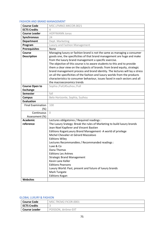### FASHION AND BRAND MANAGEMENT

| <b>Course Code</b>                  | MSC.LFMM2.MKCOR.0021                                                                                                                                                                                                                                                                                                                                                                                                                                                                                                               |
|-------------------------------------|------------------------------------------------------------------------------------------------------------------------------------------------------------------------------------------------------------------------------------------------------------------------------------------------------------------------------------------------------------------------------------------------------------------------------------------------------------------------------------------------------------------------------------|
| <b>ECTS Credits</b>                 | 4                                                                                                                                                                                                                                                                                                                                                                                                                                                                                                                                  |
| <b>Course Leader</b>                | <b>HOFFMANN Jonas</b>                                                                                                                                                                                                                                                                                                                                                                                                                                                                                                              |
| Synchronous                         | 24                                                                                                                                                                                                                                                                                                                                                                                                                                                                                                                                 |
| <b>Department</b>                   | Dept. Marketing                                                                                                                                                                                                                                                                                                                                                                                                                                                                                                                    |
| Program                             | Luxury and Fashion Management                                                                                                                                                                                                                                                                                                                                                                                                                                                                                                      |
| <b>Prerequisites</b>                | None                                                                                                                                                                                                                                                                                                                                                                                                                                                                                                                               |
| <b>Course</b><br><b>Description</b> | Managing luxury or fashion brand is not the same as managing a consumer<br>goods one, the specificities of that brand management are huge and make<br>from the luxury brand management a specific exercise.<br>The objective of this course is to aware students to this and to provide<br>them a clear view on the subjects of brands: from brand equity, strategic<br>brand management process and brand identity. The lectures will lay a stress<br>on all the specificities of the fashion and luxury worlds from the products |
|                                     | characteristics to consumer behaviour, issues faced in each sectors and all<br>the macroeconomics trends                                                                                                                                                                                                                                                                                                                                                                                                                           |
| <b>Course Open to</b>               | Sophia /Fall;#Suzhou /Fall                                                                                                                                                                                                                                                                                                                                                                                                                                                                                                         |
| <b>Exchange</b>                     |                                                                                                                                                                                                                                                                                                                                                                                                                                                                                                                                    |
| <b>Semester</b>                     | fall                                                                                                                                                                                                                                                                                                                                                                                                                                                                                                                               |
| <b>Campus</b>                       | Belo Horizonte, Sophia, Suzhou                                                                                                                                                                                                                                                                                                                                                                                                                                                                                                     |
| <b>Evaluation</b>                   |                                                                                                                                                                                                                                                                                                                                                                                                                                                                                                                                    |
| <b>Final Examination</b><br>$(\%)$  | 100                                                                                                                                                                                                                                                                                                                                                                                                                                                                                                                                |
| Continuous                          | $\Omega$                                                                                                                                                                                                                                                                                                                                                                                                                                                                                                                           |
| Assessment (%)                      |                                                                                                                                                                                                                                                                                                                                                                                                                                                                                                                                    |
| <b>Academic</b>                     | Lectures obligatoires / Required readings :                                                                                                                                                                                                                                                                                                                                                                                                                                                                                        |
| reference                           | The Luxury Srategy: Break the rules of Marketing to build luxury brands                                                                                                                                                                                                                                                                                                                                                                                                                                                            |
|                                     | Jean-Noel Kapferer and Vincent Bastien                                                                                                                                                                                                                                                                                                                                                                                                                                                                                             |
|                                     | Editions KoganLuxury Brand Management -A world of privilege                                                                                                                                                                                                                                                                                                                                                                                                                                                                        |
|                                     | Michel Chevalier et Gérard Mazzalovo                                                                                                                                                                                                                                                                                                                                                                                                                                                                                               |
|                                     | <b>Editions Wiley</b>                                                                                                                                                                                                                                                                                                                                                                                                                                                                                                              |
|                                     | Lectures Recommandées / Recommanded readings :<br>Luxe & Co.                                                                                                                                                                                                                                                                                                                                                                                                                                                                       |
|                                     | Dana Thomas                                                                                                                                                                                                                                                                                                                                                                                                                                                                                                                        |
|                                     | <b>Editions Les Arènes</b>                                                                                                                                                                                                                                                                                                                                                                                                                                                                                                         |
|                                     | <b>Strategic Brand Management</b>                                                                                                                                                                                                                                                                                                                                                                                                                                                                                                  |
|                                     | Kevin Lane Keller                                                                                                                                                                                                                                                                                                                                                                                                                                                                                                                  |
|                                     | <b>Editions Pearsons</b>                                                                                                                                                                                                                                                                                                                                                                                                                                                                                                           |
|                                     | Luxury World: Past, present and future of luxury brands                                                                                                                                                                                                                                                                                                                                                                                                                                                                            |
|                                     | Mark Tungate                                                                                                                                                                                                                                                                                                                                                                                                                                                                                                                       |
|                                     | <b>Editions Kogan</b>                                                                                                                                                                                                                                                                                                                                                                                                                                                                                                              |
| <b>Websites</b>                     |                                                                                                                                                                                                                                                                                                                                                                                                                                                                                                                                    |

### GLOBAL LUXURY & FASHION

| <b>Course Code</b>  | MSC.TRCM2.FICOR.0001 |
|---------------------|----------------------|
| <b>ECTS Credits</b> |                      |
| Course Leader       | POISSON, Jérôme-EXT  |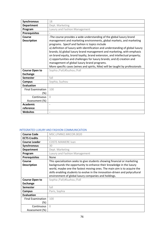| Synchronous              | 18                                                                             |
|--------------------------|--------------------------------------------------------------------------------|
| <b>Department</b>        | Dept. Marketing                                                                |
| Program                  | Luxury and Fashion Management                                                  |
| <b>Prerequisites</b>     |                                                                                |
| Course                   | -The course provides a wide understanding of the global luxury brand           |
| <b>Description</b>       | management and marketing environments, global markets, and marketing           |
|                          | programs. Specif and fashion ic topics include                                 |
|                          | a) definition of luxury with identification and understanding of global luxury |
|                          | brands; b) global luxury brand management and marketing, with emphasis         |
|                          | on brand equity, brand loyalty, brand extension, and intellectual property;    |
|                          | c) opportunities and challenges for luxury brands; and d) creation and         |
|                          | management of global luxury brand programs.                                    |
|                          | More specific cases (wines and spirits, Nike) will be taught by professionals  |
| <b>Course Open to</b>    | Sophia /Fall;#Suzhou /Fall                                                     |
| <b>Exchange</b>          |                                                                                |
| <b>Semester</b>          | fall                                                                           |
| Campus                   | Sophia, Suzhou                                                                 |
| <b>Evaluation</b>        |                                                                                |
| <b>Final Examination</b> | 100                                                                            |
| (%)                      |                                                                                |
| Continuous               | $\bigcap$                                                                      |
| Assessment (%)           |                                                                                |
| <b>Academic</b>          | $\overline{\phantom{a}}$                                                       |
| reference                |                                                                                |
| <b>Websites</b>          |                                                                                |

# INTEGRATED LUXURY AND FASHION COMMUNICATION

| <b>Course Code</b>       | MSC.LFMM2.MKCOR.0020                                                         |
|--------------------------|------------------------------------------------------------------------------|
| <b>ECTS Credits</b>      | 5                                                                            |
| <b>Course Leader</b>     | <b>COSTE-MANIERE Ivan</b>                                                    |
| <b>Synchronous</b>       | 30                                                                           |
| <b>Department</b>        | Dept. Marketing                                                              |
| Program                  | Luxury and Fashion Management                                                |
| <b>Prerequisites</b>     | None                                                                         |
| Course                   | This specialization seeks to give students showing financial or marketing    |
| <b>Description</b>       | backgrounds the opportunity to enhance their knowledge in the luxury         |
|                          | world, maybe one the fastest moving ones. The main aim is to acquire the     |
|                          | skills enabling students to evolve in the innovation-driven and polycultural |
|                          | environment of global luxury companies and holdings.                         |
| <b>Course Open to</b>    | Sophia /Fall;#Suzhou /Fall                                                   |
| <b>Exchange</b>          |                                                                              |
| <b>Semester</b>          | fall                                                                         |
| <b>Campus</b>            | Paris, Sophia                                                                |
| <b>Evaluation</b>        |                                                                              |
| <b>Final Examination</b> | 100                                                                          |
| (%)                      |                                                                              |
| Continuous               | $\Omega$                                                                     |
| Assessment (%)           |                                                                              |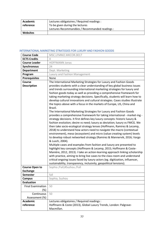| Academic        | Lectures obligatoires / Required readings :    |
|-----------------|------------------------------------------------|
| reference       | To be given during the lectures                |
|                 | Lectures Recommandées / Recommanded readings : |
| <b>Websites</b> |                                                |

### INTERNATIONAL MARKETING STRATEGIES FOR LUXURY AND FASHION GOODS

| <b>Course Code</b>                       | MSC.LFMM2.MKCOR.0017                                                                                                                                                                                                                                                                                                                                                                                                                                                                                                                                                                                                                                                                                                                                                                                                                                                                                                                                                                                                                                                                                                                                                                                                                                                                                                                                                                                                                                                                                                                                                                                     |
|------------------------------------------|----------------------------------------------------------------------------------------------------------------------------------------------------------------------------------------------------------------------------------------------------------------------------------------------------------------------------------------------------------------------------------------------------------------------------------------------------------------------------------------------------------------------------------------------------------------------------------------------------------------------------------------------------------------------------------------------------------------------------------------------------------------------------------------------------------------------------------------------------------------------------------------------------------------------------------------------------------------------------------------------------------------------------------------------------------------------------------------------------------------------------------------------------------------------------------------------------------------------------------------------------------------------------------------------------------------------------------------------------------------------------------------------------------------------------------------------------------------------------------------------------------------------------------------------------------------------------------------------------------|
| <b>ECTS Credits</b>                      | 4                                                                                                                                                                                                                                                                                                                                                                                                                                                                                                                                                                                                                                                                                                                                                                                                                                                                                                                                                                                                                                                                                                                                                                                                                                                                                                                                                                                                                                                                                                                                                                                                        |
| <b>Course Leader</b>                     | <b>HOFFMANN Jonas</b>                                                                                                                                                                                                                                                                                                                                                                                                                                                                                                                                                                                                                                                                                                                                                                                                                                                                                                                                                                                                                                                                                                                                                                                                                                                                                                                                                                                                                                                                                                                                                                                    |
| Synchronous                              | 24                                                                                                                                                                                                                                                                                                                                                                                                                                                                                                                                                                                                                                                                                                                                                                                                                                                                                                                                                                                                                                                                                                                                                                                                                                                                                                                                                                                                                                                                                                                                                                                                       |
| <b>Department</b>                        | Dept. Marketing                                                                                                                                                                                                                                                                                                                                                                                                                                                                                                                                                                                                                                                                                                                                                                                                                                                                                                                                                                                                                                                                                                                                                                                                                                                                                                                                                                                                                                                                                                                                                                                          |
| Program                                  | Luxury and Fashion Management                                                                                                                                                                                                                                                                                                                                                                                                                                                                                                                                                                                                                                                                                                                                                                                                                                                                                                                                                                                                                                                                                                                                                                                                                                                                                                                                                                                                                                                                                                                                                                            |
| <b>Prerequisites</b>                     | None                                                                                                                                                                                                                                                                                                                                                                                                                                                                                                                                                                                                                                                                                                                                                                                                                                                                                                                                                                                                                                                                                                                                                                                                                                                                                                                                                                                                                                                                                                                                                                                                     |
| <b>Course</b>                            | The International Marketing Strategies for Luxury and Fashion Goods                                                                                                                                                                                                                                                                                                                                                                                                                                                                                                                                                                                                                                                                                                                                                                                                                                                                                                                                                                                                                                                                                                                                                                                                                                                                                                                                                                                                                                                                                                                                      |
| <b>Description</b>                       | provides students with a clear understanding of key global business issues<br>and trends surrounding international marketing strategies for luxury and<br>fashion goods today as well as providing a comprehensive framework for<br>taking marketing strategy decisions. Specifically, students will learn how to<br>develop cultural innovations and cultural strategies. Cases studies illustrate<br>the topics above with a focus in the markets of Europe, US, China and<br>Brazil.<br>The International Marketing Strategies for Luxury and Fashion Goods<br>provides a comprehensive framework for taking international - market-ing -<br>strategy decisions. It first defines key luxury concepts: historic luxury &<br>fashion evolution; desire vs need; luxury as deviation; luxury vs FMCG. We<br>then take socio-ecological strategy lenses (Hoffmann, Ramirez & Lecamp,<br>2018) to understand how actors need to navigate the macro (contextual<br>environment), meso (ecosystem) and micro (value creating system) levels<br>to develop robust networked strategy (Ramirez & Mannervik, 2016; Vargo<br>& Lusch, 2004).<br>Multiple cases and examples from fashion and luxury are presented to<br>highlight key concepts (Hoffmann & Lecamp, 2015; Hoffmann & Coste-<br>Manière, 2012, 2013). I take an action-learning approach linking scholarship<br>with practice, aiming to bring live cases to the class-room and understand<br>critical ongoing issues faced by luxury actors (eg. digitization, influencer,<br>sustainability, transparency, inclusivity, geopolitical tensions). |
| <b>Course Open to</b><br><b>Exchange</b> | Sophia /Fall;#Suzhou /Fall                                                                                                                                                                                                                                                                                                                                                                                                                                                                                                                                                                                                                                                                                                                                                                                                                                                                                                                                                                                                                                                                                                                                                                                                                                                                                                                                                                                                                                                                                                                                                                               |
| Semester                                 | fall                                                                                                                                                                                                                                                                                                                                                                                                                                                                                                                                                                                                                                                                                                                                                                                                                                                                                                                                                                                                                                                                                                                                                                                                                                                                                                                                                                                                                                                                                                                                                                                                     |
| <b>Campus</b>                            | Sophia, Suzhou                                                                                                                                                                                                                                                                                                                                                                                                                                                                                                                                                                                                                                                                                                                                                                                                                                                                                                                                                                                                                                                                                                                                                                                                                                                                                                                                                                                                                                                                                                                                                                                           |
| <b>Evaluation</b>                        |                                                                                                                                                                                                                                                                                                                                                                                                                                                                                                                                                                                                                                                                                                                                                                                                                                                                                                                                                                                                                                                                                                                                                                                                                                                                                                                                                                                                                                                                                                                                                                                                          |
| <b>Final Examination</b><br>(%)          | 50                                                                                                                                                                                                                                                                                                                                                                                                                                                                                                                                                                                                                                                                                                                                                                                                                                                                                                                                                                                                                                                                                                                                                                                                                                                                                                                                                                                                                                                                                                                                                                                                       |
| Continuous                               | 50                                                                                                                                                                                                                                                                                                                                                                                                                                                                                                                                                                                                                                                                                                                                                                                                                                                                                                                                                                                                                                                                                                                                                                                                                                                                                                                                                                                                                                                                                                                                                                                                       |
| Assessment (%)                           |                                                                                                                                                                                                                                                                                                                                                                                                                                                                                                                                                                                                                                                                                                                                                                                                                                                                                                                                                                                                                                                                                                                                                                                                                                                                                                                                                                                                                                                                                                                                                                                                          |
| <b>Academic</b>                          | Lectures obligatoires / Required readings :                                                                                                                                                                                                                                                                                                                                                                                                                                                                                                                                                                                                                                                                                                                                                                                                                                                                                                                                                                                                                                                                                                                                                                                                                                                                                                                                                                                                                                                                                                                                                              |
| reference                                | Hoffmann & Coste (2013), Global Luxury Trends, London: Palgrave-<br>Macmillan.                                                                                                                                                                                                                                                                                                                                                                                                                                                                                                                                                                                                                                                                                                                                                                                                                                                                                                                                                                                                                                                                                                                                                                                                                                                                                                                                                                                                                                                                                                                           |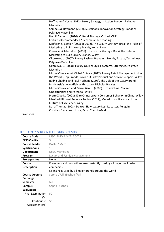|                 | Hoffmann & Coste (2012), Luxury Strategy in Action, London: Palgrave-        |
|-----------------|------------------------------------------------------------------------------|
|                 | Macmillan.                                                                   |
|                 | Sempels & Hoffmann (2013), Sustainable Innovation Strategy, London:          |
|                 | Palgrave-Macmillan.                                                          |
|                 | Holt & Cameron (2010), Cultural Strategy, Oxford: OUP.                       |
|                 | Lectures Recommandées / Recommanded readings :                               |
|                 | Kapferer & Bastien (2008 or 2012), The Luxury Strategy: Break the Rules of   |
|                 | Marketing to Build Luxury Brands, Kogan Page                                 |
|                 | Chevalier & Mazzalovo (2008), The Luxury Strategy: Break the Rules of        |
|                 | Marketing to Build Luxury Brands, Wiley                                      |
|                 | Okonkwo, U. (2007), Luxury Fashion Branding: Trends, Tactics, Techniques,    |
|                 | Palgrave-Macmillan                                                           |
|                 | Okonkwo, U. (2008), Luxury Online: Styles, Systems, Strategies, Palgrave-    |
|                 | Macmillan                                                                    |
|                 | Michel Chevalier et Michel Gutsatz (2012), Luxury Retail Management: How     |
|                 | the World's Top Brands Provide Quality Product and Service Support, Wiley    |
|                 | Radha Chadha and Paul Husband (2008), The Cult of the Luxury Brand:          |
|                 | Inside Asia's Love Affair With Luxury, Nicholas Brealey                      |
|                 | Michel Chevalier and Pierre Xiao Lu (2009), Luxury China: Market             |
|                 | Opportunities and Potential, Wiley                                           |
|                 | Pierre Xiao Lu (2008), Elite China: Luxury Consumer Behavior in China, Wiley |
|                 | Manfredi Ricca et Rebecca Robins (2012), Meta-luxury: Brands and the         |
|                 | Culture of Excellence, Wiley                                                 |
|                 | Dana Thomas (2008), Deluxe: How Luxury Lost Its Luster, Penguin              |
|                 | Christian Blanckaert, Luxe, Paris: Cherche-Midi.                             |
| <b>Websites</b> |                                                                              |

# REGULATORY ISSUES IN THE LUXURY INDUSTRY

| <b>Course Code</b>       | MSC.LFMM2.MKELE.0023                                                |
|--------------------------|---------------------------------------------------------------------|
| <b>ECTS Credits</b>      | 3                                                                   |
| <b>Course Leader</b>     | <b>DALLOZ Marc</b>                                                  |
| <b>Synchronous</b>       | 18                                                                  |
| <b>Department</b>        | Dept. Marketing                                                     |
| Program                  | Luxury and Fashion Management                                       |
| <b>Prerequisites</b>     | None                                                                |
| Course                   | Premiums and promotions are constantly used by all major mail order |
| <b>Description</b>       | companies                                                           |
|                          | Licensing is used by all major brands around the world              |
| <b>Course Open to</b>    | Sophia /Fall;#Suzhou /Fall                                          |
| <b>Exchange</b>          |                                                                     |
| <b>Semester</b>          | fall                                                                |
| Campus                   | Sophia, Suzhou                                                      |
| <b>Evaluation</b>        |                                                                     |
| <b>Final Examination</b> | 50                                                                  |
| (%)                      |                                                                     |
| Continuous               | 50                                                                  |
| Assessment (%)           |                                                                     |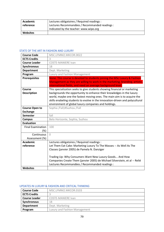| Academic        | Lectures obligatoires / Required readings :    |
|-----------------|------------------------------------------------|
| reference       | Lectures Recommandées / Recommanded readings : |
|                 | Indicated by the teacher: www.wipo.org         |
| <b>Websites</b> |                                                |

### STATE OF THE ART IN FASHION AND LUXURY

| <b>Course Code</b>                       | MSC.LFMM2.MKCOR.0022                                                                                                                                                                                                                                                                                                                                                    |
|------------------------------------------|-------------------------------------------------------------------------------------------------------------------------------------------------------------------------------------------------------------------------------------------------------------------------------------------------------------------------------------------------------------------------|
| <b>ECTS Credits</b>                      | 3                                                                                                                                                                                                                                                                                                                                                                       |
| <b>Course Leader</b>                     | <b>COSTE-MANIERE Ivan</b>                                                                                                                                                                                                                                                                                                                                               |
| <b>Synchronous</b>                       | 18                                                                                                                                                                                                                                                                                                                                                                      |
| <b>Department</b>                        | Dept. Marketing                                                                                                                                                                                                                                                                                                                                                         |
| Program                                  | Luxury and Fashion Management                                                                                                                                                                                                                                                                                                                                           |
| <b>Prerequisites</b>                     | None. This course is devoted to students joining the MSc Luxury & Fashion<br>Management as they are willing to work in the marketing, branding, artistic,<br>international fields, and need an average background level.                                                                                                                                                |
| Course<br><b>Description</b>             | This specialization seeks to give students showing financial or marketing<br>backgrounds the opportunity to enhance their knowledges in the luxury<br>world, maybe one the fastest moving ones. The main aim is to acquire the<br>skills enabeling students to evolve in the innovation-driven and polycultural<br>environment of global luxury companies and holdings. |
| <b>Course Open to</b><br><b>Exchange</b> | Sophia /Fall;#Suzhou /Fall                                                                                                                                                                                                                                                                                                                                              |
| <b>Semester</b>                          | fall                                                                                                                                                                                                                                                                                                                                                                    |
| <b>Campus</b>                            | Belo Horizonte, Sophia, Suzhou                                                                                                                                                                                                                                                                                                                                          |
| <b>Evaluation</b>                        |                                                                                                                                                                                                                                                                                                                                                                         |
| <b>Final Examination</b>                 | 100                                                                                                                                                                                                                                                                                                                                                                     |
| $(\%)$                                   |                                                                                                                                                                                                                                                                                                                                                                         |
| Continuous                               | $\bigcap$                                                                                                                                                                                                                                                                                                                                                               |
| Assessment (%)                           |                                                                                                                                                                                                                                                                                                                                                                         |
| <b>Academic</b>                          | Lectures obligatoires / Required readings :                                                                                                                                                                                                                                                                                                                             |
| reference                                | Let Them Eat Cake: Marketing Luxury To The Masses -- As Well As The<br>Classes (janvier 2005) de Pamela N. Danziger                                                                                                                                                                                                                                                     |
| <b>Websites</b>                          | Trading Up: Why Consumers Want New Luxury Goods And How<br>Companies Create Them (janvier 2005) de Michael Silverstein, et al -- Relié<br>Lectures Recommandées / Recommanded readings :                                                                                                                                                                                |
|                                          |                                                                                                                                                                                                                                                                                                                                                                         |

### UPDATES IN LUXURY & FASHION AND CRITICAL THINKING

| <b>Course Code</b>   | MSC.LFMM2.MKCOR.0103          |
|----------------------|-------------------------------|
| <b>ECTS Credits</b>  |                               |
| <b>Course Leader</b> | <b>COSTE-MANIERE Ivan</b>     |
| <b>Synchronous</b>   | 18                            |
| <b>Department</b>    | Dept. Marketing               |
| Program              | Luxury and Fashion Management |